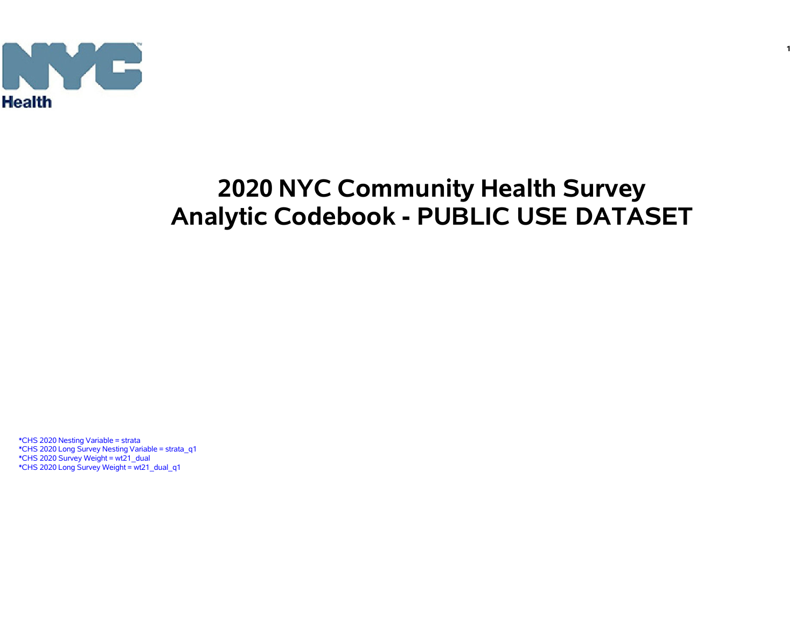

# **2020 NYC Community Health Survey Analytic Codebook - PUBLIC USE DATASET**

\*CHS 2020 Nesting Variable = strata \*CHS 2020 Long Survey Nesting Variable = strata\_q1 \*CHS 2020 Survey Weight = wt21\_dual \*CHS 2020 Long Survey Weight = wt21\_dual\_q1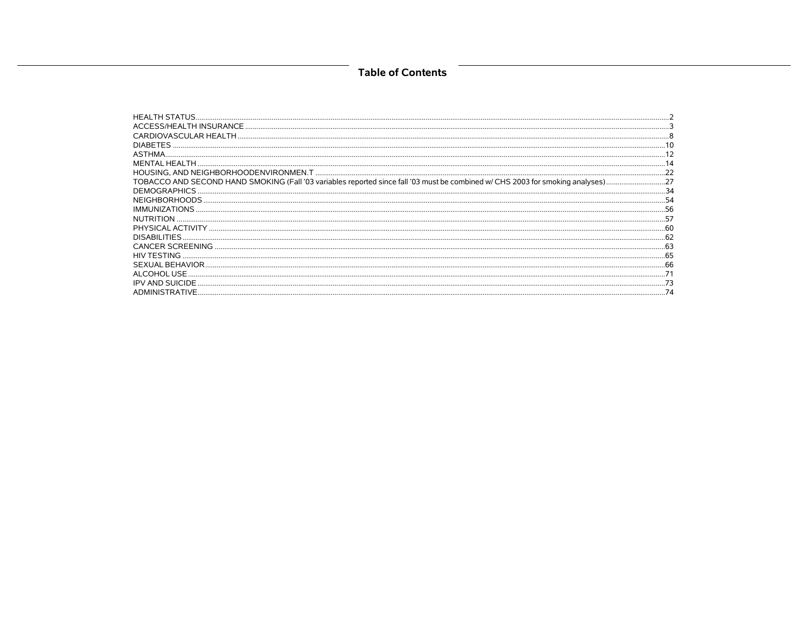### **Table of Contents**

| <b>HEALTH STATUS</b>    |  |
|-------------------------|--|
|                         |  |
|                         |  |
| <b>DIABETES</b>         |  |
| <b>ASTHMA</b>           |  |
| MENTAL HEALTH           |  |
|                         |  |
|                         |  |
| DEMOGRAPHICS.           |  |
| NEIGHBORHOODS.          |  |
| IMMUNIZATIONS           |  |
| <b>NUTRITION</b>        |  |
|                         |  |
| DISABILITIES.           |  |
| <b>CANCER SCREENING</b> |  |
| HIV TESTING.            |  |
|                         |  |
| ALCOHOL USE             |  |
| <b>IPV AND SUICIDE</b>  |  |
| ADMINISTRATIVE.         |  |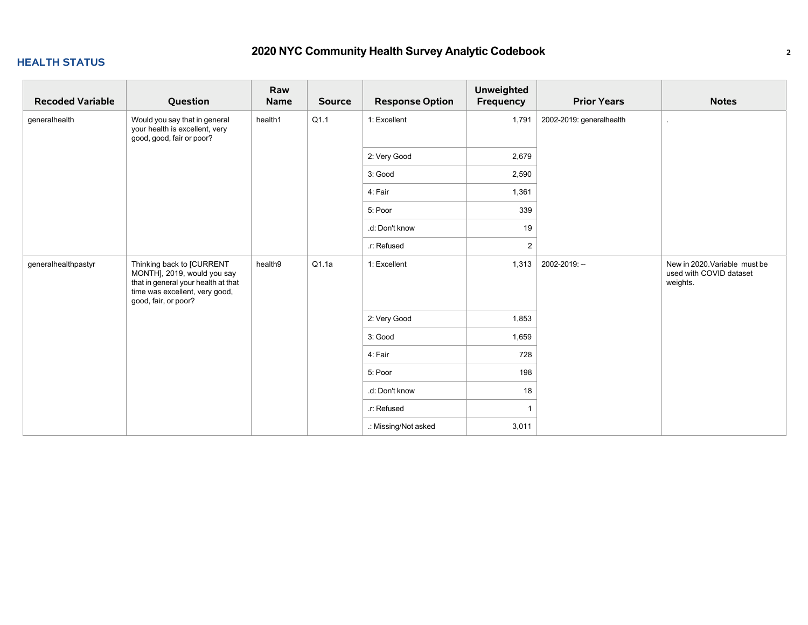### **HEALTH STATUS**

| <b>Recoded Variable</b> | Question                                                                                                                                                  | Raw<br><b>Name</b> | <b>Source</b> | <b>Response Option</b> | <b>Unweighted</b><br>Frequency | <b>Prior Years</b>       | <b>Notes</b>                                                         |
|-------------------------|-----------------------------------------------------------------------------------------------------------------------------------------------------------|--------------------|---------------|------------------------|--------------------------------|--------------------------|----------------------------------------------------------------------|
| generalhealth           | Would you say that in general<br>your health is excellent, very<br>good, good, fair or poor?                                                              | health1            | Q1.1          | 1: Excellent           | 1,791                          | 2002-2019: generalhealth |                                                                      |
|                         |                                                                                                                                                           |                    |               | 2: Very Good           | 2,679                          |                          |                                                                      |
|                         |                                                                                                                                                           |                    |               | 3: Good                | 2,590                          |                          |                                                                      |
|                         |                                                                                                                                                           |                    |               | 4: Fair                | 1,361                          |                          |                                                                      |
|                         |                                                                                                                                                           |                    |               | 5: Poor                | 339                            |                          |                                                                      |
|                         |                                                                                                                                                           |                    |               | .d: Don't know         | 19                             |                          |                                                                      |
|                         |                                                                                                                                                           |                    |               | .r: Refused            | $\overline{2}$                 |                          |                                                                      |
| generalhealthpastyr     | Thinking back to [CURRENT<br>MONTH], 2019, would you say<br>that in general your health at that<br>time was excellent, very good,<br>good, fair, or poor? | health9            | Q1.1a         | 1: Excellent           | 1,313                          | 2002-2019: --            | New in 2020. Variable must be<br>used with COVID dataset<br>weights. |
|                         |                                                                                                                                                           |                    |               | 2: Very Good           | 1,853                          |                          |                                                                      |
|                         |                                                                                                                                                           |                    |               | 3: Good                | 1,659                          |                          |                                                                      |
|                         |                                                                                                                                                           |                    |               | 4: Fair                | 728                            |                          |                                                                      |
|                         |                                                                                                                                                           |                    |               | 5: Poor                | 198                            |                          |                                                                      |
|                         |                                                                                                                                                           |                    |               | .d: Don't know         | 18                             |                          |                                                                      |
|                         |                                                                                                                                                           |                    |               | .r: Refused            |                                |                          |                                                                      |
|                         |                                                                                                                                                           |                    |               | .: Missing/Not asked   | 3,011                          |                          |                                                                      |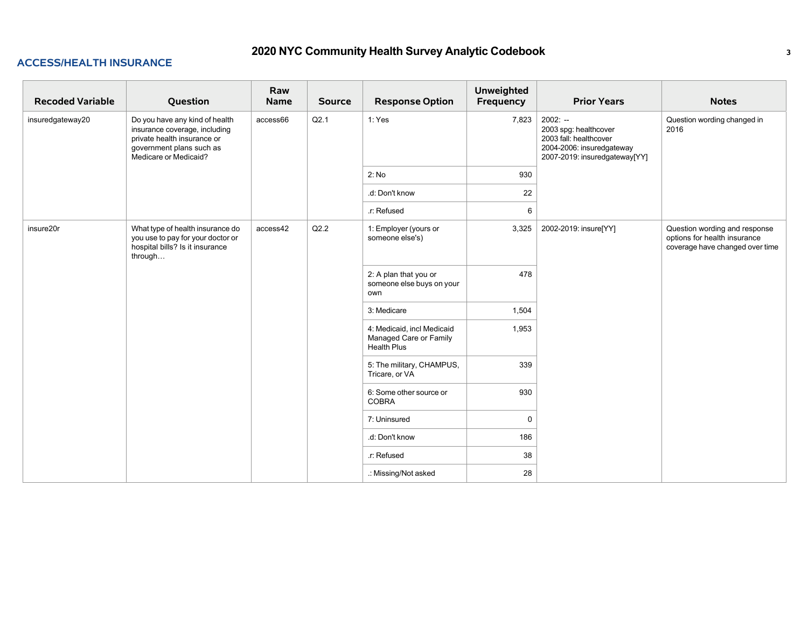| <b>Recoded Variable</b> | Question                                                                                                                                            | Raw<br><b>Name</b> | <b>Source</b> | <b>Response Option</b>                                                     | <b>Unweighted</b><br>Frequency | <b>Prior Years</b>                                                                                                         | <b>Notes</b>                                                                                     |
|-------------------------|-----------------------------------------------------------------------------------------------------------------------------------------------------|--------------------|---------------|----------------------------------------------------------------------------|--------------------------------|----------------------------------------------------------------------------------------------------------------------------|--------------------------------------------------------------------------------------------------|
| insuredgateway20        | Do you have any kind of health<br>insurance coverage, including<br>private health insurance or<br>government plans such as<br>Medicare or Medicaid? | access66           | Q2.1          | 1: Yes                                                                     | 7,823                          | $2002: -$<br>2003 spg: healthcover<br>2003 fall: healthcover<br>2004-2006: insuredgateway<br>2007-2019: insuredgateway[YY] | Question wording changed in<br>2016                                                              |
|                         |                                                                                                                                                     |                    |               | 2: No                                                                      | 930                            |                                                                                                                            |                                                                                                  |
|                         |                                                                                                                                                     |                    |               | .d: Don't know                                                             | 22                             |                                                                                                                            |                                                                                                  |
|                         |                                                                                                                                                     |                    |               | r: Refused                                                                 | 6                              |                                                                                                                            |                                                                                                  |
| insure20r               | What type of health insurance do<br>you use to pay for your doctor or<br>hospital bills? Is it insurance<br>through                                 | access42           | Q2.2          | 1: Employer (yours or<br>someone else's)                                   | 3,325                          | 2002-2019: insure[YY]                                                                                                      | Question wording and response<br>options for health insurance<br>coverage have changed over time |
|                         |                                                                                                                                                     |                    |               | 2: A plan that you or<br>someone else buys on your<br>own                  | 478                            |                                                                                                                            |                                                                                                  |
|                         |                                                                                                                                                     |                    |               | 3: Medicare                                                                | 1,504                          |                                                                                                                            |                                                                                                  |
|                         |                                                                                                                                                     |                    |               | 4: Medicaid, incl Medicaid<br>Managed Care or Family<br><b>Health Plus</b> | 1,953                          |                                                                                                                            |                                                                                                  |
|                         |                                                                                                                                                     |                    |               | 5: The military, CHAMPUS,<br>Tricare, or VA                                | 339                            |                                                                                                                            |                                                                                                  |
|                         |                                                                                                                                                     |                    |               | 6: Some other source or<br>COBRA                                           | 930                            |                                                                                                                            |                                                                                                  |
|                         |                                                                                                                                                     |                    |               | 7: Uninsured                                                               | $\Omega$                       |                                                                                                                            |                                                                                                  |
|                         |                                                                                                                                                     |                    |               | .d: Don't know                                                             | 186                            |                                                                                                                            |                                                                                                  |
|                         |                                                                                                                                                     |                    |               | .r: Refused                                                                | 38                             |                                                                                                                            |                                                                                                  |
|                         |                                                                                                                                                     |                    |               | .: Missing/Not asked                                                       | 28                             |                                                                                                                            |                                                                                                  |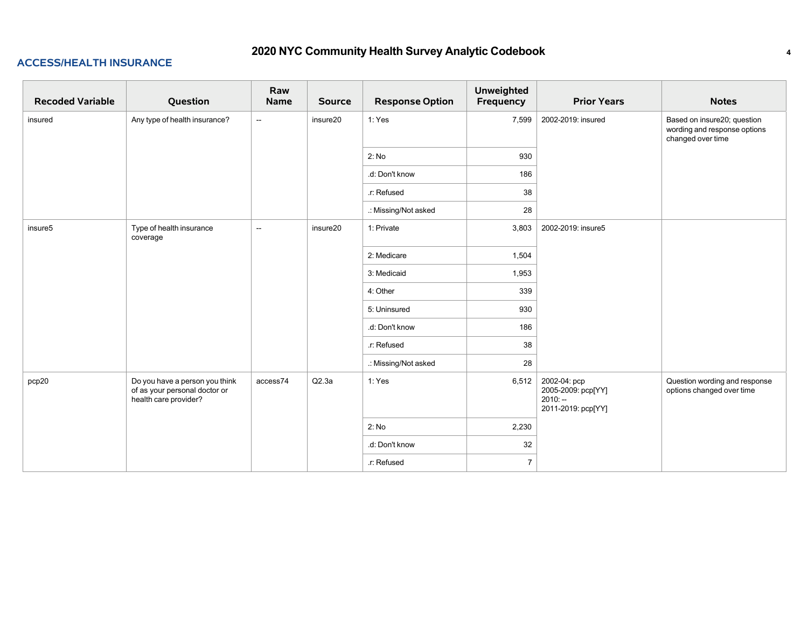| <b>Recoded Variable</b> | Question                                                                                 | Raw<br>Name              | <b>Source</b> | <b>Response Option</b> | <b>Unweighted</b><br>Frequency | <b>Prior Years</b>                                                    | <b>Notes</b>                                                                     |
|-------------------------|------------------------------------------------------------------------------------------|--------------------------|---------------|------------------------|--------------------------------|-----------------------------------------------------------------------|----------------------------------------------------------------------------------|
| insured                 | Any type of health insurance?                                                            | $\sim$                   | insure20      | 1: Yes                 | 7,599                          | 2002-2019: insured                                                    | Based on insure20; question<br>wording and response options<br>changed over time |
|                         |                                                                                          |                          |               | 2: No                  | 930                            |                                                                       |                                                                                  |
|                         |                                                                                          |                          |               | .d: Don't know         | 186                            |                                                                       |                                                                                  |
|                         |                                                                                          |                          |               | .r: Refused            | 38                             |                                                                       |                                                                                  |
|                         |                                                                                          |                          |               | .: Missing/Not asked   | 28                             |                                                                       |                                                                                  |
| insure <sub>5</sub>     | Type of health insurance<br>coverage                                                     | $\overline{\phantom{a}}$ | insure20      | 1: Private             | 3,803                          | 2002-2019: insure5                                                    |                                                                                  |
|                         |                                                                                          |                          |               | 2: Medicare            | 1,504                          |                                                                       |                                                                                  |
|                         |                                                                                          |                          |               | 3: Medicaid            | 1,953                          |                                                                       |                                                                                  |
|                         |                                                                                          |                          |               | 4: Other               | 339                            |                                                                       |                                                                                  |
|                         |                                                                                          |                          |               | 5: Uninsured           | 930                            |                                                                       |                                                                                  |
|                         |                                                                                          |                          |               | .d: Don't know         | 186                            |                                                                       |                                                                                  |
|                         |                                                                                          |                          |               | .r: Refused            | 38                             |                                                                       |                                                                                  |
|                         |                                                                                          |                          |               | .: Missing/Not asked   | 28                             |                                                                       |                                                                                  |
| pcp20                   | Do you have a person you think<br>of as your personal doctor or<br>health care provider? | access74                 | Q2.3a         | 1: Yes                 | 6,512                          | 2002-04: pcp<br>2005-2009: pcp[YY]<br>$2010: -$<br>2011-2019: pcp[YY] | Question wording and response<br>options changed over time                       |
|                         |                                                                                          |                          |               | 2: No                  | 2,230                          |                                                                       |                                                                                  |
|                         |                                                                                          |                          |               | .d: Don't know         | 32                             |                                                                       |                                                                                  |
|                         |                                                                                          |                          |               | .r: Refused            | $\overline{7}$                 |                                                                       |                                                                                  |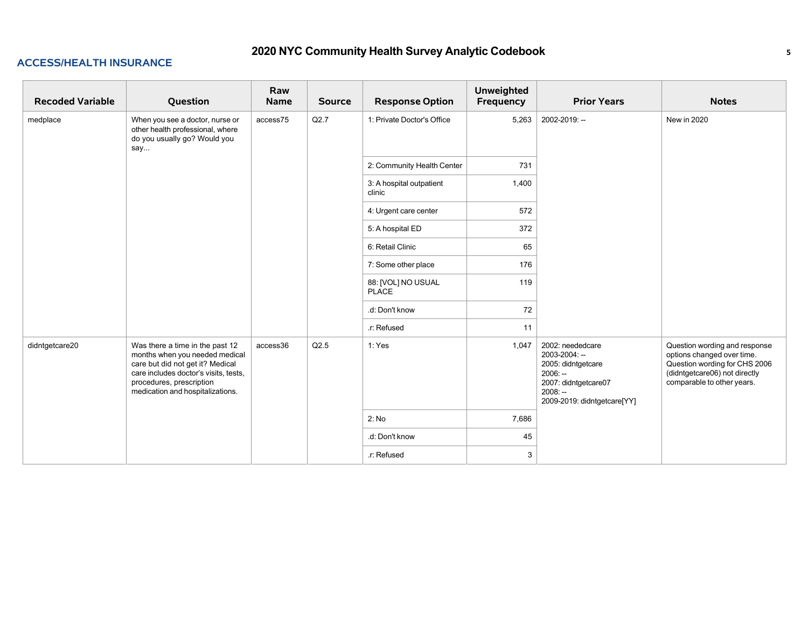| <b>Recoded Variable</b> | Question                                                                                                                                                                                                       | Raw<br><b>Name</b> | <b>Source</b> | <b>Response Option</b>             | <b>Unweighted</b><br>Frequency | <b>Prior Years</b>                                                                                                                       | <b>Notes</b>                                                                                                                                                |
|-------------------------|----------------------------------------------------------------------------------------------------------------------------------------------------------------------------------------------------------------|--------------------|---------------|------------------------------------|--------------------------------|------------------------------------------------------------------------------------------------------------------------------------------|-------------------------------------------------------------------------------------------------------------------------------------------------------------|
| medplace                | When you see a doctor, nurse or<br>other health professional, where<br>do you usually go? Would you<br>say                                                                                                     | access75           | Q2.7          | 1: Private Doctor's Office         | 5,263                          | 2002-2019: --                                                                                                                            | New in 2020                                                                                                                                                 |
|                         |                                                                                                                                                                                                                |                    |               | 2: Community Health Center         | 731                            |                                                                                                                                          |                                                                                                                                                             |
|                         |                                                                                                                                                                                                                |                    |               | 3: A hospital outpatient<br>clinic | 1,400                          |                                                                                                                                          |                                                                                                                                                             |
|                         |                                                                                                                                                                                                                |                    |               | 4: Urgent care center              | 572                            |                                                                                                                                          |                                                                                                                                                             |
|                         |                                                                                                                                                                                                                |                    |               | 5: A hospital ED                   | 372                            |                                                                                                                                          |                                                                                                                                                             |
|                         |                                                                                                                                                                                                                |                    |               | 6: Retail Clinic                   | 65                             |                                                                                                                                          |                                                                                                                                                             |
|                         |                                                                                                                                                                                                                |                    |               | 7: Some other place                | 176                            |                                                                                                                                          |                                                                                                                                                             |
|                         |                                                                                                                                                                                                                |                    |               | 88: [VOL] NO USUAL<br><b>PLACE</b> | 119                            |                                                                                                                                          |                                                                                                                                                             |
|                         |                                                                                                                                                                                                                |                    |               | .d: Don't know                     | 72                             |                                                                                                                                          |                                                                                                                                                             |
|                         |                                                                                                                                                                                                                |                    |               | r: Refused                         | 11                             |                                                                                                                                          |                                                                                                                                                             |
| didntgetcare20          | Was there a time in the past 12<br>months when you needed medical<br>care but did not get it? Medical<br>care includes doctor's visits, tests,<br>procedures, prescription<br>medication and hospitalizations. | access36           | Q2.5          | 1: Yes                             | 1,047                          | 2002: neededcare<br>2003-2004: --<br>2005: didntgetcare<br>$2006: -$<br>2007: didntgetcare07<br>$2008: -$<br>2009-2019: didntgetcare[YY] | Question wording and response<br>options changed over time.<br>Question wording for CHS 2006<br>(didntgetcare06) not directly<br>comparable to other years. |
|                         |                                                                                                                                                                                                                |                    |               | 2: No                              | 7,686                          |                                                                                                                                          |                                                                                                                                                             |
|                         |                                                                                                                                                                                                                |                    |               | .d: Don't know                     | 45                             |                                                                                                                                          |                                                                                                                                                             |
|                         |                                                                                                                                                                                                                |                    |               | .r: Refused                        | 3                              |                                                                                                                                          |                                                                                                                                                             |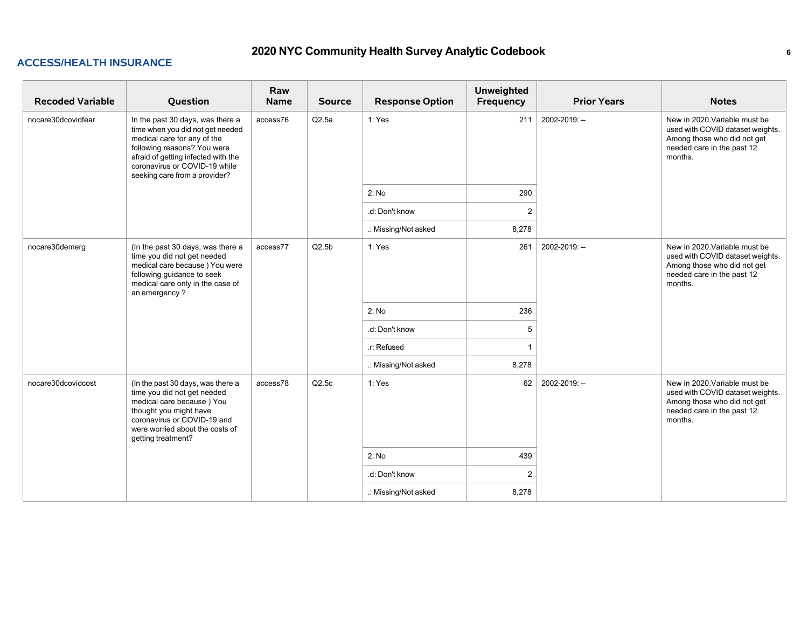| <b>Recoded Variable</b> | Question                                                                                                                                                                                                                                    | Raw<br><b>Name</b> | <b>Source</b> | <b>Response Option</b> | <b>Unweighted</b><br><b>Frequency</b> | <b>Prior Years</b> | <b>Notes</b>                                                                                                                              |
|-------------------------|---------------------------------------------------------------------------------------------------------------------------------------------------------------------------------------------------------------------------------------------|--------------------|---------------|------------------------|---------------------------------------|--------------------|-------------------------------------------------------------------------------------------------------------------------------------------|
| nocare30dcovidfear      | In the past 30 days, was there a<br>time when you did not get needed<br>medical care for any of the<br>following reasons? You were<br>afraid of getting infected with the<br>coronavirus or COVID-19 while<br>seeking care from a provider? | access76           | Q2.5a         | 1: Yes                 | 211                                   | 2002-2019: --      | New in 2020. Variable must be<br>used with COVID dataset weights.<br>Among those who did not get<br>needed care in the past 12<br>months. |
|                         |                                                                                                                                                                                                                                             |                    |               | 2: No                  | 290                                   |                    |                                                                                                                                           |
|                         |                                                                                                                                                                                                                                             |                    |               | .d: Don't know         | $\overline{2}$                        |                    |                                                                                                                                           |
|                         |                                                                                                                                                                                                                                             |                    |               | .: Missing/Not asked   | 8,278                                 |                    |                                                                                                                                           |
| nocare30demerg          | (In the past 30 days, was there a<br>time you did not get needed<br>medical care because) You were<br>following guidance to seek<br>medical care only in the case of<br>an emergency?                                                       | access77           | Q2.5b         | 1: Yes                 | 261                                   | 2002-2019: --      | New in 2020. Variable must be<br>used with COVID dataset weights.<br>Among those who did not get<br>needed care in the past 12<br>months. |
|                         |                                                                                                                                                                                                                                             |                    |               | 2: No                  | 236                                   |                    |                                                                                                                                           |
|                         |                                                                                                                                                                                                                                             |                    |               | .d: Don't know         | 5                                     |                    |                                                                                                                                           |
|                         |                                                                                                                                                                                                                                             |                    |               | .r: Refused            | $\overline{\mathbf{1}}$               |                    |                                                                                                                                           |
|                         |                                                                                                                                                                                                                                             |                    |               | .: Missing/Not asked   | 8,278                                 |                    |                                                                                                                                           |
| nocare30dcovidcost      | (In the past 30 days, was there a<br>time you did not get needed<br>medical care because) You<br>thought you might have<br>coronavirus or COVID-19 and<br>were worried about the costs of<br>getting treatment?                             | access78           | Q2.5c         | 1: Yes                 | 62                                    | 2002-2019: --      | New in 2020. Variable must be<br>used with COVID dataset weights.<br>Among those who did not get<br>needed care in the past 12<br>months. |
|                         |                                                                                                                                                                                                                                             |                    |               | 2: No                  | 439                                   |                    |                                                                                                                                           |
|                         |                                                                                                                                                                                                                                             |                    |               | .d: Don't know         | 2                                     |                    |                                                                                                                                           |
|                         |                                                                                                                                                                                                                                             |                    |               | .: Missing/Not asked   | 8,278                                 |                    |                                                                                                                                           |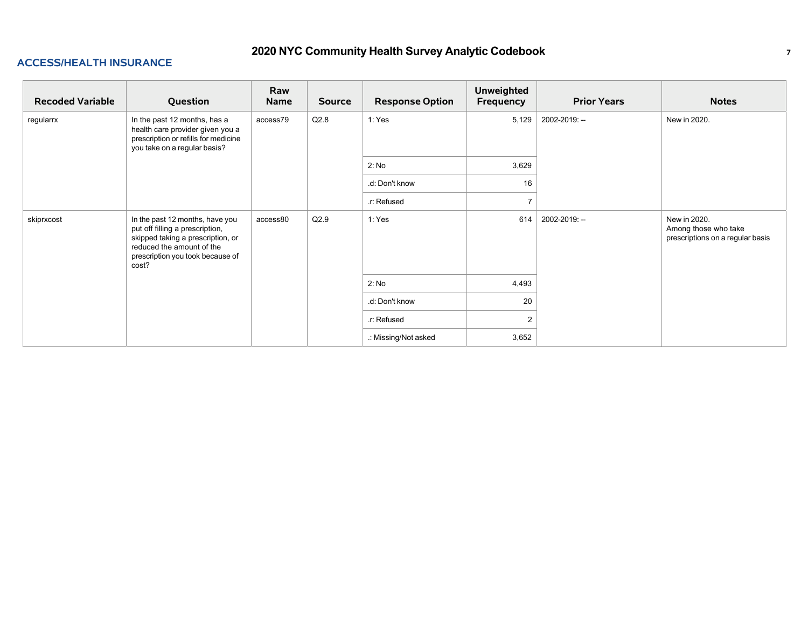| <b>Recoded Variable</b> | Question                                                                                                                                                                          | Raw<br>Name | <b>Source</b> | <b>Response Option</b> | <b>Unweighted</b><br>Frequency | <b>Prior Years</b> | <b>Notes</b>                                                             |
|-------------------------|-----------------------------------------------------------------------------------------------------------------------------------------------------------------------------------|-------------|---------------|------------------------|--------------------------------|--------------------|--------------------------------------------------------------------------|
| regularrx               | In the past 12 months, has a<br>health care provider given you a<br>prescription or refills for medicine<br>you take on a regular basis?                                          | access79    | Q2.8          | 1: Yes                 | 5,129                          | 2002-2019: --      | New in 2020.                                                             |
|                         |                                                                                                                                                                                   |             |               | 2: No                  | 3,629                          |                    |                                                                          |
|                         |                                                                                                                                                                                   |             |               | .d: Don't know         | 16                             |                    |                                                                          |
|                         |                                                                                                                                                                                   |             |               | r: Refused             | $\overline{ }$                 |                    |                                                                          |
| skiprxcost              | In the past 12 months, have you<br>put off filling a prescription,<br>skipped taking a prescription, or<br>reduced the amount of the<br>prescription you took because of<br>cost? | access80    | Q2.9          | 1: Yes                 | 614                            | 2002-2019: --      | New in 2020.<br>Among those who take<br>prescriptions on a regular basis |
|                         |                                                                                                                                                                                   |             |               | 2: No                  | 4,493                          |                    |                                                                          |
|                         |                                                                                                                                                                                   |             |               | .d: Don't know         | 20                             |                    |                                                                          |
|                         |                                                                                                                                                                                   |             |               | .r: Refused            | $\overline{2}$                 |                    |                                                                          |
|                         |                                                                                                                                                                                   |             |               | .: Missing/Not asked   | 3,652                          |                    |                                                                          |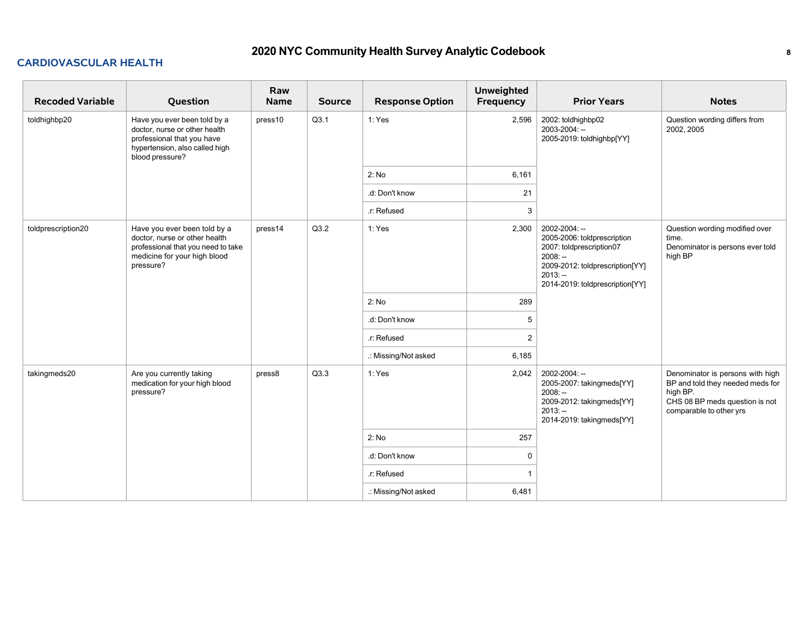### **CARDIOVASCULAR HEALTH**

| <b>Recoded Variable</b> | Question                                                                                                                                         | Raw<br><b>Name</b> | <b>Source</b> | <b>Response Option</b> | <b>Unweighted</b><br>Frequency | <b>Prior Years</b>                                                                                                                                                       | <b>Notes</b>                                                                                                                                  |
|-------------------------|--------------------------------------------------------------------------------------------------------------------------------------------------|--------------------|---------------|------------------------|--------------------------------|--------------------------------------------------------------------------------------------------------------------------------------------------------------------------|-----------------------------------------------------------------------------------------------------------------------------------------------|
| toldhighbp20            | Have you ever been told by a<br>doctor, nurse or other health<br>professional that you have<br>hypertension, also called high<br>blood pressure? | press10            | Q3.1          | 1: Yes                 | 2,596                          | 2002: toldhighbp02<br>2003-2004: --<br>2005-2019: toldhighbp[YY]                                                                                                         | Question wording differs from<br>2002, 2005                                                                                                   |
|                         |                                                                                                                                                  |                    |               | 2: No                  | 6,161                          |                                                                                                                                                                          |                                                                                                                                               |
|                         |                                                                                                                                                  |                    |               | .d: Don't know         | 21                             |                                                                                                                                                                          |                                                                                                                                               |
|                         |                                                                                                                                                  |                    |               | .r: Refused            | 3                              |                                                                                                                                                                          |                                                                                                                                               |
| toldprescription20      | Have you ever been told by a<br>doctor, nurse or other health<br>professional that you need to take<br>medicine for your high blood<br>pressure? | press14            | Q3.2          | 1: Yes                 | 2,300                          | 2002-2004: --<br>2005-2006: toldprescription<br>2007: toldprescription07<br>$2008: -$<br>2009-2012: toldprescription[YY]<br>$2013: -$<br>2014-2019: toldprescription[YY] | Question wording modified over<br>time.<br>Denominator is persons ever told<br>high BP                                                        |
|                         |                                                                                                                                                  |                    |               | 2: No                  | 289                            |                                                                                                                                                                          |                                                                                                                                               |
|                         |                                                                                                                                                  |                    |               | .d: Don't know         | 5                              |                                                                                                                                                                          |                                                                                                                                               |
|                         |                                                                                                                                                  |                    |               | r: Refused             | 2                              |                                                                                                                                                                          |                                                                                                                                               |
|                         |                                                                                                                                                  |                    |               | .: Missing/Not asked   | 6,185                          |                                                                                                                                                                          |                                                                                                                                               |
| takingmeds20            | Are you currently taking<br>medication for your high blood<br>pressure?                                                                          | press8             | Q3.3          | 1: Yes                 | 2,042                          | 2002-2004: --<br>2005-2007: takingmeds[YY]<br>$2008: -$<br>2009-2012: takingmeds[YY]<br>$2013: -$<br>2014-2019: takingmeds[YY]                                           | Denominator is persons with high<br>BP and told they needed meds for<br>high BP.<br>CHS 08 BP meds question is not<br>comparable to other yrs |
|                         |                                                                                                                                                  |                    |               | 2: No                  | 257                            |                                                                                                                                                                          |                                                                                                                                               |
|                         |                                                                                                                                                  |                    |               | .d: Don't know         | $\Omega$                       |                                                                                                                                                                          |                                                                                                                                               |
|                         |                                                                                                                                                  |                    |               | r: Refused             |                                |                                                                                                                                                                          |                                                                                                                                               |
|                         |                                                                                                                                                  |                    |               | .: Missing/Not asked   | 6,481                          |                                                                                                                                                                          |                                                                                                                                               |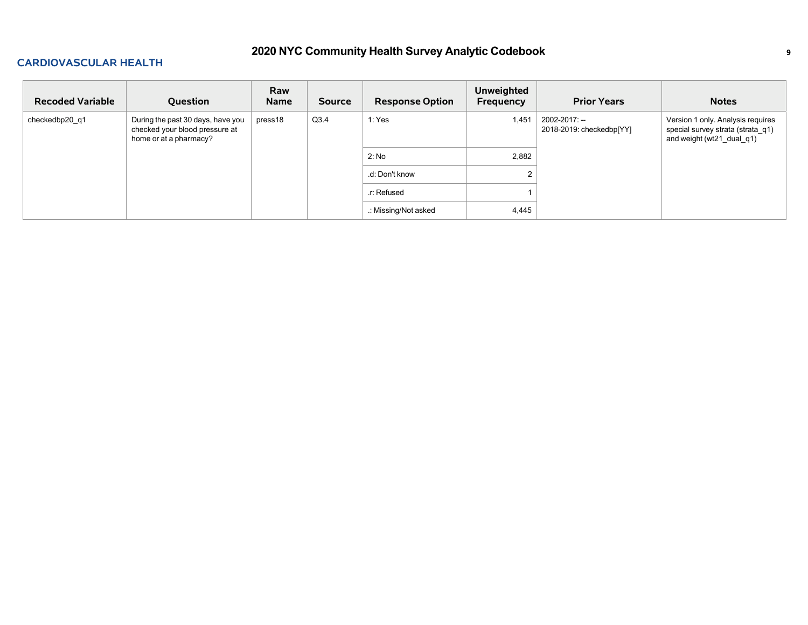### **CARDIOVASCULAR HEALTH**

| <b>Recoded Variable</b> | Question                                                                                      | Raw<br>Name | <b>Source</b> | <b>Response Option</b> | Unweighted<br>Frequency | <b>Prior Years</b>                        | <b>Notes</b>                                                                                        |
|-------------------------|-----------------------------------------------------------------------------------------------|-------------|---------------|------------------------|-------------------------|-------------------------------------------|-----------------------------------------------------------------------------------------------------|
| checkedbp20 q1          | During the past 30 days, have you<br>checked your blood pressure at<br>home or at a pharmacy? | press18     | Q3.4          | 1: Yes                 | 1,451                   | 2002-2017: --<br>2018-2019: checkedbp[YY] | Version 1 only. Analysis requires<br>special survey strata (strata q1)<br>and weight (wt21_dual_q1) |
|                         |                                                                                               |             |               | 2: No                  | 2,882                   |                                           |                                                                                                     |
|                         |                                                                                               |             |               | .d: Don't know         |                         |                                           |                                                                                                     |
|                         |                                                                                               |             |               | r: Refused             |                         |                                           |                                                                                                     |
|                         |                                                                                               |             |               | .: Missing/Not asked   | 4,445                   |                                           |                                                                                                     |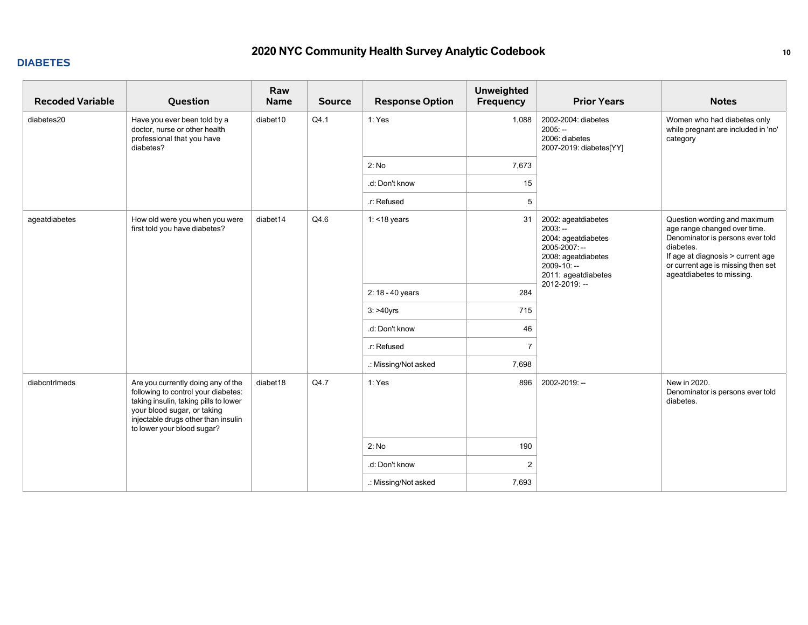### **DIABETES**

| <b>Recoded Variable</b> | Question                                                                                                                                                                                                               | Raw<br><b>Name</b> | <b>Source</b> | <b>Response Option</b> | <b>Unweighted</b><br>Frequency | <b>Prior Years</b>                                                                                                                                        | <b>Notes</b>                                                                                                                                                                                                          |
|-------------------------|------------------------------------------------------------------------------------------------------------------------------------------------------------------------------------------------------------------------|--------------------|---------------|------------------------|--------------------------------|-----------------------------------------------------------------------------------------------------------------------------------------------------------|-----------------------------------------------------------------------------------------------------------------------------------------------------------------------------------------------------------------------|
| diabetes20              | Have you ever been told by a<br>doctor, nurse or other health<br>professional that you have<br>diabetes?                                                                                                               | diabet10           | Q4.1          | 1: Yes                 | 1,088                          | 2002-2004: diabetes<br>$2005: -$<br>2006: diabetes<br>2007-2019: diabetes[YY]                                                                             | Women who had diabetes only<br>while pregnant are included in 'no'<br>category                                                                                                                                        |
|                         |                                                                                                                                                                                                                        |                    |               | 2: No                  | 7,673                          |                                                                                                                                                           |                                                                                                                                                                                                                       |
|                         |                                                                                                                                                                                                                        |                    |               | .d: Don't know         | 15                             |                                                                                                                                                           |                                                                                                                                                                                                                       |
|                         |                                                                                                                                                                                                                        |                    |               | .r: Refused            | 5                              |                                                                                                                                                           |                                                                                                                                                                                                                       |
| ageatdiabetes           | How old were you when you were<br>first told you have diabetes?                                                                                                                                                        | diabet14           | Q4.6          | 1: $<$ 18 years        | 31                             | 2002: ageatdiabetes<br>$2003: -$<br>2004: ageatdiabetes<br>2005-2007: --<br>2008: ageatdiabetes<br>$2009 - 10: -$<br>2011: ageatdiabetes<br>2012-2019: -- | Question wording and maximum<br>age range changed over time.<br>Denominator is persons ever told<br>diabetes.<br>If age at diagnosis > current age<br>or current age is missing then set<br>ageatdiabetes to missing. |
|                         |                                                                                                                                                                                                                        |                    |               | 2: 18 - 40 years       | 284                            |                                                                                                                                                           |                                                                                                                                                                                                                       |
|                         |                                                                                                                                                                                                                        |                    |               | $3:$ >40yrs            | 715                            |                                                                                                                                                           |                                                                                                                                                                                                                       |
|                         |                                                                                                                                                                                                                        |                    |               | .d: Don't know         | 46                             |                                                                                                                                                           |                                                                                                                                                                                                                       |
|                         |                                                                                                                                                                                                                        |                    |               | .r: Refused            | $\overline{7}$                 |                                                                                                                                                           |                                                                                                                                                                                                                       |
|                         |                                                                                                                                                                                                                        |                    |               | .: Missing/Not asked   | 7,698                          |                                                                                                                                                           |                                                                                                                                                                                                                       |
| diabcntrlmeds           | Are you currently doing any of the<br>following to control your diabetes:<br>taking insulin, taking pills to lower<br>your blood sugar, or taking<br>injectable drugs other than insulin<br>to lower your blood sugar? | diabet18           | Q4.7          | 1: Yes                 | 896                            | 2002-2019: --                                                                                                                                             | New in 2020.<br>Denominator is persons ever told<br>diabetes.                                                                                                                                                         |
|                         |                                                                                                                                                                                                                        |                    |               | 2: No                  | 190                            |                                                                                                                                                           |                                                                                                                                                                                                                       |
|                         |                                                                                                                                                                                                                        |                    |               | .d: Don't know         | $\overline{2}$                 |                                                                                                                                                           |                                                                                                                                                                                                                       |
|                         |                                                                                                                                                                                                                        |                    |               | .: Missing/Not asked   | 7,693                          |                                                                                                                                                           |                                                                                                                                                                                                                       |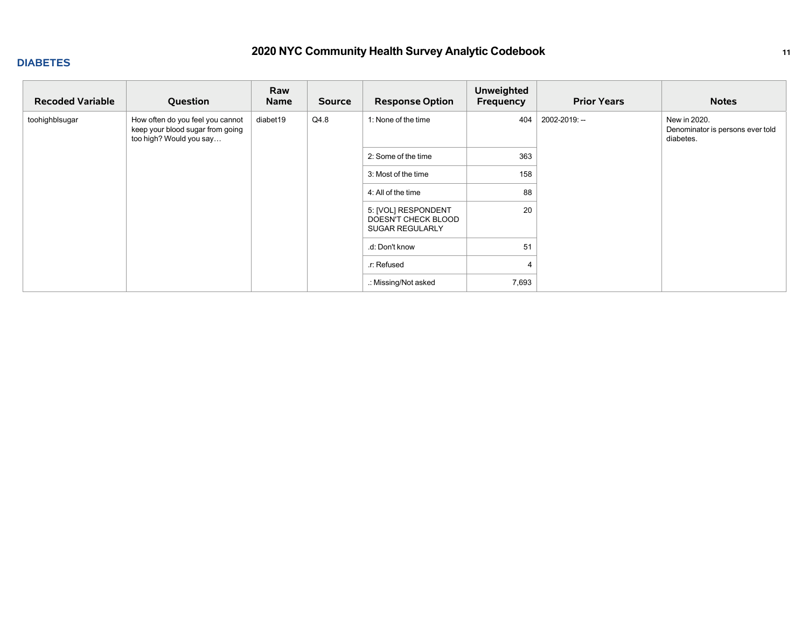### **DIABETES**

| <b>Recoded Variable</b> | Question                                                                                        | Raw<br><b>Name</b> | <b>Source</b> | <b>Response Option</b>                                               | <b>Unweighted</b><br>Frequency | <b>Prior Years</b> | <b>Notes</b>                                                  |
|-------------------------|-------------------------------------------------------------------------------------------------|--------------------|---------------|----------------------------------------------------------------------|--------------------------------|--------------------|---------------------------------------------------------------|
| toohighblsugar          | How often do you feel you cannot<br>keep your blood sugar from going<br>too high? Would you say | diabet19           | Q4.8          | 1: None of the time                                                  | 404                            | 2002-2019: --      | New in 2020.<br>Denominator is persons ever told<br>diabetes. |
|                         |                                                                                                 |                    |               | 2: Some of the time                                                  | 363                            |                    |                                                               |
|                         |                                                                                                 |                    |               | 3: Most of the time                                                  | 158                            |                    |                                                               |
|                         |                                                                                                 |                    |               | 4: All of the time                                                   | 88                             |                    |                                                               |
|                         |                                                                                                 |                    |               | 5: [VOL] RESPONDENT<br>DOESN'T CHECK BLOOD<br><b>SUGAR REGULARLY</b> | 20                             |                    |                                                               |
|                         |                                                                                                 |                    |               | .d: Don't know                                                       | 51                             |                    |                                                               |
|                         |                                                                                                 |                    |               | .r: Refused                                                          |                                |                    |                                                               |
|                         |                                                                                                 |                    |               | .: Missing/Not asked                                                 | 7,693                          |                    |                                                               |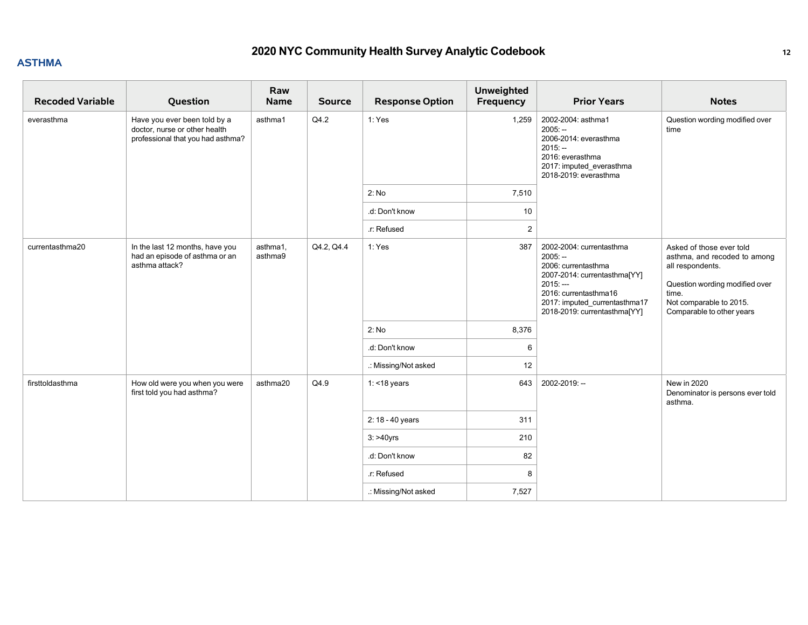### **ASTHMA**

| <b>Recoded Variable</b> | Question                                                                                           | Raw<br><b>Name</b>  | <b>Source</b> | <b>Response Option</b> | <b>Unweighted</b><br>Frequency | <b>Prior Years</b>                                                                                                                                                                                  | <b>Notes</b>                                                                                                                                                                    |
|-------------------------|----------------------------------------------------------------------------------------------------|---------------------|---------------|------------------------|--------------------------------|-----------------------------------------------------------------------------------------------------------------------------------------------------------------------------------------------------|---------------------------------------------------------------------------------------------------------------------------------------------------------------------------------|
| everasthma              | Have you ever been told by a<br>doctor, nurse or other health<br>professional that you had asthma? | asthma1             | Q4.2          | 1: Yes                 | 1,259                          | 2002-2004: asthma1<br>$2005: -$<br>2006-2014: everasthma<br>$2015: -$<br>2016: everasthma<br>2017: imputed_everasthma<br>2018-2019: everasthma                                                      | Question wording modified over<br>time                                                                                                                                          |
|                         |                                                                                                    |                     |               | 2: No                  | 7,510                          |                                                                                                                                                                                                     |                                                                                                                                                                                 |
|                         |                                                                                                    |                     |               | .d: Don't know         | 10                             |                                                                                                                                                                                                     |                                                                                                                                                                                 |
|                         |                                                                                                    |                     |               | .r: Refused            | 2                              |                                                                                                                                                                                                     |                                                                                                                                                                                 |
| currentasthma20         | In the last 12 months, have you<br>had an episode of asthma or an<br>asthma attack?                | asthma1,<br>asthma9 | Q4.2, Q4.4    | 1: Yes                 | 387                            | 2002-2004: currentasthma<br>$2005: -$<br>2006: currentasthma<br>2007-2014: currentasthma[YY]<br>$2015: -$<br>2016: currentasthma16<br>2017: imputed_currentasthma17<br>2018-2019: currentasthma[YY] | Asked of those ever told<br>asthma, and recoded to among<br>all respondents.<br>Question wording modified over<br>time.<br>Not comparable to 2015.<br>Comparable to other years |
|                         |                                                                                                    |                     |               | 2: No                  | 8,376                          |                                                                                                                                                                                                     |                                                                                                                                                                                 |
|                         |                                                                                                    |                     |               | .d: Don't know         | 6                              |                                                                                                                                                                                                     |                                                                                                                                                                                 |
|                         |                                                                                                    |                     |               | .: Missing/Not asked   | 12                             |                                                                                                                                                                                                     |                                                                                                                                                                                 |
| firsttoldasthma         | How old were you when you were<br>first told you had asthma?                                       | asthma20            | Q4.9          | $1:$ <18 years         | 643                            | 2002-2019: --                                                                                                                                                                                       | New in 2020<br>Denominator is persons ever told<br>asthma.                                                                                                                      |
|                         |                                                                                                    |                     |               | 2: 18 - 40 years       | 311                            |                                                                                                                                                                                                     |                                                                                                                                                                                 |
|                         |                                                                                                    |                     |               | $3:$ >40yrs            | 210                            |                                                                                                                                                                                                     |                                                                                                                                                                                 |
|                         |                                                                                                    |                     |               | .d: Don't know         | 82                             |                                                                                                                                                                                                     |                                                                                                                                                                                 |
|                         |                                                                                                    |                     |               | .r: Refused            | 8                              |                                                                                                                                                                                                     |                                                                                                                                                                                 |
|                         |                                                                                                    |                     |               | .: Missing/Not asked   | 7,527                          |                                                                                                                                                                                                     |                                                                                                                                                                                 |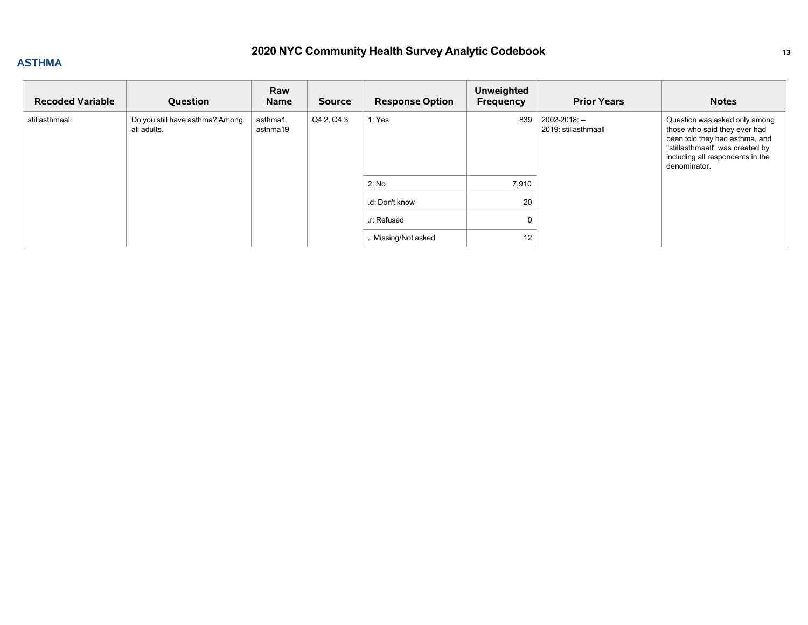### **ASTHMA**

| <b>Recoded Variable</b> | Question                                       | Raw<br><b>Name</b>   | <b>Source</b> | <b>Response Option</b> | <b>Unweighted</b><br>Frequency | <b>Prior Years</b>                    | <b>Notes</b>                                                                                                                                                                           |
|-------------------------|------------------------------------------------|----------------------|---------------|------------------------|--------------------------------|---------------------------------------|----------------------------------------------------------------------------------------------------------------------------------------------------------------------------------------|
| stillasthmaall          | Do you still have asthma? Among<br>all adults. | asthma1,<br>asthma19 | Q4.2, Q4.3    | 1: Yes                 | 839                            | 2002-2018: --<br>2019: stillasthmaall | Question was asked only among<br>those who said they ever had<br>been told they had asthma, and<br>"stillasthmaall" was created by<br>including all respondents in the<br>denominator. |
|                         |                                                |                      |               | 2: No                  | 7,910                          |                                       |                                                                                                                                                                                        |
|                         |                                                |                      |               | .d: Don't know         | 20                             |                                       |                                                                                                                                                                                        |
|                         |                                                |                      |               | .r: Refused            |                                |                                       |                                                                                                                                                                                        |
|                         |                                                |                      |               | .: Missing/Not asked   | 12                             |                                       |                                                                                                                                                                                        |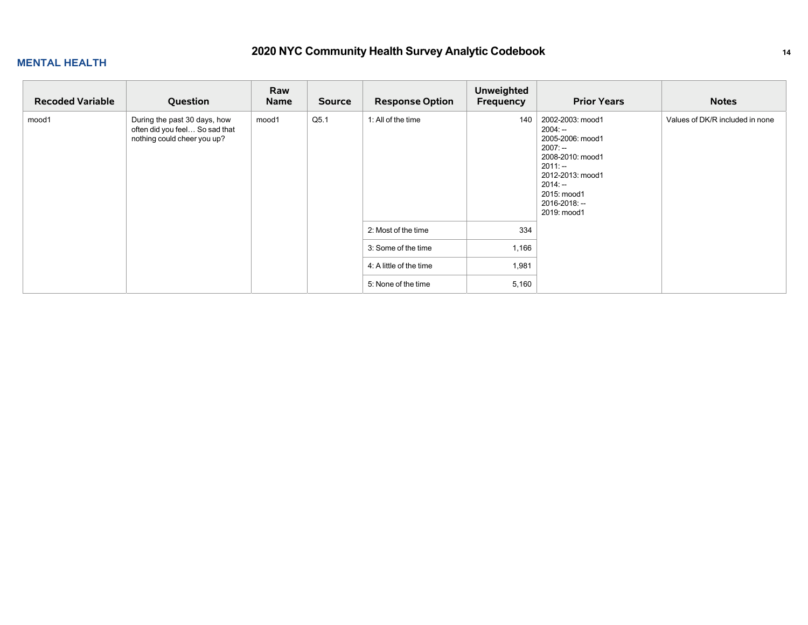| <b>Recoded Variable</b> | Question                                                                                      | Raw<br><b>Name</b> | Source | <b>Response Option</b>  | <b>Unweighted</b><br>Frequency | <b>Prior Years</b>                                                                                                                                                           | <b>Notes</b>                    |
|-------------------------|-----------------------------------------------------------------------------------------------|--------------------|--------|-------------------------|--------------------------------|------------------------------------------------------------------------------------------------------------------------------------------------------------------------------|---------------------------------|
| mood1                   | During the past 30 days, how<br>often did you feel So sad that<br>nothing could cheer you up? | mood1              | Q5.1   | 1: All of the time      | 140                            | 2002-2003: mood1<br>2004: --<br>2005-2006: mood1<br>2007: --<br>2008-2010: mood1<br>$2011: -$<br>2012-2013: mood1<br>2014: --<br>2015: mood1<br>2016-2018: --<br>2019: mood1 | Values of DK/R included in none |
|                         |                                                                                               |                    |        | 2: Most of the time     | 334                            |                                                                                                                                                                              |                                 |
|                         |                                                                                               |                    |        | 3: Some of the time     | 1,166                          |                                                                                                                                                                              |                                 |
|                         |                                                                                               |                    |        | 4: A little of the time | 1,981                          |                                                                                                                                                                              |                                 |
|                         |                                                                                               |                    |        | 5: None of the time     | 5,160                          |                                                                                                                                                                              |                                 |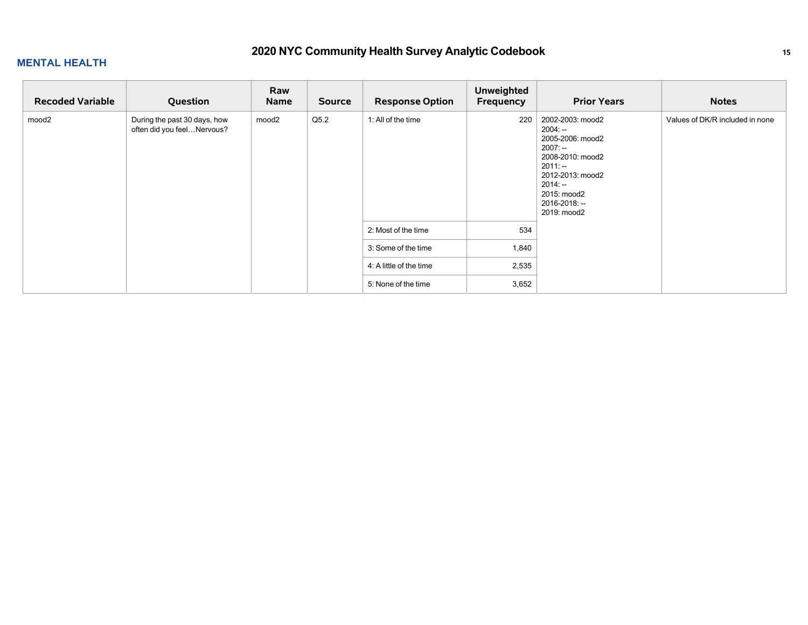| <b>Recoded Variable</b> | Question                                                   | Raw<br><b>Name</b> | <b>Source</b> | <b>Response Option</b>  | <b>Unweighted</b><br>Frequency | <b>Prior Years</b>                                                                                                                                                              | <b>Notes</b>                    |
|-------------------------|------------------------------------------------------------|--------------------|---------------|-------------------------|--------------------------------|---------------------------------------------------------------------------------------------------------------------------------------------------------------------------------|---------------------------------|
| mood <sub>2</sub>       | During the past 30 days, how<br>often did you feelNervous? | mood2              | Q5.2          | 1: All of the time      | 220                            | 2002-2003: mood2<br>$2004: -$<br>2005-2006: mood2<br>$2007: -$<br>2008-2010: mood2<br>$2011: -$<br>2012-2013: mood2<br>$2014: -$<br>2015: mood2<br>2016-2018: --<br>2019: mood2 | Values of DK/R included in none |
|                         |                                                            |                    |               | 2: Most of the time     | 534                            |                                                                                                                                                                                 |                                 |
|                         |                                                            |                    |               | 3: Some of the time     | 1,840                          |                                                                                                                                                                                 |                                 |
|                         |                                                            |                    |               | 4: A little of the time | 2,535                          |                                                                                                                                                                                 |                                 |
|                         |                                                            |                    |               | 5: None of the time     | 3,652                          |                                                                                                                                                                                 |                                 |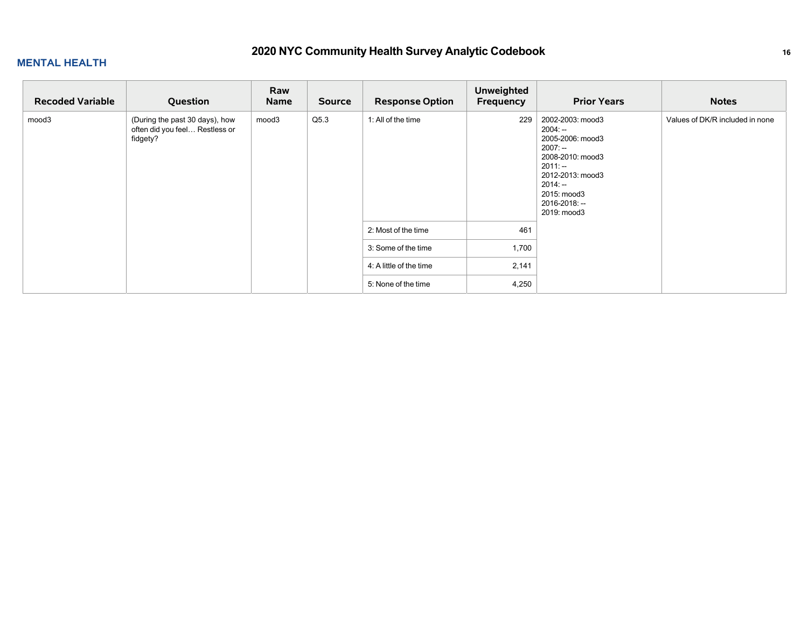| <b>Recoded Variable</b> | Question                                                                     | Raw<br><b>Name</b> | <b>Source</b> | <b>Response Option</b>  | <b>Unweighted</b><br>Frequency | <b>Prior Years</b>                                                                                                                                                              | <b>Notes</b>                    |
|-------------------------|------------------------------------------------------------------------------|--------------------|---------------|-------------------------|--------------------------------|---------------------------------------------------------------------------------------------------------------------------------------------------------------------------------|---------------------------------|
| mood3                   | (During the past 30 days), how<br>often did you feel Restless or<br>fidgety? | mood3              | Q5.3          | 1: All of the time      | 229                            | 2002-2003: mood3<br>$2004: -$<br>2005-2006: mood3<br>$2007: -$<br>2008-2010: mood3<br>$2011: -$<br>2012-2013: mood3<br>$2014: -$<br>2015: mood3<br>2016-2018: --<br>2019: mood3 | Values of DK/R included in none |
|                         |                                                                              |                    |               | 2: Most of the time     | 461                            |                                                                                                                                                                                 |                                 |
|                         |                                                                              |                    |               | 3: Some of the time     | 1,700                          |                                                                                                                                                                                 |                                 |
|                         |                                                                              |                    |               | 4: A little of the time | 2,141                          |                                                                                                                                                                                 |                                 |
|                         |                                                                              |                    |               | 5: None of the time     | 4,250                          |                                                                                                                                                                                 |                                 |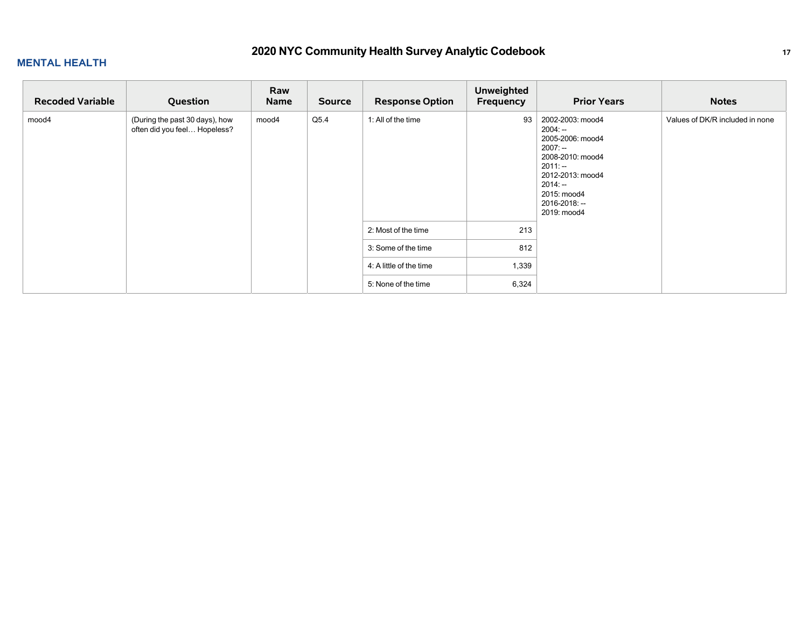| <b>Recoded Variable</b> | Question                                                       | Raw<br><b>Name</b> | <b>Source</b> | <b>Response Option</b>  | <b>Unweighted</b><br>Frequency | <b>Prior Years</b>                                                                                                                                                              | <b>Notes</b>                    |
|-------------------------|----------------------------------------------------------------|--------------------|---------------|-------------------------|--------------------------------|---------------------------------------------------------------------------------------------------------------------------------------------------------------------------------|---------------------------------|
| mood4                   | (During the past 30 days), how<br>often did you feel Hopeless? | mood4              | Q5.4          | 1: All of the time      | 93                             | 2002-2003: mood4<br>$2004: -$<br>2005-2006: mood4<br>$2007: -$<br>2008-2010: mood4<br>$2011: -$<br>2012-2013: mood4<br>$2014: -$<br>2015: mood4<br>2016-2018: --<br>2019: mood4 | Values of DK/R included in none |
|                         |                                                                |                    |               | 2: Most of the time     | 213                            |                                                                                                                                                                                 |                                 |
|                         |                                                                |                    |               | 3: Some of the time     | 812                            |                                                                                                                                                                                 |                                 |
|                         |                                                                |                    |               | 4: A little of the time | 1,339                          |                                                                                                                                                                                 |                                 |
|                         |                                                                |                    |               | 5: None of the time     | 6,324                          |                                                                                                                                                                                 |                                 |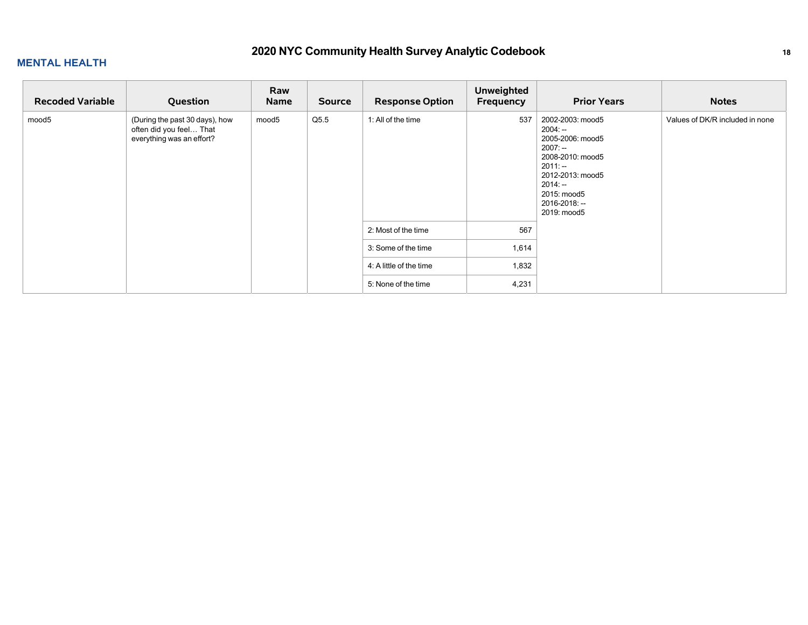| <b>Recoded Variable</b> | Question                                                                               | Raw<br><b>Name</b> | Source | <b>Response Option</b>  | <b>Unweighted</b><br>Frequency | <b>Prior Years</b>                                                                                                                                                              | <b>Notes</b>                    |
|-------------------------|----------------------------------------------------------------------------------------|--------------------|--------|-------------------------|--------------------------------|---------------------------------------------------------------------------------------------------------------------------------------------------------------------------------|---------------------------------|
| mood5                   | (During the past 30 days), how<br>often did you feel That<br>everything was an effort? | mood5              | Q5.5   | 1: All of the time      | 537                            | 2002-2003: mood5<br>$2004: -$<br>2005-2006: mood5<br>$2007: -$<br>2008-2010: mood5<br>$2011: -$<br>2012-2013: mood5<br>$2014: -$<br>2015: mood5<br>2016-2018: --<br>2019: mood5 | Values of DK/R included in none |
|                         |                                                                                        |                    |        | 2: Most of the time     | 567                            |                                                                                                                                                                                 |                                 |
|                         |                                                                                        |                    |        | 3: Some of the time     | 1,614                          |                                                                                                                                                                                 |                                 |
|                         |                                                                                        |                    |        | 4: A little of the time | 1,832                          |                                                                                                                                                                                 |                                 |
|                         |                                                                                        |                    |        | 5: None of the time     | 4,231                          |                                                                                                                                                                                 |                                 |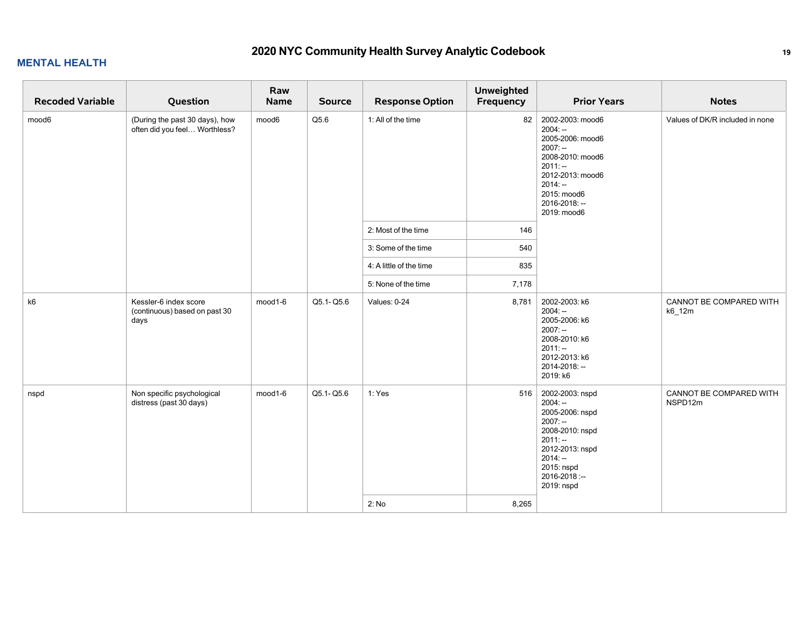#### **MENTAL HEALTH**

| <b>Recoded Variable</b> | Question                                                        | Raw<br>Name | <b>Source</b> | <b>Response Option</b>  | <b>Unweighted</b><br>Frequency | <b>Prior Years</b>                                                                                                                                                              | <b>Notes</b>                       |
|-------------------------|-----------------------------------------------------------------|-------------|---------------|-------------------------|--------------------------------|---------------------------------------------------------------------------------------------------------------------------------------------------------------------------------|------------------------------------|
| mood6                   | (During the past 30 days), how<br>often did you feel Worthless? | mood6       | Q5.6          | 1: All of the time      | 82                             | 2002-2003: mood6<br>$2004: -$<br>2005-2006: mood6<br>$2007: -$<br>2008-2010: mood6<br>$2011: -$<br>2012-2013: mood6<br>$2014: -$<br>2015: mood6<br>2016-2018: --<br>2019: mood6 | Values of DK/R included in none    |
|                         |                                                                 |             |               | 2: Most of the time     | 146                            |                                                                                                                                                                                 |                                    |
|                         |                                                                 |             |               | 3: Some of the time     | 540                            |                                                                                                                                                                                 |                                    |
|                         |                                                                 |             |               | 4: A little of the time | 835                            |                                                                                                                                                                                 |                                    |
|                         |                                                                 |             |               | 5: None of the time     | 7,178                          |                                                                                                                                                                                 |                                    |
| k6                      | Kessler-6 index score<br>(continuous) based on past 30<br>days  | mood1-6     | Q5.1-Q5.6     | Values: 0-24            | 8,781                          | 2002-2003: k6<br>$2004: -$<br>2005-2006: k6<br>$2007: -$<br>2008-2010: k6<br>$2011: -$<br>2012-2013: k6<br>2014-2018: --<br>2019: k6                                            | CANNOT BE COMPARED WITH<br>k6_12m  |
| nspd                    | Non specific psychological<br>distress (past 30 days)           | mood1-6     | Q5.1-Q5.6     | 1: Yes<br>2: No         | 516<br>8,265                   | 2002-2003: nspd<br>$2004: -$<br>2005-2006: nspd<br>$2007: -$<br>2008-2010: nspd<br>$2011: -$<br>2012-2013: nspd<br>$2014: -$<br>2015: nspd<br>2016-2018:--<br>2019: nspd        | CANNOT BE COMPARED WITH<br>NSPD12m |
|                         |                                                                 |             |               |                         |                                |                                                                                                                                                                                 |                                    |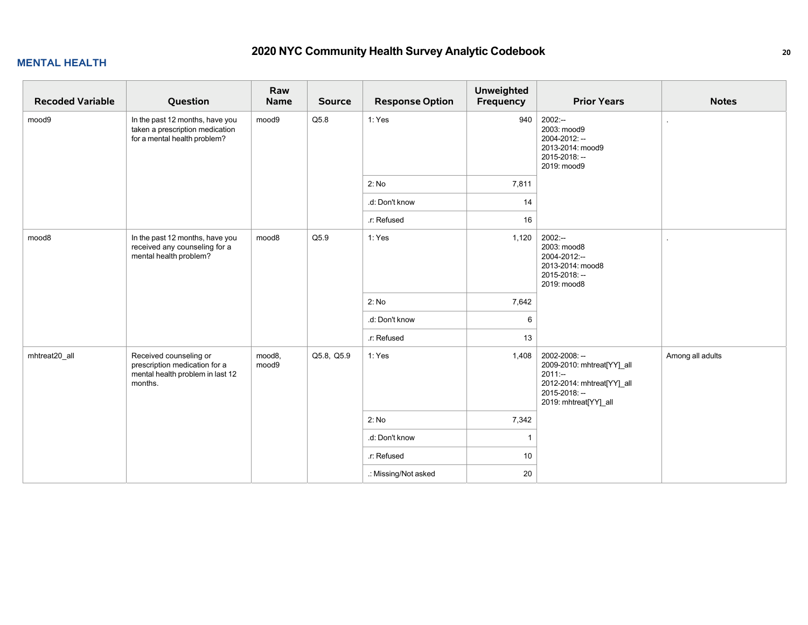| <b>Recoded Variable</b> | Question                                                                                               | Raw<br>Name     | <b>Source</b> | <b>Response Option</b> | <b>Unweighted</b><br>Frequency | <b>Prior Years</b>                                                                                                              | <b>Notes</b>     |
|-------------------------|--------------------------------------------------------------------------------------------------------|-----------------|---------------|------------------------|--------------------------------|---------------------------------------------------------------------------------------------------------------------------------|------------------|
| mood9                   | In the past 12 months, have you<br>taken a prescription medication<br>for a mental health problem?     | mood9           | Q5.8          | 1: Yes                 | 940                            | $2002: -$<br>2003: mood9<br>2004-2012: --<br>2013-2014: mood9<br>2015-2018: -<br>2019: mood9                                    |                  |
|                         |                                                                                                        |                 |               | 2: No                  | 7,811                          |                                                                                                                                 |                  |
|                         |                                                                                                        |                 |               | .d: Don't know         | 14                             |                                                                                                                                 |                  |
|                         |                                                                                                        |                 |               | .r: Refused            | 16                             |                                                                                                                                 |                  |
| mood8                   | In the past 12 months, have you<br>received any counseling for a<br>mental health problem?             | mood8           | Q5.9          | 1: Yes                 | 1,120                          | $2002:-$<br>2003: mood8<br>2004-2012:--<br>2013-2014: mood8<br>2015-2018: --<br>2019: mood8                                     |                  |
|                         |                                                                                                        |                 |               | 2: No                  | 7,642                          |                                                                                                                                 |                  |
|                         |                                                                                                        |                 |               | .d: Don't know         | 6                              |                                                                                                                                 |                  |
|                         |                                                                                                        |                 |               | .r: Refused            | 13                             |                                                                                                                                 |                  |
| mhtreat20_all           | Received counseling or<br>prescription medication for a<br>mental health problem in last 12<br>months. | mood8,<br>mood9 | Q5.8, Q5.9    | 1: Yes                 | 1,408                          | 2002-2008: --<br>2009-2010: mhtreat[YY]_all<br>$2011 -$<br>2012-2014: mhtreat[YY]_all<br>2015-2018: --<br>2019: mhtreat[YY]_all | Among all adults |
|                         |                                                                                                        |                 |               | 2: No                  | 7,342                          |                                                                                                                                 |                  |
|                         |                                                                                                        |                 |               | .d: Don't know         | $\overline{1}$                 |                                                                                                                                 |                  |
|                         |                                                                                                        |                 |               | r: Refused             | 10                             |                                                                                                                                 |                  |
|                         |                                                                                                        |                 |               | .: Missing/Not asked   | 20                             |                                                                                                                                 |                  |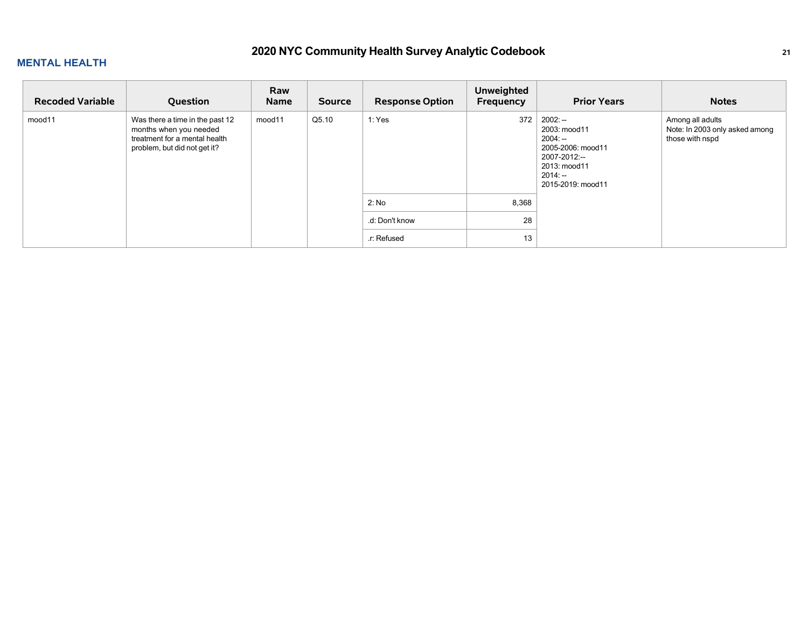| <b>Recoded Variable</b> | Question                                                                                                                   | Raw<br>Name | <b>Source</b> | <b>Response Option</b> | <b>Unweighted</b><br>Frequency | <b>Prior Years</b>                                                                                                            | <b>Notes</b>                                                          |
|-------------------------|----------------------------------------------------------------------------------------------------------------------------|-------------|---------------|------------------------|--------------------------------|-------------------------------------------------------------------------------------------------------------------------------|-----------------------------------------------------------------------|
| mood11                  | Was there a time in the past 12<br>months when you needed<br>treatment for a mental health<br>problem, but did not get it? | mood11      | Q5.10         | 1: Yes                 | 372                            | $2002: -$<br>2003: mood11<br>$2004: -$<br>2005-2006: mood11<br>2007-2012:--<br>2013: mood11<br>$2014: -$<br>2015-2019: mood11 | Among all adults<br>Note: In 2003 only asked among<br>those with nspd |
|                         |                                                                                                                            |             |               | 2: No                  | 8,368                          |                                                                                                                               |                                                                       |
|                         |                                                                                                                            |             |               | .d: Don't know         | 28                             |                                                                                                                               |                                                                       |
|                         |                                                                                                                            |             |               | .r: Refused            | 13                             |                                                                                                                               |                                                                       |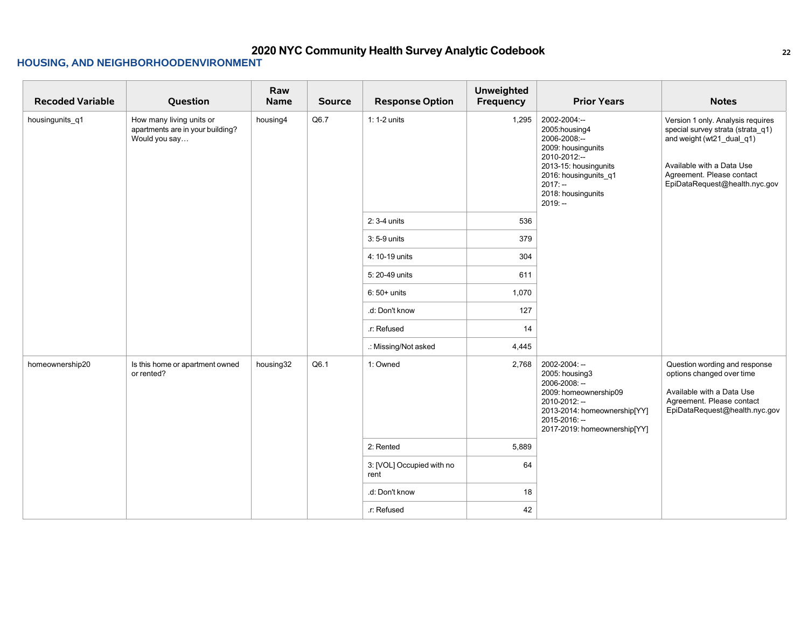| <b>Recoded Variable</b> | Question                                                                      | Raw<br>Name | <b>Source</b> | <b>Response Option</b>            | Unweighted<br>Frequency | <b>Prior Years</b>                                                                                                                                                                     | <b>Notes</b>                                                                                                                                                                                   |
|-------------------------|-------------------------------------------------------------------------------|-------------|---------------|-----------------------------------|-------------------------|----------------------------------------------------------------------------------------------------------------------------------------------------------------------------------------|------------------------------------------------------------------------------------------------------------------------------------------------------------------------------------------------|
| housingunits_q1         | How many living units or<br>apartments are in your building?<br>Would you say | housing4    | Q6.7          | $1:1-2$ units                     | 1,295                   | 2002-2004:--<br>2005: housing 4<br>2006-2008:--<br>2009: housingunits<br>2010-2012:-<br>2013-15: housingunits<br>2016: housingunits_q1<br>$2017: -$<br>2018: housingunits<br>$2019: -$ | Version 1 only. Analysis requires<br>special survey strata (strata_q1)<br>and weight (wt21_dual_q1)<br>Available with a Data Use<br>Agreement. Please contact<br>EpiDataRequest@health.nyc.gov |
|                         |                                                                               |             |               | 2: 3-4 units                      | 536                     |                                                                                                                                                                                        |                                                                                                                                                                                                |
|                         |                                                                               |             |               | 3:5-9 units                       | 379                     |                                                                                                                                                                                        |                                                                                                                                                                                                |
|                         |                                                                               |             |               | 4: 10-19 units                    | 304                     |                                                                                                                                                                                        |                                                                                                                                                                                                |
|                         |                                                                               |             |               | 5: 20-49 units                    | 611                     |                                                                                                                                                                                        |                                                                                                                                                                                                |
|                         |                                                                               |             |               | $6:50+$ units                     | 1,070                   |                                                                                                                                                                                        |                                                                                                                                                                                                |
|                         |                                                                               |             |               | .d: Don't know                    | 127                     |                                                                                                                                                                                        |                                                                                                                                                                                                |
|                         |                                                                               |             |               | r: Refused                        | 14                      |                                                                                                                                                                                        |                                                                                                                                                                                                |
|                         |                                                                               |             |               | .: Missing/Not asked              | 4,445                   |                                                                                                                                                                                        |                                                                                                                                                                                                |
| homeownership20         | Is this home or apartment owned<br>or rented?                                 | housing32   | Q6.1          | 1: Owned                          | 2,768                   | 2002-2004: --<br>2005: housing3<br>2006-2008: --<br>2009: homeownership09<br>2010-2012: --<br>2013-2014: homeownership[YY]<br>2015-2016: --<br>2017-2019: homeownership[YY]            | Question wording and response<br>options changed over time<br>Available with a Data Use<br>Agreement. Please contact<br>EpiDataRequest@health.nyc.gov                                          |
|                         |                                                                               |             |               | 2: Rented                         | 5,889                   |                                                                                                                                                                                        |                                                                                                                                                                                                |
|                         |                                                                               |             |               | 3: [VOL] Occupied with no<br>rent | 64                      |                                                                                                                                                                                        |                                                                                                                                                                                                |
|                         |                                                                               |             |               | .d: Don't know                    | 18                      |                                                                                                                                                                                        |                                                                                                                                                                                                |
|                         |                                                                               |             |               | .r: Refused                       | 42                      |                                                                                                                                                                                        |                                                                                                                                                                                                |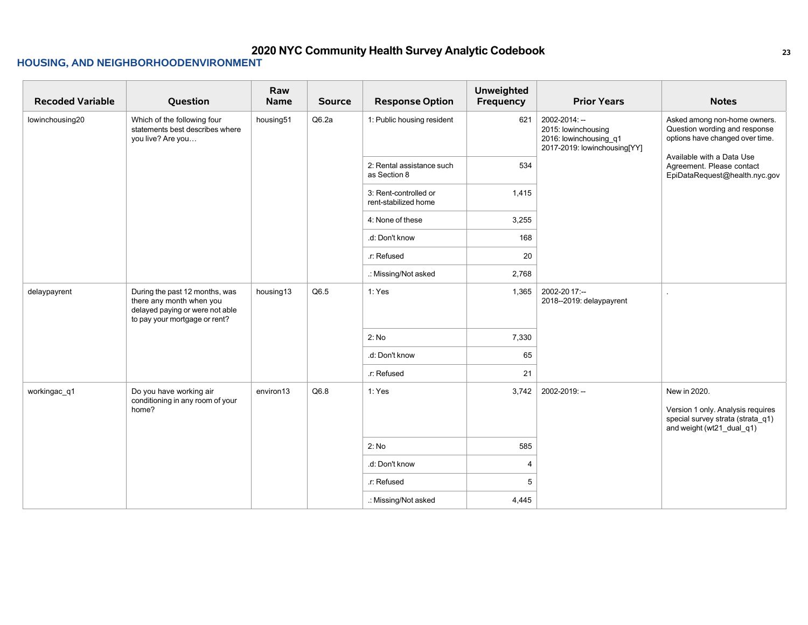| <b>Recoded Variable</b> | Question                                                                                                                       | Raw<br>Name | <b>Source</b> | <b>Response Option</b>                        | <b>Unweighted</b><br>Frequency | <b>Prior Years</b>                                                                             | <b>Notes</b>                                                                                                        |
|-------------------------|--------------------------------------------------------------------------------------------------------------------------------|-------------|---------------|-----------------------------------------------|--------------------------------|------------------------------------------------------------------------------------------------|---------------------------------------------------------------------------------------------------------------------|
| lowinchousing20         | Which of the following four<br>statements best describes where<br>you live? Are you                                            | housing51   | Q6.2a         | 1: Public housing resident                    | 621                            | 2002-2014: --<br>2015: lowinchousing<br>2016: lowinchousing_q1<br>2017-2019: lowinchousing[YY] | Asked among non-home owners.<br>Question wording and response<br>options have changed over time.                    |
|                         |                                                                                                                                |             |               | 2: Rental assistance such<br>as Section 8     | 534                            |                                                                                                | Available with a Data Use<br>Agreement. Please contact<br>EpiDataRequest@health.nyc.gov                             |
|                         |                                                                                                                                |             |               | 3: Rent-controlled or<br>rent-stabilized home | 1,415                          |                                                                                                |                                                                                                                     |
|                         |                                                                                                                                |             |               | 4: None of these                              | 3,255                          |                                                                                                |                                                                                                                     |
|                         |                                                                                                                                |             |               | .d: Don't know                                | 168                            |                                                                                                |                                                                                                                     |
|                         |                                                                                                                                |             |               | .r: Refused                                   | 20                             |                                                                                                |                                                                                                                     |
|                         |                                                                                                                                |             |               | .: Missing/Not asked                          | 2,768                          |                                                                                                |                                                                                                                     |
| delaypayrent            | During the past 12 months, was<br>there any month when you<br>delayed paying or were not able<br>to pay your mortgage or rent? | housing13   | Q6.5          | 1: Yes                                        | 1,365                          | 2002-2017:--<br>2018--2019: delaypayrent                                                       |                                                                                                                     |
|                         |                                                                                                                                |             |               | 2: No                                         | 7,330                          |                                                                                                |                                                                                                                     |
|                         |                                                                                                                                |             |               | .d: Don't know                                | 65                             |                                                                                                |                                                                                                                     |
|                         |                                                                                                                                |             |               | .r: Refused                                   | 21                             |                                                                                                |                                                                                                                     |
| workingac_q1            | Do you have working air<br>conditioning in any room of your<br>home?                                                           | environ13   | Q6.8          | 1: Yes                                        | 3,742                          | 2002-2019: --                                                                                  | New in 2020.<br>Version 1 only. Analysis requires<br>special survey strata (strata_q1)<br>and weight (wt21_dual_q1) |
|                         |                                                                                                                                |             |               | 2: No                                         | 585                            |                                                                                                |                                                                                                                     |
|                         |                                                                                                                                |             |               | .d: Don't know                                | $\overline{4}$                 |                                                                                                |                                                                                                                     |
|                         |                                                                                                                                |             |               | .r: Refused                                   | 5                              |                                                                                                |                                                                                                                     |
|                         |                                                                                                                                |             |               | .: Missing/Not asked                          | 4,445                          |                                                                                                |                                                                                                                     |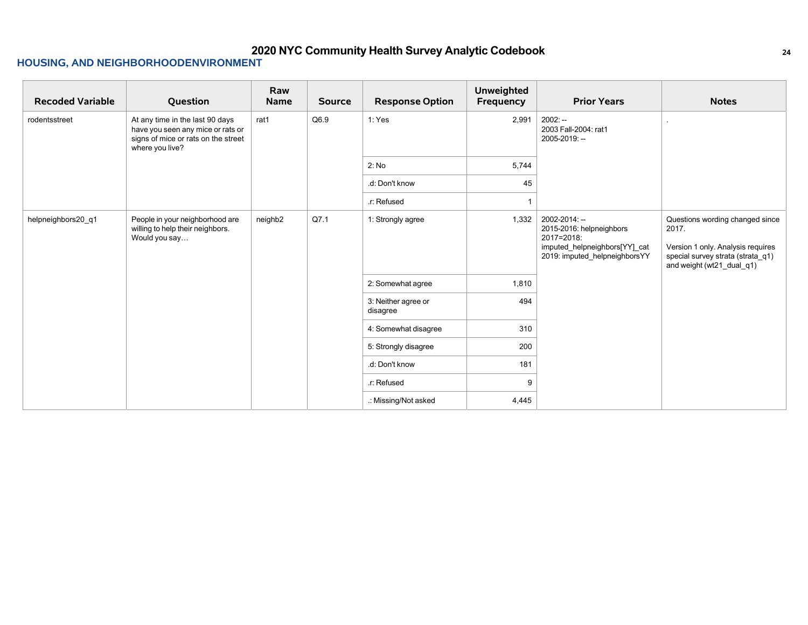| <b>Recoded Variable</b> | Question                                                                                                                       | Raw<br>Name         | <b>Source</b> | <b>Response Option</b>          | <b>Unweighted</b><br>Frequency | <b>Prior Years</b>                                                                                                        | <b>Notes</b>                                                                                                                                    |
|-------------------------|--------------------------------------------------------------------------------------------------------------------------------|---------------------|---------------|---------------------------------|--------------------------------|---------------------------------------------------------------------------------------------------------------------------|-------------------------------------------------------------------------------------------------------------------------------------------------|
| rodentsstreet           | At any time in the last 90 days<br>have you seen any mice or rats or<br>signs of mice or rats on the street<br>where you live? | rat1                | Q6.9          | 1:Yes                           | 2,991                          | $2002: -$<br>2003 Fall-2004: rat1<br>2005-2019: --                                                                        |                                                                                                                                                 |
|                         |                                                                                                                                |                     |               | 2: No                           | 5,744                          |                                                                                                                           |                                                                                                                                                 |
|                         |                                                                                                                                |                     |               | .d: Don't know                  | 45                             |                                                                                                                           |                                                                                                                                                 |
|                         |                                                                                                                                |                     |               | .r: Refused                     |                                |                                                                                                                           |                                                                                                                                                 |
| helpneighbors20 q1      | People in your neighborhood are<br>willing to help their neighbors.<br>Would you say                                           | neighb <sub>2</sub> | Q7.1          | 1: Strongly agree               | 1,332                          | 2002-2014: --<br>2015-2016: helpneighbors<br>2017=2018:<br>imputed_helpneighbors[YY]_cat<br>2019: imputed helpneighborsYY | Questions wording changed since<br>2017.<br>Version 1 only. Analysis requires<br>special survey strata (strata_q1)<br>and weight (wt21_dual_q1) |
|                         |                                                                                                                                |                     |               | 2: Somewhat agree               | 1,810                          |                                                                                                                           |                                                                                                                                                 |
|                         |                                                                                                                                |                     |               | 3: Neither agree or<br>disagree | 494                            |                                                                                                                           |                                                                                                                                                 |
|                         |                                                                                                                                |                     |               | 4: Somewhat disagree            | 310                            |                                                                                                                           |                                                                                                                                                 |
|                         |                                                                                                                                |                     |               | 5: Strongly disagree            | 200                            |                                                                                                                           |                                                                                                                                                 |
|                         |                                                                                                                                |                     |               | .d: Don't know                  | 181                            |                                                                                                                           |                                                                                                                                                 |
|                         |                                                                                                                                |                     |               | .r: Refused                     | -9                             |                                                                                                                           |                                                                                                                                                 |
|                         |                                                                                                                                |                     |               | .: Missing/Not asked            | 4,445                          |                                                                                                                           |                                                                                                                                                 |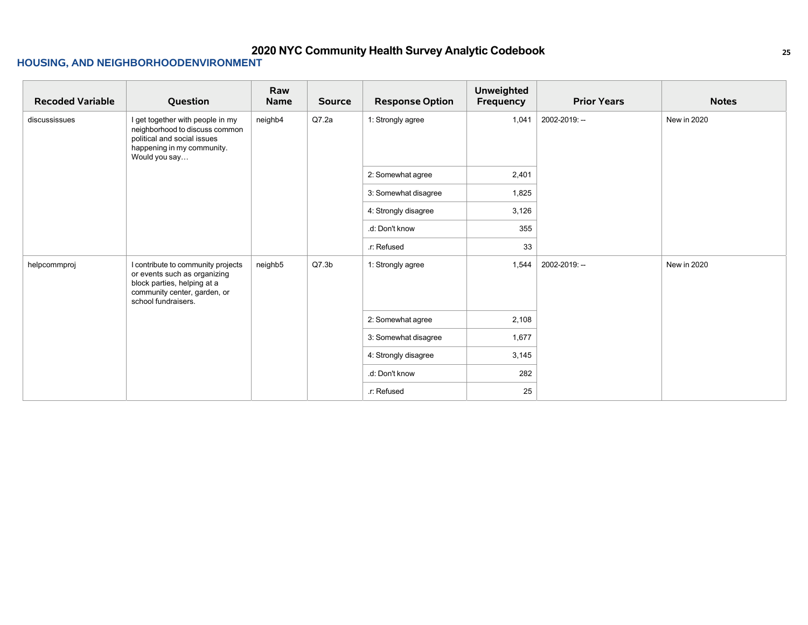| <b>Recoded Variable</b> | Question                                                                                                                                                 | Raw<br>Name | <b>Source</b>     | <b>Response Option</b> | <b>Unweighted</b><br><b>Frequency</b> | <b>Prior Years</b> | <b>Notes</b> |
|-------------------------|----------------------------------------------------------------------------------------------------------------------------------------------------------|-------------|-------------------|------------------------|---------------------------------------|--------------------|--------------|
| discussissues           | I get together with people in my<br>neighborhood to discuss common<br>political and social issues<br>happening in my community.<br>Would you say         | neighb4     | Q7.2a             | 1: Strongly agree      | 1,041                                 | 2002-2019: --      | New in 2020  |
|                         |                                                                                                                                                          |             |                   | 2: Somewhat agree      | 2,401                                 |                    |              |
|                         |                                                                                                                                                          |             |                   | 3: Somewhat disagree   | 1,825                                 |                    |              |
|                         |                                                                                                                                                          |             |                   | 4: Strongly disagree   | 3,126                                 |                    |              |
|                         |                                                                                                                                                          |             |                   | .d: Don't know         | 355                                   |                    |              |
|                         |                                                                                                                                                          |             |                   | .r: Refused            | 33                                    |                    |              |
| helpcommproj            | I contribute to community projects<br>or events such as organizing<br>block parties, helping at a<br>community center, garden, or<br>school fundraisers. | neighb5     | Q7.3 <sub>b</sub> | 1: Strongly agree      | 1,544                                 | 2002-2019: --      | New in 2020  |
|                         |                                                                                                                                                          |             |                   | 2: Somewhat agree      | 2,108                                 |                    |              |
|                         |                                                                                                                                                          |             |                   | 3: Somewhat disagree   | 1,677                                 |                    |              |
|                         |                                                                                                                                                          |             |                   | 4: Strongly disagree   | 3,145                                 |                    |              |
|                         |                                                                                                                                                          |             |                   | .d: Don't know         | 282                                   |                    |              |
|                         |                                                                                                                                                          |             |                   | .r: Refused            | 25                                    |                    |              |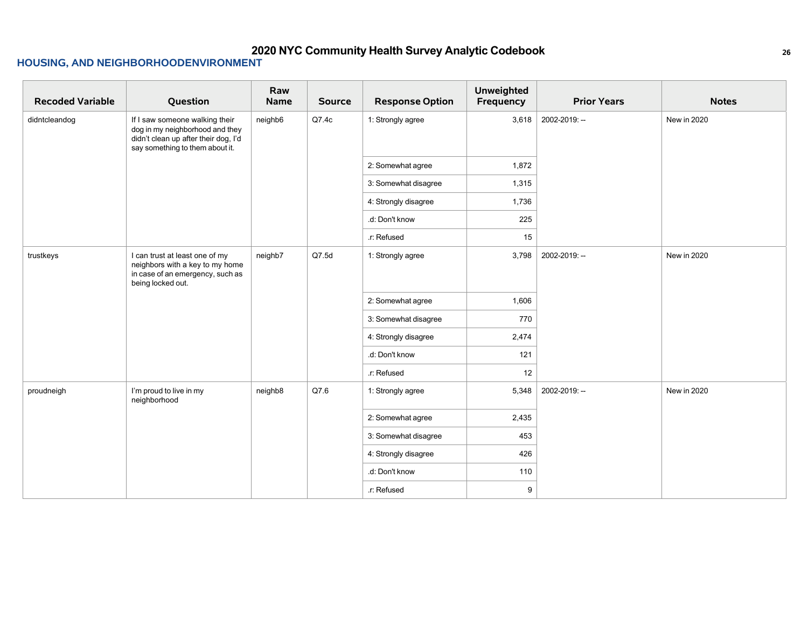| <b>Recoded Variable</b> | Question                                                                                                                                     | Raw<br>Name | <b>Source</b> | <b>Response Option</b> | <b>Unweighted</b><br>Frequency | <b>Prior Years</b> | <b>Notes</b> |
|-------------------------|----------------------------------------------------------------------------------------------------------------------------------------------|-------------|---------------|------------------------|--------------------------------|--------------------|--------------|
| didntcleandog           | If I saw someone walking their<br>dog in my neighborhood and they<br>didn't clean up after their dog, I'd<br>say something to them about it. | neighb6     | Q7.4c         | 1: Strongly agree      | 3,618                          | 2002-2019: --      | New in 2020  |
|                         |                                                                                                                                              |             |               | 2: Somewhat agree      | 1,872                          |                    |              |
|                         |                                                                                                                                              |             |               | 3: Somewhat disagree   | 1,315                          |                    |              |
|                         |                                                                                                                                              |             |               | 4: Strongly disagree   | 1,736                          |                    |              |
|                         |                                                                                                                                              |             |               | .d: Don't know         | 225                            |                    |              |
|                         |                                                                                                                                              |             |               | .r: Refused            | 15                             |                    |              |
| trustkeys               | I can trust at least one of my<br>neighbors with a key to my home<br>in case of an emergency, such as<br>being locked out.                   | neighb7     | Q7.5d         | 1: Strongly agree      | 3,798                          | 2002-2019: --      | New in 2020  |
|                         |                                                                                                                                              |             |               | 2: Somewhat agree      | 1,606                          |                    |              |
|                         |                                                                                                                                              |             |               | 3: Somewhat disagree   | 770                            |                    |              |
|                         |                                                                                                                                              |             |               | 4: Strongly disagree   | 2,474                          |                    |              |
|                         |                                                                                                                                              |             |               | .d: Don't know         | 121                            |                    |              |
|                         |                                                                                                                                              |             |               | .r: Refused            | 12                             |                    |              |
| proudneigh              | I'm proud to live in my<br>neighborhood                                                                                                      | neighb8     | Q7.6          | 1: Strongly agree      | 5,348                          | 2002-2019: --      | New in 2020  |
|                         |                                                                                                                                              |             |               | 2: Somewhat agree      | 2,435                          |                    |              |
|                         |                                                                                                                                              |             |               | 3: Somewhat disagree   | 453                            |                    |              |
|                         |                                                                                                                                              |             |               | 4: Strongly disagree   | 426                            |                    |              |
|                         |                                                                                                                                              |             |               | .d: Don't know         | 110                            |                    |              |
|                         |                                                                                                                                              |             |               | .r: Refused            | 9                              |                    |              |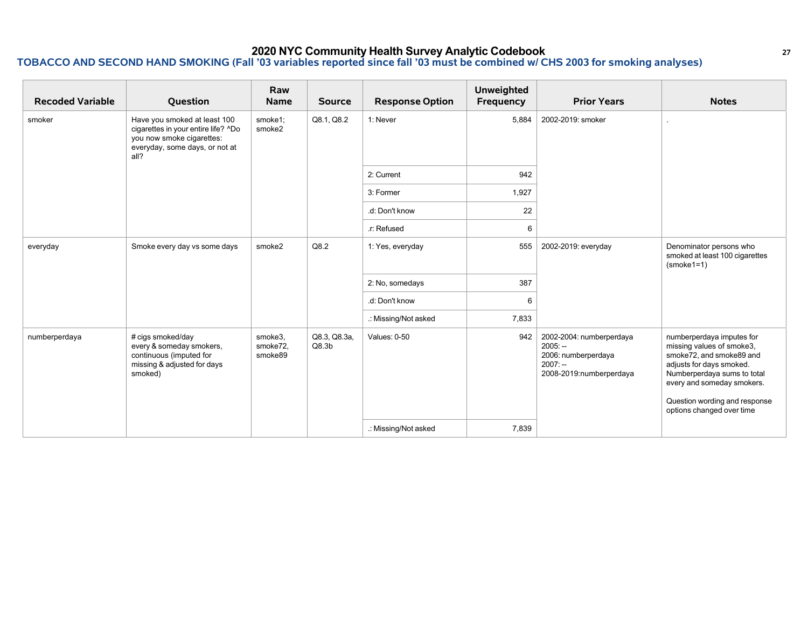| <b>Recoded Variable</b> | Question                                                                                                                                   | Raw<br><b>Name</b>             | <b>Source</b>                     | <b>Response Option</b> | <b>Unweighted</b><br>Frequency | <b>Prior Years</b>                                                                                   | <b>Notes</b>                                                                                                                                                                                                                              |
|-------------------------|--------------------------------------------------------------------------------------------------------------------------------------------|--------------------------------|-----------------------------------|------------------------|--------------------------------|------------------------------------------------------------------------------------------------------|-------------------------------------------------------------------------------------------------------------------------------------------------------------------------------------------------------------------------------------------|
| smoker                  | Have you smoked at least 100<br>cigarettes in your entire life? ^Do<br>you now smoke cigarettes:<br>everyday, some days, or not at<br>all? | smoke1;<br>smoke2              | Q8.1, Q8.2                        | 1: Never               | 5,884                          | 2002-2019: smoker                                                                                    |                                                                                                                                                                                                                                           |
|                         |                                                                                                                                            |                                |                                   | 2: Current             | 942                            |                                                                                                      |                                                                                                                                                                                                                                           |
|                         |                                                                                                                                            |                                |                                   | 3: Former              | 1,927                          |                                                                                                      |                                                                                                                                                                                                                                           |
|                         |                                                                                                                                            |                                |                                   | .d: Don't know         | 22                             |                                                                                                      |                                                                                                                                                                                                                                           |
|                         |                                                                                                                                            |                                |                                   | .r: Refused            | 6                              |                                                                                                      |                                                                                                                                                                                                                                           |
| everyday                | Smoke every day vs some days                                                                                                               | smoke2                         | Q8.2                              | 1: Yes, everyday       | 555                            | 2002-2019: everyday                                                                                  | Denominator persons who<br>smoked at least 100 cigarettes<br>$(smoke1=1)$                                                                                                                                                                 |
|                         |                                                                                                                                            |                                |                                   | 2: No, somedays        | 387                            |                                                                                                      |                                                                                                                                                                                                                                           |
|                         |                                                                                                                                            |                                |                                   | .d: Don't know         | 6                              |                                                                                                      |                                                                                                                                                                                                                                           |
|                         |                                                                                                                                            |                                |                                   | .: Missing/Not asked   | 7,833                          |                                                                                                      |                                                                                                                                                                                                                                           |
| numberperdaya           | # cigs smoked/day<br>every & someday smokers,<br>continuous (imputed for<br>missing & adjusted for days<br>smoked)                         | smoke3,<br>smoke72,<br>smoke89 | Q8.3, Q8.3a,<br>Q8.3 <sub>b</sub> | Values: 0-50           | 942                            | 2002-2004: numberperdaya<br>$2005: -$<br>2006: numberperdaya<br>$2007: -$<br>2008-2019:numberperdaya | numberperdaya imputes for<br>missing values of smoke3,<br>smoke72, and smoke89 and<br>adjusts for days smoked.<br>Numberperdaya sums to total<br>every and someday smokers.<br>Question wording and response<br>options changed over time |
|                         |                                                                                                                                            |                                |                                   | .: Missing/Not asked   | 7,839                          |                                                                                                      |                                                                                                                                                                                                                                           |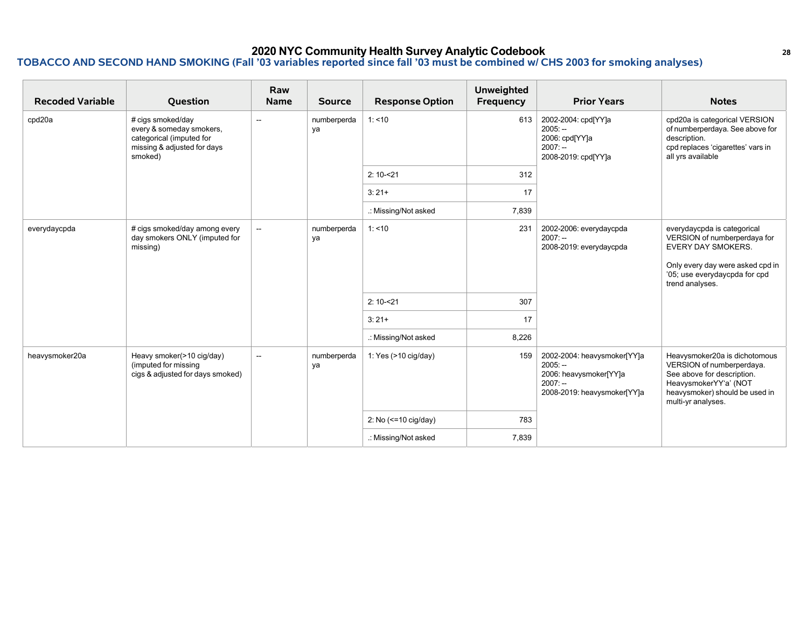| <b>Recoded Variable</b> | Question                                                                                                            | Raw<br><b>Name</b>       | <b>Source</b>     | <b>Response Option</b> | <b>Unweighted</b><br>Frequency | <b>Prior Years</b>                                                                                             | <b>Notes</b>                                                                                                                                                                     |
|-------------------------|---------------------------------------------------------------------------------------------------------------------|--------------------------|-------------------|------------------------|--------------------------------|----------------------------------------------------------------------------------------------------------------|----------------------------------------------------------------------------------------------------------------------------------------------------------------------------------|
| cpd20a                  | # cigs smoked/day<br>every & someday smokers,<br>categorical (imputed for<br>missing & adjusted for days<br>smoked) | $\sim$                   | numberperda<br>va | 1: 10                  | 613                            | 2002-2004: cpd[YY]a<br>$2005: -$<br>2006: cpd[YY]a<br>$2007: -$<br>2008-2019: cpd[YY]a                         | cpd20a is categorical VERSION<br>of numberperdaya. See above for<br>description.<br>cpd replaces 'cigarettes' vars in<br>all yrs available                                       |
|                         |                                                                                                                     |                          |                   | $2:10 - 21$            | 312                            |                                                                                                                |                                                                                                                                                                                  |
|                         |                                                                                                                     |                          |                   | $3:21+$                | 17                             |                                                                                                                |                                                                                                                                                                                  |
|                         |                                                                                                                     |                          |                   | .: Missing/Not asked   | 7,839                          |                                                                                                                |                                                                                                                                                                                  |
| everydaycpda            | # cigs smoked/day among every<br>day smokers ONLY (imputed for<br>missing)                                          | $\overline{\phantom{a}}$ | numberperda<br>ya | 1: 10                  | 231                            | 2002-2006: everydaycpda<br>$2007: -$<br>2008-2019: everydaycpda                                                | everydaycpda is categorical<br>VERSION of numberperdaya for<br><b>EVERY DAY SMOKERS.</b><br>Only every day were asked cpd in<br>'05; use everydaycpda for cpd<br>trend analyses. |
|                         |                                                                                                                     |                          |                   | $2:10 - 21$            | 307                            |                                                                                                                |                                                                                                                                                                                  |
|                         |                                                                                                                     |                          |                   | $3:21+$                | 17                             |                                                                                                                |                                                                                                                                                                                  |
|                         |                                                                                                                     |                          |                   | .: Missing/Not asked   | 8,226                          |                                                                                                                |                                                                                                                                                                                  |
| heavysmoker20a          | Heavy smoker(>10 cig/day)<br>(imputed for missing<br>cigs & adjusted for days smoked)                               | $\sim$                   | numberperda<br>ya | 1: Yes $(>10$ cig/day) | 159                            | 2002-2004: heavysmoker[YY]a<br>$2005: -$<br>2006: heavysmoker[YY]a<br>$2007: -$<br>2008-2019: heavysmoker[YY]a | Heavysmoker20a is dichotomous<br>VERSION of numberperdaya.<br>See above for description.<br>HeavysmokerYY'a' (NOT<br>heavysmoker) should be used in<br>multi-yr analyses.        |
|                         |                                                                                                                     |                          |                   | 2: No (<= 10 cig/day)  | 783                            |                                                                                                                |                                                                                                                                                                                  |
|                         |                                                                                                                     |                          |                   | .: Missing/Not asked   | 7,839                          |                                                                                                                |                                                                                                                                                                                  |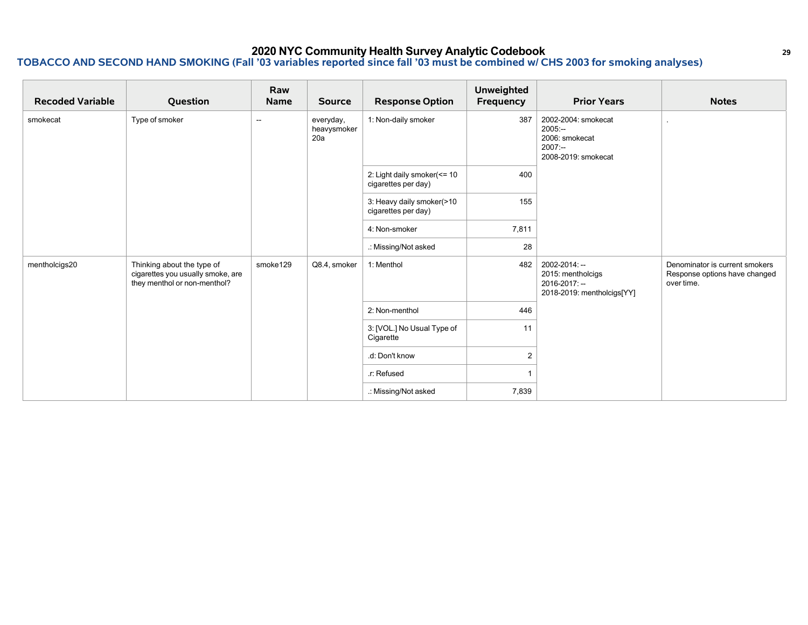| <b>Recoded Variable</b> | Question                                                                                        | Raw<br><b>Name</b>       | <b>Source</b>                   | <b>Response Option</b>                             | <b>Unweighted</b><br>Frequency | <b>Prior Years</b>                                                                     | <b>Notes</b>                                                                  |
|-------------------------|-------------------------------------------------------------------------------------------------|--------------------------|---------------------------------|----------------------------------------------------|--------------------------------|----------------------------------------------------------------------------------------|-------------------------------------------------------------------------------|
| smokecat                | Type of smoker                                                                                  | $\overline{\phantom{a}}$ | everyday,<br>heavysmoker<br>20a | 1: Non-daily smoker                                | 387                            | 2002-2004: smokecat<br>$2005: -$<br>2006: smokecat<br>$2007: -$<br>2008-2019: smokecat |                                                                               |
|                         |                                                                                                 |                          |                                 | 2: Light daily smoker(<= 10<br>cigarettes per day) | 400                            |                                                                                        |                                                                               |
|                         |                                                                                                 |                          |                                 | 3: Heavy daily smoker(>10<br>cigarettes per day)   | 155                            |                                                                                        |                                                                               |
|                         |                                                                                                 |                          |                                 | 4: Non-smoker                                      | 7,811                          |                                                                                        |                                                                               |
|                         |                                                                                                 |                          |                                 | .: Missing/Not asked                               | 28                             |                                                                                        |                                                                               |
| mentholcigs20           | Thinking about the type of<br>cigarettes you usually smoke, are<br>they menthol or non-menthol? | smoke129                 | Q8.4, smoker                    | 1: Menthol                                         | 482                            | 2002-2014: --<br>2015: mentholcigs<br>2016-2017: --<br>2018-2019: mentholcigs[YY]      | Denominator is current smokers<br>Response options have changed<br>over time. |
|                         |                                                                                                 |                          |                                 | 2: Non-menthol                                     | 446                            |                                                                                        |                                                                               |
|                         |                                                                                                 |                          |                                 | 3: [VOL.] No Usual Type of<br>Cigarette            | 11                             |                                                                                        |                                                                               |
|                         |                                                                                                 |                          |                                 | .d: Don't know                                     | $\overline{2}$                 |                                                                                        |                                                                               |
|                         |                                                                                                 |                          |                                 | .r: Refused                                        |                                |                                                                                        |                                                                               |
|                         |                                                                                                 |                          |                                 | .: Missing/Not asked                               | 7,839                          |                                                                                        |                                                                               |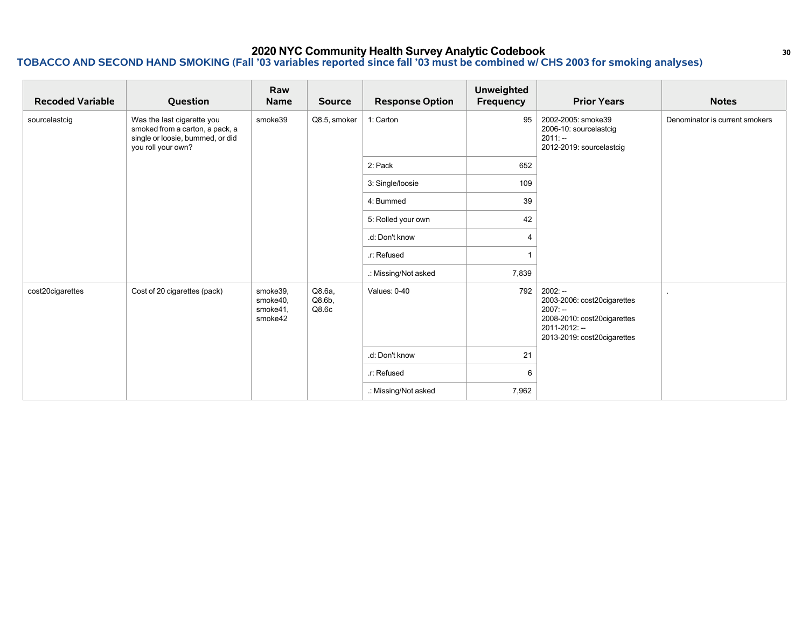| <b>Recoded Variable</b> | Question                                                                                                                | Raw<br><b>Name</b>                          | <b>Source</b>                | <b>Response Option</b> | <b>Unweighted</b><br>Frequency | <b>Prior Years</b>                                                                                                                   | <b>Notes</b>                   |
|-------------------------|-------------------------------------------------------------------------------------------------------------------------|---------------------------------------------|------------------------------|------------------------|--------------------------------|--------------------------------------------------------------------------------------------------------------------------------------|--------------------------------|
| sourcelastcig           | Was the last cigarette you<br>smoked from a carton, a pack, a<br>single or loosie, bummed, or did<br>you roll your own? | smoke39                                     | Q8.5, smoker                 | 1: Carton              | 95                             | 2002-2005: smoke39<br>2006-10: sourcelastcig<br>$2011: -$<br>2012-2019: sourcelastcig                                                | Denominator is current smokers |
|                         |                                                                                                                         |                                             |                              | 2: Pack                | 652                            |                                                                                                                                      |                                |
|                         |                                                                                                                         |                                             |                              | 3: Single/loosie       | 109                            |                                                                                                                                      |                                |
|                         |                                                                                                                         |                                             |                              | 4: Bummed              | 39                             |                                                                                                                                      |                                |
|                         |                                                                                                                         |                                             |                              | 5: Rolled your own     | 42                             |                                                                                                                                      |                                |
|                         |                                                                                                                         |                                             |                              | .d: Don't know         | $\overline{4}$                 |                                                                                                                                      |                                |
|                         |                                                                                                                         |                                             |                              | .r: Refused            |                                |                                                                                                                                      |                                |
|                         |                                                                                                                         |                                             |                              | .: Missing/Not asked   | 7,839                          |                                                                                                                                      |                                |
| cost20cigarettes        | Cost of 20 cigarettes (pack)                                                                                            | smoke39,<br>smoke40,<br>smoke41,<br>smoke42 | Q8.6a,<br>$Q8.6b$ ,<br>Q8.6c | Values: 0-40           | 792                            | $2002: -$<br>2003-2006: cost20cigarettes<br>$2007: -$<br>2008-2010: cost20cigarettes<br>2011-2012: --<br>2013-2019: cost20cigarettes |                                |
|                         |                                                                                                                         |                                             |                              | .d: Don't know         | 21                             |                                                                                                                                      |                                |
|                         |                                                                                                                         |                                             |                              | .r: Refused            | 6                              |                                                                                                                                      |                                |
|                         |                                                                                                                         |                                             |                              | .: Missing/Not asked   | 7,962                          |                                                                                                                                      |                                |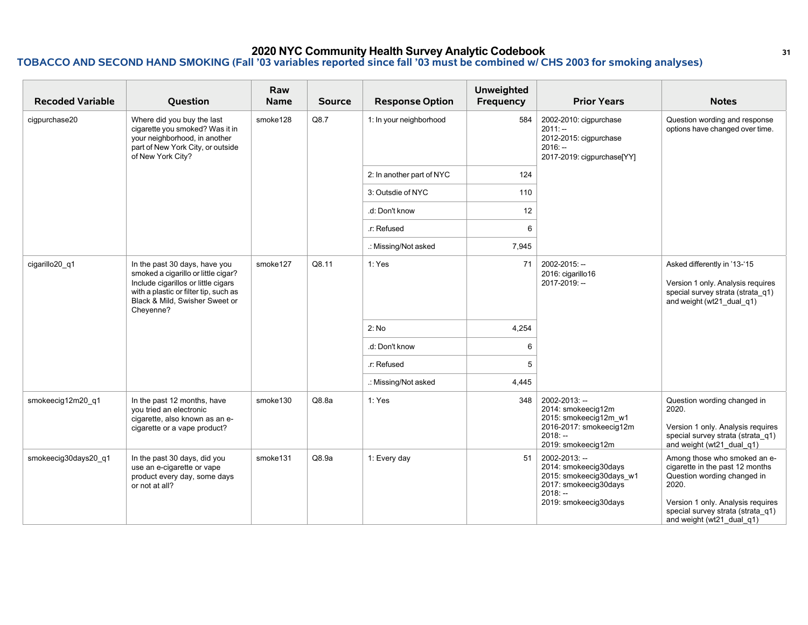| <b>Recoded Variable</b> | Question                                                                                                                                                                                            | Raw<br><b>Name</b> | <b>Source</b> | <b>Response Option</b>    | <b>Unweighted</b><br>Frequency | <b>Prior Years</b>                                                                                                                | <b>Notes</b>                                                                                                                                                                                                   |
|-------------------------|-----------------------------------------------------------------------------------------------------------------------------------------------------------------------------------------------------|--------------------|---------------|---------------------------|--------------------------------|-----------------------------------------------------------------------------------------------------------------------------------|----------------------------------------------------------------------------------------------------------------------------------------------------------------------------------------------------------------|
| cigpurchase20           | Where did you buy the last<br>cigarette you smoked? Was it in<br>your neighborhood, in another<br>part of New York City, or outside<br>of New York City?                                            | smoke128           | Q8.7          | 1: In your neighborhood   | 584                            | 2002-2010: cigpurchase<br>$2011: -$<br>2012-2015: cigpurchase<br>$2016: -$<br>2017-2019: cigpurchase[YY]                          | Question wording and response<br>options have changed over time.                                                                                                                                               |
|                         |                                                                                                                                                                                                     |                    |               | 2: In another part of NYC | 124                            |                                                                                                                                   |                                                                                                                                                                                                                |
|                         |                                                                                                                                                                                                     |                    |               | 3: Outsdie of NYC         | 110                            |                                                                                                                                   |                                                                                                                                                                                                                |
|                         |                                                                                                                                                                                                     |                    |               | .d: Don't know            | 12                             |                                                                                                                                   |                                                                                                                                                                                                                |
|                         |                                                                                                                                                                                                     |                    |               | .r: Refused               | 6                              |                                                                                                                                   |                                                                                                                                                                                                                |
|                         |                                                                                                                                                                                                     |                    |               | .: Missing/Not asked      | 7,945                          |                                                                                                                                   |                                                                                                                                                                                                                |
| cigarillo20 q1          | In the past 30 days, have you<br>smoked a cigarillo or little cigar?<br>Include cigarillos or little cigars<br>with a plastic or filter tip, such as<br>Black & Mild, Swisher Sweet or<br>Cheyenne? | smoke127           | Q8.11         | 1: Yes                    | 71                             | 2002-2015: --<br>2016: cigarillo16<br>2017-2019: --                                                                               | Asked differently in '13-'15<br>Version 1 only. Analysis requires<br>special survey strata (strata q1)<br>and weight (wt21 dual q1)                                                                            |
|                         |                                                                                                                                                                                                     |                    |               | 2: No                     | 4,254                          |                                                                                                                                   |                                                                                                                                                                                                                |
|                         |                                                                                                                                                                                                     |                    |               | .d: Don't know            | 6                              |                                                                                                                                   |                                                                                                                                                                                                                |
|                         |                                                                                                                                                                                                     |                    |               | .r: Refused               | 5                              |                                                                                                                                   |                                                                                                                                                                                                                |
|                         |                                                                                                                                                                                                     |                    |               | .: Missing/Not asked      | 4,445                          |                                                                                                                                   |                                                                                                                                                                                                                |
| smokeecig12m20_q1       | In the past 12 months, have<br>you tried an electronic<br>cigarette, also known as an e-<br>cigarette or a vape product?                                                                            | smoke130           | Q8.8a         | 1: Yes                    | 348                            | 2002-2013: --<br>2014: smokeecig12m<br>2015: smokeecig12m w1<br>2016-2017: smokeecig12m<br>$2018: -$<br>2019: smokeecig12m        | Question wording changed in<br>2020.<br>Version 1 only. Analysis requires<br>special survey strata (strata q1)<br>and weight (wt21 dual q1)                                                                    |
| smokeecig30days20 q1    | In the past 30 days, did you<br>use an e-cigarette or vape<br>product every day, some days<br>or not at all?                                                                                        | smoke131           | Q8.9a         | 1: Every day              | 51                             | 2002-2013: --<br>2014: smokeecig30days<br>2015: smokeecig30days_w1<br>2017: smokeecig30days<br>$2018: -$<br>2019: smokeecig30days | Among those who smoked an e-<br>cigarette in the past 12 months<br>Question wording changed in<br>2020.<br>Version 1 only. Analysis requires<br>special survey strata (strata q1)<br>and weight (wt21_dual_q1) |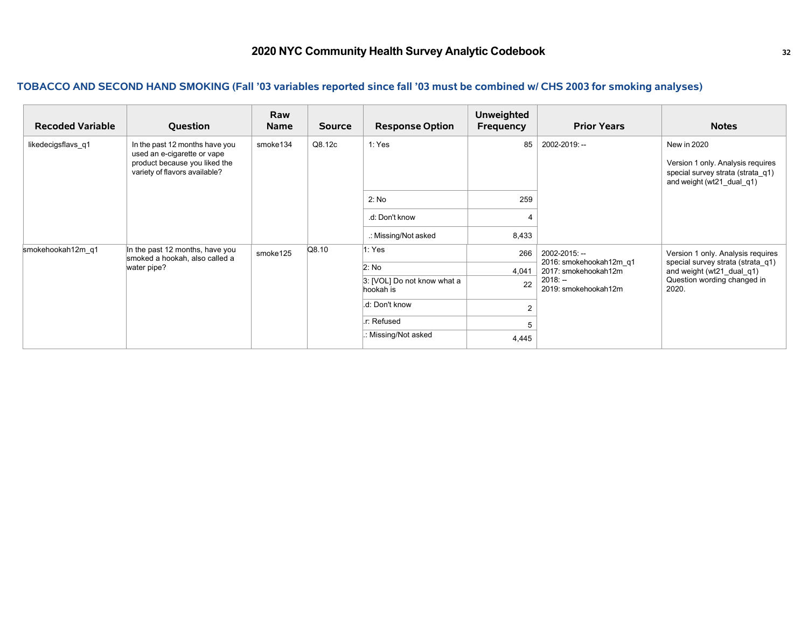| <b>Recoded Variable</b> | Question                                                                                                                        | Raw<br><b>Name</b> | <b>Source</b> | <b>Response Option</b>                   | <b>Unweighted</b><br>Frequency | <b>Prior Years</b>                              | <b>Notes</b>                                                                                                       |
|-------------------------|---------------------------------------------------------------------------------------------------------------------------------|--------------------|---------------|------------------------------------------|--------------------------------|-------------------------------------------------|--------------------------------------------------------------------------------------------------------------------|
| likedecigsflavs q1      | In the past 12 months have you<br>used an e-cigarette or vape<br>product because you liked the<br>variety of flavors available? | smoke134           | Q8.12c        | 1: Yes                                   | 85                             | 2002-2019: --                                   | New in 2020<br>Version 1 only. Analysis requires<br>special survey strata (strata_q1)<br>and weight (wt21 dual q1) |
|                         |                                                                                                                                 |                    |               | 2: No                                    | 259                            |                                                 |                                                                                                                    |
|                         |                                                                                                                                 |                    |               | .d: Don't know                           |                                |                                                 |                                                                                                                    |
|                         |                                                                                                                                 |                    |               | .: Missing/Not asked                     | 8,433                          |                                                 |                                                                                                                    |
| smokehookah12m q1       | In the past 12 months, have you<br>smoked a hookah, also called a<br>water pipe?                                                | smoke125           | Q8.10         | 1: Yes                                   | 266                            | 2002-2015: --                                   | Version 1 only. Analysis requires<br>special survey strata (strata q1)                                             |
|                         |                                                                                                                                 |                    |               | 2: No                                    | 4,041                          | 2016: smokehookah12m q1<br>2017: smokehookah12m | and weight (wt21_dual_q1)                                                                                          |
|                         |                                                                                                                                 |                    |               | 3: [VOL] Do not know what a<br>hookah is | 22                             | $2018: -$<br>2019: smokehookah12m               | Question wording changed in<br>2020.                                                                               |
|                         |                                                                                                                                 |                    |               | .d: Don't know                           | $\overline{2}$                 |                                                 |                                                                                                                    |
|                         |                                                                                                                                 |                    |               | .r: Refused                              |                                |                                                 |                                                                                                                    |
|                         |                                                                                                                                 |                    |               | : Missing/Not asked                      | 4,445                          |                                                 |                                                                                                                    |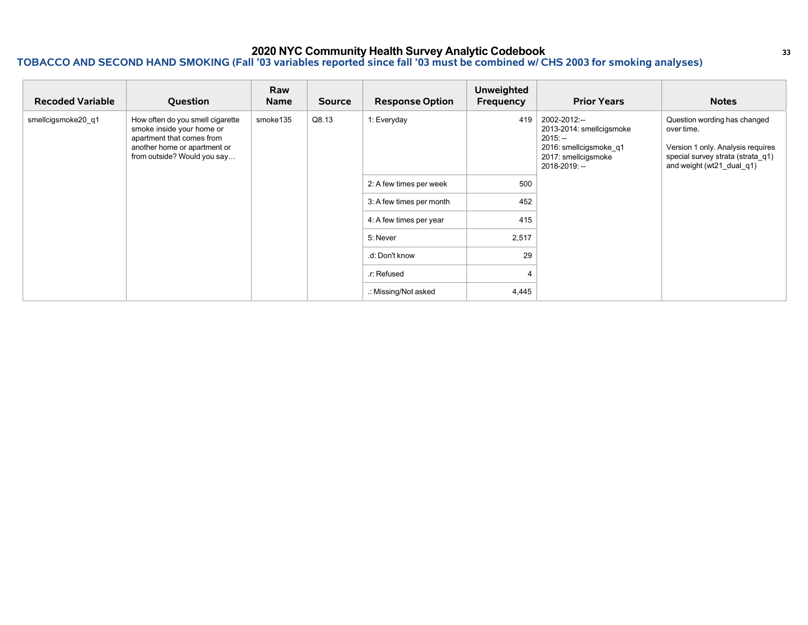### **2020 NYC Community Health Survey Analytic Codebook <sup>33</sup> TOBACCO AND SECOND HAND SMOKING (Fall '03 variables reported since fall '03 must be combined w/ CHS 2003 for smoking analyses)**

| <b>Recoded Variable</b> | Question                                                                                                                                                  | Raw<br><b>Name</b> | <b>Source</b> | <b>Response Option</b>   | <b>Unweighted</b><br>Frequency | <b>Prior Years</b>                                                                                                      | <b>Notes</b>                                                                                                                                      |
|-------------------------|-----------------------------------------------------------------------------------------------------------------------------------------------------------|--------------------|---------------|--------------------------|--------------------------------|-------------------------------------------------------------------------------------------------------------------------|---------------------------------------------------------------------------------------------------------------------------------------------------|
| smellcigsmoke20 q1      | How often do you smell cigarette<br>smoke inside your home or<br>apartment that comes from<br>another home or apartment or<br>from outside? Would you say | smoke135           | Q8.13         | 1: Everyday              | 419                            | 2002-2012:--<br>2013-2014: smellcigsmoke<br>$2015: -$<br>2016: smellcigsmoke q1<br>2017: smellcigsmoke<br>2018-2019: -- | Question wording has changed<br>over time.<br>Version 1 only. Analysis requires<br>special survey strata (strata q1)<br>and weight (wt21_dual_q1) |
|                         |                                                                                                                                                           |                    |               | 2: A few times per week  | 500                            |                                                                                                                         |                                                                                                                                                   |
|                         |                                                                                                                                                           |                    |               | 3: A few times per month | 452                            |                                                                                                                         |                                                                                                                                                   |
|                         |                                                                                                                                                           |                    |               | 4: A few times per year  | 415                            |                                                                                                                         |                                                                                                                                                   |
|                         |                                                                                                                                                           |                    |               | 5: Never                 | 2,517                          |                                                                                                                         |                                                                                                                                                   |
|                         |                                                                                                                                                           |                    |               | .d: Don't know           | 29                             |                                                                                                                         |                                                                                                                                                   |
|                         |                                                                                                                                                           |                    |               | .r: Refused              |                                |                                                                                                                         |                                                                                                                                                   |
|                         |                                                                                                                                                           |                    |               | .: Missing/Not asked     | 4,445                          |                                                                                                                         |                                                                                                                                                   |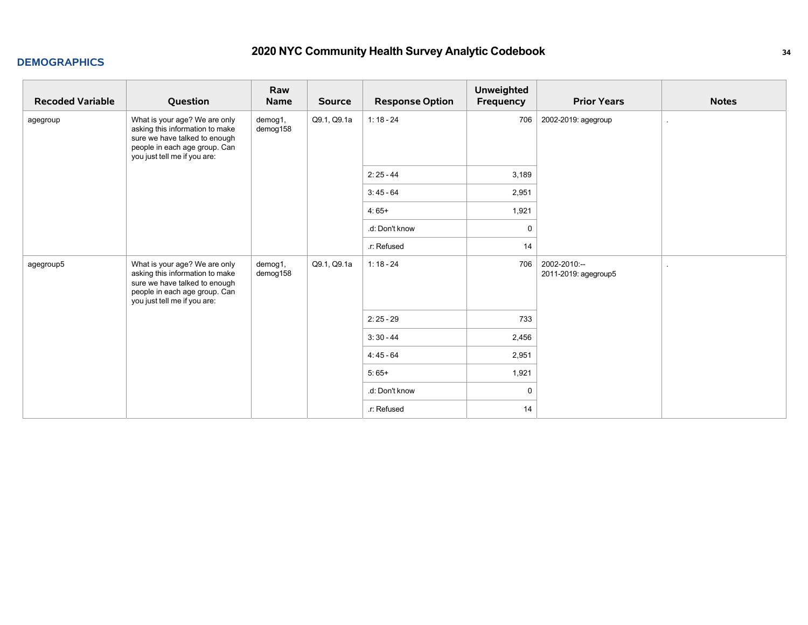### **DEMOGRAPHICS**

| <b>Recoded Variable</b> | Question                                                                                                                                                           | Raw<br>Name         | <b>Source</b> | <b>Response Option</b> | <b>Unweighted</b><br>Frequency | <b>Prior Years</b>                   | <b>Notes</b> |
|-------------------------|--------------------------------------------------------------------------------------------------------------------------------------------------------------------|---------------------|---------------|------------------------|--------------------------------|--------------------------------------|--------------|
| agegroup                | What is your age? We are only<br>asking this information to make<br>sure we have talked to enough<br>people in each age group. Can<br>you just tell me if you are: | demog1,<br>demog158 | Q9.1, Q9.1a   | $1:18 - 24$            | 706                            | 2002-2019: agegroup                  |              |
|                         |                                                                                                                                                                    |                     |               | $2:25 - 44$            | 3,189                          |                                      |              |
|                         |                                                                                                                                                                    |                     |               | $3:45 - 64$            | 2,951                          |                                      |              |
|                         |                                                                                                                                                                    |                     |               | $4:65+$                | 1,921                          |                                      |              |
|                         |                                                                                                                                                                    |                     |               | .d: Don't know         | 0                              |                                      |              |
|                         |                                                                                                                                                                    |                     |               | .r: Refused            | 14                             |                                      |              |
| agegroup5               | What is your age? We are only<br>asking this information to make<br>sure we have talked to enough<br>people in each age group. Can<br>you just tell me if you are: | demog1,<br>demog158 | Q9.1, Q9.1a   | $1:18 - 24$            | 706                            | 2002-2010:--<br>2011-2019: agegroup5 |              |
|                         |                                                                                                                                                                    |                     |               | $2:25 - 29$            | 733                            |                                      |              |
|                         |                                                                                                                                                                    |                     |               | $3:30 - 44$            | 2,456                          |                                      |              |
|                         |                                                                                                                                                                    |                     |               | $4:45 - 64$            | 2,951                          |                                      |              |
|                         |                                                                                                                                                                    |                     |               | $5:65+$                | 1,921                          |                                      |              |
|                         |                                                                                                                                                                    |                     |               | .d: Don't know         | $\mathbf 0$                    |                                      |              |
|                         |                                                                                                                                                                    |                     |               | .r: Refused            | 14                             |                                      |              |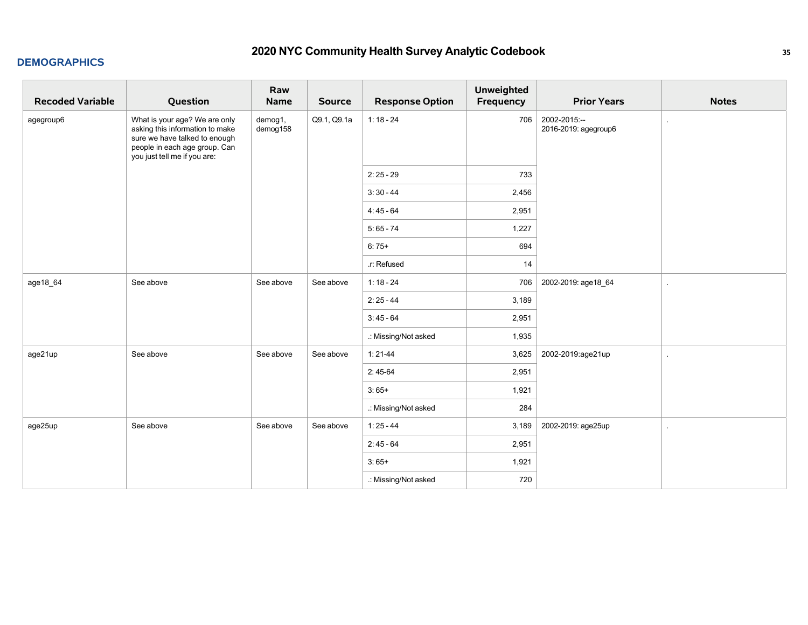### **DEMOGRAPHICS**

| <b>Recoded Variable</b> | Question                                                                                                                                                           | Raw<br><b>Name</b>  | <b>Source</b> | <b>Response Option</b> | <b>Unweighted</b><br>Frequency | <b>Prior Years</b>                   | <b>Notes</b>  |
|-------------------------|--------------------------------------------------------------------------------------------------------------------------------------------------------------------|---------------------|---------------|------------------------|--------------------------------|--------------------------------------|---------------|
| agegroup6               | What is your age? We are only<br>asking this information to make<br>sure we have talked to enough<br>people in each age group. Can<br>you just tell me if you are: | demog1,<br>demog158 | Q9.1, Q9.1a   | $1:18 - 24$            | 706                            | 2002-2015:--<br>2016-2019: agegroup6 | $\mathcal{L}$ |
|                         |                                                                                                                                                                    |                     |               | $2:25 - 29$            | 733                            |                                      |               |
|                         |                                                                                                                                                                    |                     |               | $3:30 - 44$            | 2,456                          |                                      |               |
|                         |                                                                                                                                                                    |                     |               | $4:45 - 64$            | 2,951                          |                                      |               |
|                         |                                                                                                                                                                    |                     |               | $5:65 - 74$            | 1,227                          |                                      |               |
|                         |                                                                                                                                                                    |                     |               | $6:75+$                | 694                            |                                      |               |
|                         |                                                                                                                                                                    |                     |               | .r: Refused            | 14                             |                                      |               |
| age18_64                | See above                                                                                                                                                          | See above           | See above     | $1:18 - 24$            | 706                            | 2002-2019: age18_64                  | $\mathbf{r}$  |
|                         |                                                                                                                                                                    |                     |               | $2:25 - 44$            | 3,189                          |                                      |               |
|                         |                                                                                                                                                                    |                     |               | $3:45 - 64$            | 2,951                          |                                      |               |
|                         |                                                                                                                                                                    |                     |               | .: Missing/Not asked   | 1,935                          |                                      |               |
| age21up                 | See above                                                                                                                                                          | See above           | See above     | $1:21-44$              | 3,625                          | 2002-2019:age21up                    | $\mathbf{r}$  |
|                         |                                                                                                                                                                    |                     |               | $2:45-64$              | 2,951                          |                                      |               |
|                         |                                                                                                                                                                    |                     |               | $3:65+$                | 1,921                          |                                      |               |
|                         |                                                                                                                                                                    |                     |               | .: Missing/Not asked   | 284                            |                                      |               |
| age25up                 | See above                                                                                                                                                          | See above           | See above     | $1:25 - 44$            | 3,189                          | 2002-2019: age25up                   | $\mathcal{L}$ |
|                         |                                                                                                                                                                    |                     |               | $2:45 - 64$            | 2,951                          |                                      |               |
|                         |                                                                                                                                                                    |                     |               | $3:65+$                | 1,921                          |                                      |               |
|                         |                                                                                                                                                                    |                     |               | .: Missing/Not asked   | 720                            |                                      |               |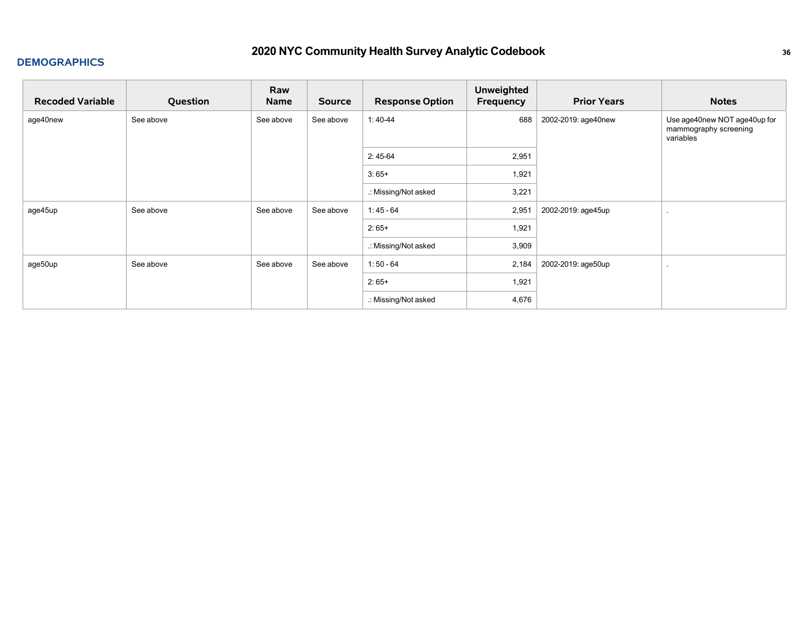| <b>Recoded Variable</b> | Question  | Raw<br><b>Name</b> | <b>Source</b> | <b>Response Option</b> | <b>Unweighted</b><br>Frequency | <b>Prior Years</b>  | <b>Notes</b>                                                       |
|-------------------------|-----------|--------------------|---------------|------------------------|--------------------------------|---------------------|--------------------------------------------------------------------|
| age40new                | See above | See above          | See above     | $1:40-44$              | 688                            | 2002-2019: age40new | Use age40new NOT age40up for<br>mammography screening<br>variables |
|                         |           |                    |               | $2:45-64$              | 2,951                          |                     |                                                                    |
|                         |           |                    |               | $3:65+$                | 1,921                          |                     |                                                                    |
|                         |           |                    |               | .: Missing/Not asked   | 3,221                          |                     |                                                                    |
| age45up                 | See above | See above          | See above     | $1:45 - 64$            | 2,951                          | 2002-2019: age45up  |                                                                    |
|                         |           |                    |               | $2:65+$                | 1,921                          |                     |                                                                    |
|                         |           |                    |               | .: Missing/Not asked   | 3,909                          |                     |                                                                    |
| age50up                 | See above | See above          | See above     | $1:50 - 64$            | 2,184                          | 2002-2019: age50up  |                                                                    |
|                         |           |                    |               | $2:65+$                | 1,921                          |                     |                                                                    |
|                         |           |                    |               | .: Missing/Not asked   | 4,676                          |                     |                                                                    |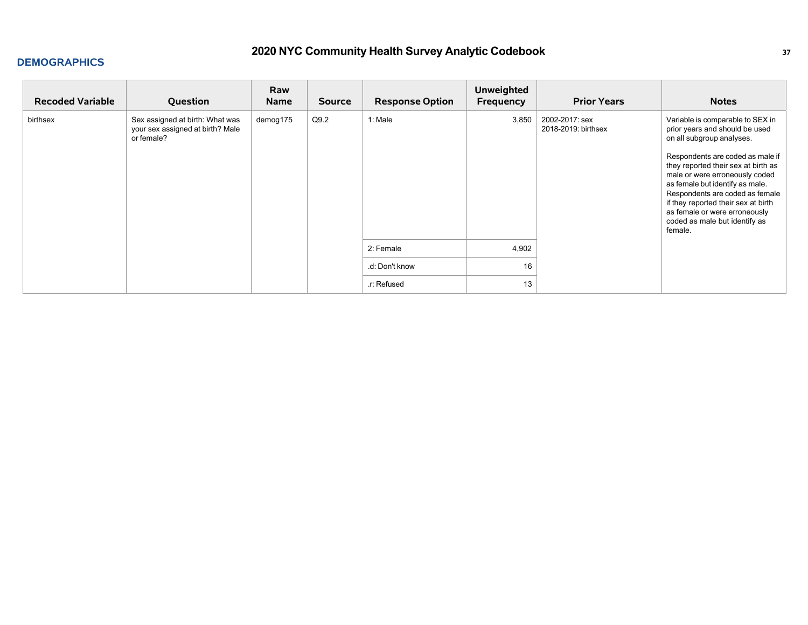| <b>Recoded Variable</b> | Question                                                                          | Raw<br><b>Name</b> | <b>Source</b> | <b>Response Option</b> | <b>Unweighted</b><br>Frequency | <b>Prior Years</b>                    | <b>Notes</b>                                                                                                                                                                                                                                                                                                                                                                                           |
|-------------------------|-----------------------------------------------------------------------------------|--------------------|---------------|------------------------|--------------------------------|---------------------------------------|--------------------------------------------------------------------------------------------------------------------------------------------------------------------------------------------------------------------------------------------------------------------------------------------------------------------------------------------------------------------------------------------------------|
| birthsex                | Sex assigned at birth: What was<br>your sex assigned at birth? Male<br>or female? | demog175           | Q9.2          | 1: Male                | 3,850                          | 2002-2017: sex<br>2018-2019: birthsex | Variable is comparable to SEX in<br>prior years and should be used<br>on all subgroup analyses.<br>Respondents are coded as male if<br>they reported their sex at birth as<br>male or were erroneously coded<br>as female but identify as male.<br>Respondents are coded as female<br>if they reported their sex at birth<br>as female or were erroneously<br>coded as male but identify as<br>female. |
|                         |                                                                                   |                    |               | 2: Female              | 4,902                          |                                       |                                                                                                                                                                                                                                                                                                                                                                                                        |
|                         |                                                                                   |                    |               | .d: Don't know         | 16                             |                                       |                                                                                                                                                                                                                                                                                                                                                                                                        |
|                         |                                                                                   |                    |               | .r: Refused            | 13                             |                                       |                                                                                                                                                                                                                                                                                                                                                                                                        |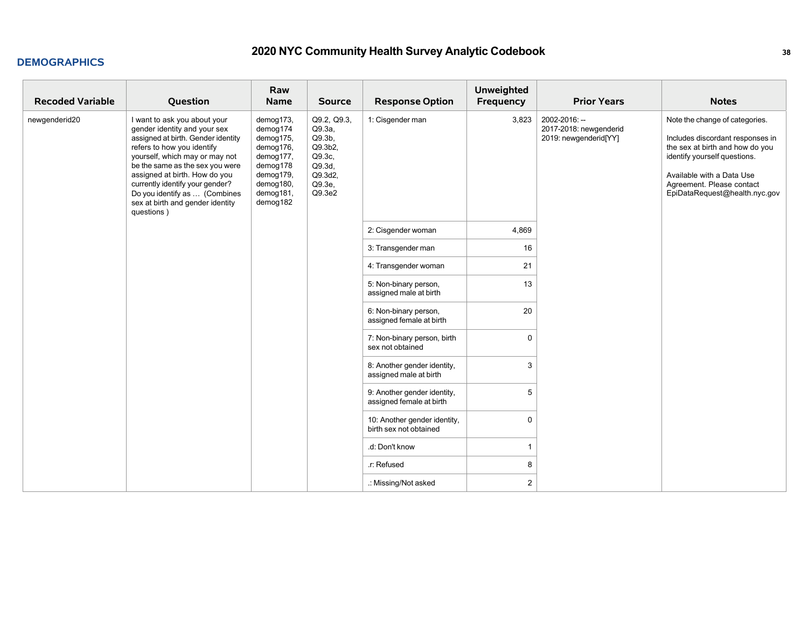| <b>Recoded Variable</b> | Question                                                                                                                                                                                                                                                                                                                                                     | Raw<br>Name                                                                                                                 | <b>Source</b>                                                                                            | <b>Response Option</b>                                  | <b>Unweighted</b><br>Frequency | <b>Prior Years</b>                                               | <b>Notes</b>                                                                                                                                                                                                                     |
|-------------------------|--------------------------------------------------------------------------------------------------------------------------------------------------------------------------------------------------------------------------------------------------------------------------------------------------------------------------------------------------------------|-----------------------------------------------------------------------------------------------------------------------------|----------------------------------------------------------------------------------------------------------|---------------------------------------------------------|--------------------------------|------------------------------------------------------------------|----------------------------------------------------------------------------------------------------------------------------------------------------------------------------------------------------------------------------------|
| newgenderid20           | I want to ask you about your<br>gender identity and your sex<br>assigned at birth. Gender identity<br>refers to how you identify<br>yourself, which may or may not<br>be the same as the sex you were<br>assigned at birth. How do you<br>currently identify your gender?<br>Do you identify as  (Combines<br>sex at birth and gender identity<br>questions) | demog173,<br>demog174<br>demog175,<br>demog176,<br>demog177,<br>demog178<br>demog179,<br>demog180,<br>demog181,<br>demog182 | Q9.2, Q9.3,<br>Q9.3a,<br>Q9.3 <sub>b</sub><br>Q9.3b2,<br>Q9.3c,<br>Q9.3d.<br>Q9.3d2,<br>Q9.3e,<br>Q9.3e2 | 1: Cisgender man                                        | 3,823                          | 2002-2016: --<br>2017-2018: newgenderid<br>2019: newgenderid[YY] | Note the change of categories.<br>Includes discordant responses in<br>the sex at birth and how do you<br>identify yourself questions.<br>Available with a Data Use<br>Agreement. Please contact<br>EpiDataRequest@health.nyc.gov |
|                         |                                                                                                                                                                                                                                                                                                                                                              |                                                                                                                             |                                                                                                          | 2: Cisgender woman                                      | 4,869                          |                                                                  |                                                                                                                                                                                                                                  |
|                         |                                                                                                                                                                                                                                                                                                                                                              |                                                                                                                             |                                                                                                          | 3: Transgender man                                      | 16                             |                                                                  |                                                                                                                                                                                                                                  |
|                         |                                                                                                                                                                                                                                                                                                                                                              |                                                                                                                             |                                                                                                          | 4: Transgender woman                                    | 21                             |                                                                  |                                                                                                                                                                                                                                  |
|                         |                                                                                                                                                                                                                                                                                                                                                              |                                                                                                                             |                                                                                                          | 5: Non-binary person,<br>assigned male at birth         | 13                             |                                                                  |                                                                                                                                                                                                                                  |
|                         |                                                                                                                                                                                                                                                                                                                                                              |                                                                                                                             |                                                                                                          | 6: Non-binary person,<br>assigned female at birth       | 20                             |                                                                  |                                                                                                                                                                                                                                  |
|                         |                                                                                                                                                                                                                                                                                                                                                              |                                                                                                                             |                                                                                                          | 7: Non-binary person, birth<br>sex not obtained         | $\Omega$                       |                                                                  |                                                                                                                                                                                                                                  |
|                         |                                                                                                                                                                                                                                                                                                                                                              |                                                                                                                             |                                                                                                          | 8: Another gender identity,<br>assigned male at birth   | 3                              |                                                                  |                                                                                                                                                                                                                                  |
|                         |                                                                                                                                                                                                                                                                                                                                                              |                                                                                                                             |                                                                                                          | 9: Another gender identity,<br>assigned female at birth | 5                              |                                                                  |                                                                                                                                                                                                                                  |
|                         |                                                                                                                                                                                                                                                                                                                                                              |                                                                                                                             |                                                                                                          | 10: Another gender identity,<br>birth sex not obtained  | $\mathbf 0$                    |                                                                  |                                                                                                                                                                                                                                  |
|                         |                                                                                                                                                                                                                                                                                                                                                              |                                                                                                                             |                                                                                                          | .d: Don't know                                          | -1                             |                                                                  |                                                                                                                                                                                                                                  |
|                         |                                                                                                                                                                                                                                                                                                                                                              |                                                                                                                             |                                                                                                          | r: Refused                                              | 8                              |                                                                  |                                                                                                                                                                                                                                  |
|                         |                                                                                                                                                                                                                                                                                                                                                              |                                                                                                                             |                                                                                                          | .: Missing/Not asked                                    | $\overline{2}$                 |                                                                  |                                                                                                                                                                                                                                  |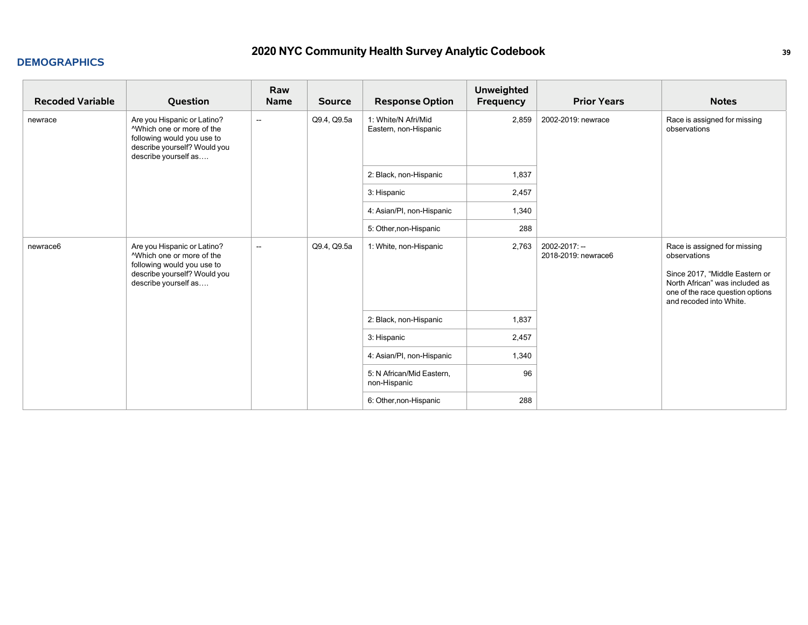| <b>Recoded Variable</b> | Question                                                                                                                                                   | Raw<br><b>Name</b>       | <b>Source</b> | <b>Response Option</b>                       | Unweighted<br>Frequency | <b>Prior Years</b>                   | <b>Notes</b>                                                                                                                                                                    |
|-------------------------|------------------------------------------------------------------------------------------------------------------------------------------------------------|--------------------------|---------------|----------------------------------------------|-------------------------|--------------------------------------|---------------------------------------------------------------------------------------------------------------------------------------------------------------------------------|
| newrace                 | Are you Hispanic or Latino?<br><sup>A</sup> Which one or more of the<br>following would you use to<br>describe yourself? Would you<br>describe yourself as | $\overline{\phantom{a}}$ | Q9.4, Q9.5a   | 1: White/N Afri/Mid<br>Eastern, non-Hispanic | 2,859                   | 2002-2019: newrace                   | Race is assigned for missing<br>observations                                                                                                                                    |
|                         |                                                                                                                                                            |                          |               | 2: Black, non-Hispanic                       | 1,837                   |                                      |                                                                                                                                                                                 |
|                         |                                                                                                                                                            |                          |               | 3: Hispanic                                  | 2,457                   |                                      |                                                                                                                                                                                 |
|                         |                                                                                                                                                            |                          |               | 4: Asian/PI, non-Hispanic                    | 1,340                   |                                      |                                                                                                                                                                                 |
|                         |                                                                                                                                                            |                          |               | 5: Other, non-Hispanic                       | 288                     |                                      |                                                                                                                                                                                 |
| newrace6                | Are you Hispanic or Latino?<br><sup>A</sup> Which one or more of the<br>following would you use to<br>describe yourself? Would you<br>describe yourself as | $\overline{\phantom{a}}$ | Q9.4, Q9.5a   | 1: White, non-Hispanic                       | 2,763                   | 2002-2017: --<br>2018-2019: newrace6 | Race is assigned for missing<br>observations<br>Since 2017, "Middle Eastern or<br>North African" was included as<br>one of the race question options<br>and recoded into White. |
|                         |                                                                                                                                                            |                          |               | 2: Black, non-Hispanic                       | 1,837                   |                                      |                                                                                                                                                                                 |
|                         |                                                                                                                                                            |                          |               | 3: Hispanic                                  | 2,457                   |                                      |                                                                                                                                                                                 |
|                         |                                                                                                                                                            |                          |               | 4: Asian/PI, non-Hispanic                    | 1,340                   |                                      |                                                                                                                                                                                 |
|                         |                                                                                                                                                            |                          |               | 5: N African/Mid Eastern,<br>non-Hispanic    | 96                      |                                      |                                                                                                                                                                                 |
|                         |                                                                                                                                                            |                          |               | 6: Other, non-Hispanic                       | 288                     |                                      |                                                                                                                                                                                 |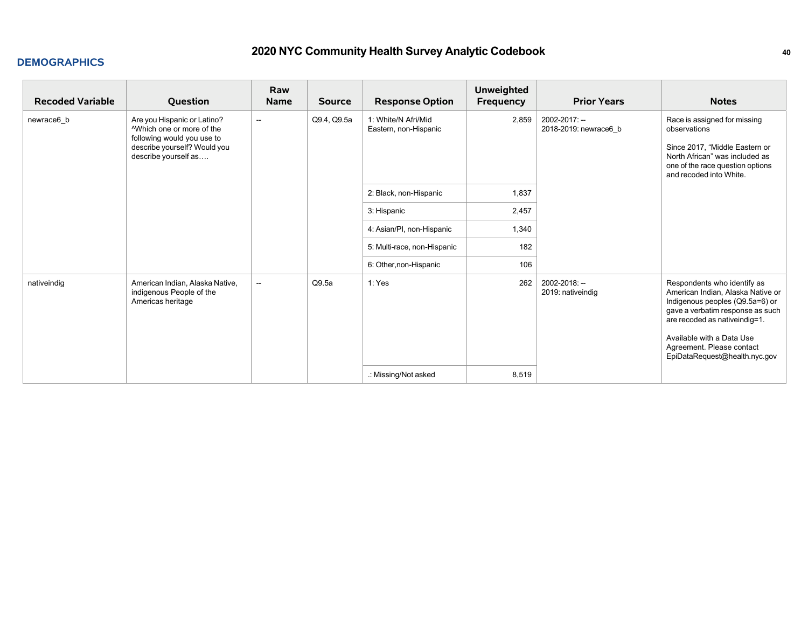| <b>Recoded Variable</b> | Question                                                                                                                                                   | Raw<br><b>Name</b>                      | <b>Source</b> | <b>Response Option</b>                       | <b>Unweighted</b><br>Frequency | <b>Prior Years</b>                     | <b>Notes</b>                                                                                                                                                                                                                                                         |
|-------------------------|------------------------------------------------------------------------------------------------------------------------------------------------------------|-----------------------------------------|---------------|----------------------------------------------|--------------------------------|----------------------------------------|----------------------------------------------------------------------------------------------------------------------------------------------------------------------------------------------------------------------------------------------------------------------|
| newrace6 b              | Are you Hispanic or Latino?<br><sup>A</sup> Which one or more of the<br>following would you use to<br>describe yourself? Would you<br>describe yourself as | Q9.4, Q9.5a<br>$\overline{\phantom{a}}$ |               | 1: White/N Afri/Mid<br>Eastern, non-Hispanic | 2,859                          | 2002-2017: --<br>2018-2019: newrace6 b | Race is assigned for missing<br>observations<br>Since 2017, "Middle Eastern or<br>North African" was included as<br>one of the race question options<br>and recoded into White.                                                                                      |
|                         |                                                                                                                                                            |                                         |               | 2: Black, non-Hispanic                       | 1,837                          |                                        |                                                                                                                                                                                                                                                                      |
|                         |                                                                                                                                                            |                                         |               | 3: Hispanic                                  | 2,457                          |                                        |                                                                                                                                                                                                                                                                      |
|                         |                                                                                                                                                            |                                         |               | 4: Asian/PI, non-Hispanic                    | 1,340                          |                                        |                                                                                                                                                                                                                                                                      |
|                         |                                                                                                                                                            |                                         |               | 5: Multi-race, non-Hispanic                  | 182                            |                                        |                                                                                                                                                                                                                                                                      |
|                         |                                                                                                                                                            |                                         |               | 6: Other, non-Hispanic                       | 106                            |                                        |                                                                                                                                                                                                                                                                      |
| nativeindig             | American Indian, Alaska Native,<br>indigenous People of the<br>Americas heritage                                                                           | $\overline{\phantom{a}}$                | Q9.5a         | 1: Yes                                       | 262                            | 2002-2018: --<br>2019: nativeindig     | Respondents who identify as<br>American Indian, Alaska Native or<br>Indigenous peoples (Q9.5a=6) or<br>gave a verbatim response as such<br>are recoded as native indig=1.<br>Available with a Data Use<br>Agreement. Please contact<br>EpiDataRequest@health.nyc.gov |
|                         |                                                                                                                                                            |                                         |               | .: Missing/Not asked                         | 8,519                          |                                        |                                                                                                                                                                                                                                                                      |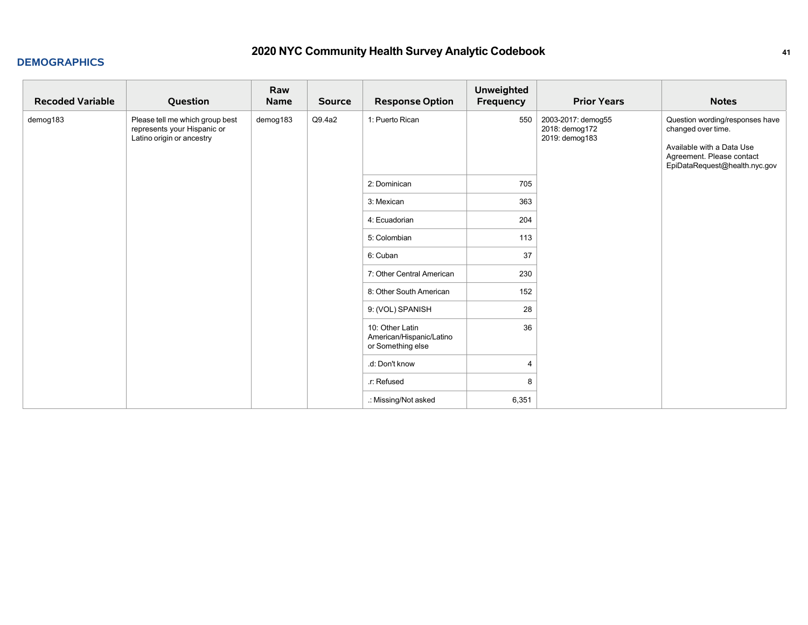| <b>Recoded Variable</b> | Question                                                                                    | Raw<br>Name | <b>Source</b> | <b>Response Option</b>                                           | <b>Unweighted</b><br>Frequency | <b>Prior Years</b>                                     | <b>Notes</b>                                                                                                                                     |
|-------------------------|---------------------------------------------------------------------------------------------|-------------|---------------|------------------------------------------------------------------|--------------------------------|--------------------------------------------------------|--------------------------------------------------------------------------------------------------------------------------------------------------|
| demog183                | Please tell me which group best<br>represents your Hispanic or<br>Latino origin or ancestry | demog183    | Q9.4a2        | 1: Puerto Rican                                                  | 550                            | 2003-2017: demog55<br>2018: demog172<br>2019: demog183 | Question wording/responses have<br>changed over time.<br>Available with a Data Use<br>Agreement. Please contact<br>EpiDataRequest@health.nyc.gov |
|                         |                                                                                             |             | 2: Dominican  | 705                                                              |                                |                                                        |                                                                                                                                                  |
|                         |                                                                                             |             |               | 3: Mexican                                                       | 363                            |                                                        |                                                                                                                                                  |
|                         |                                                                                             |             |               | 4: Ecuadorian                                                    | 204                            |                                                        |                                                                                                                                                  |
|                         |                                                                                             |             |               | 5: Colombian                                                     | 113                            |                                                        |                                                                                                                                                  |
|                         |                                                                                             |             |               | 6: Cuban                                                         | 37                             |                                                        |                                                                                                                                                  |
|                         |                                                                                             |             |               | 7: Other Central American                                        | 230                            |                                                        |                                                                                                                                                  |
|                         |                                                                                             |             |               | 8: Other South American                                          | 152                            |                                                        |                                                                                                                                                  |
|                         |                                                                                             |             |               | 9: (VOL) SPANISH                                                 | 28                             |                                                        |                                                                                                                                                  |
|                         |                                                                                             |             |               | 10: Other Latin<br>American/Hispanic/Latino<br>or Something else | 36                             |                                                        |                                                                                                                                                  |
|                         |                                                                                             |             |               | .d: Don't know                                                   | 4                              |                                                        |                                                                                                                                                  |
|                         |                                                                                             |             |               | .r: Refused                                                      | 8                              |                                                        |                                                                                                                                                  |
|                         |                                                                                             |             |               | .: Missing/Not asked                                             | 6,351                          |                                                        |                                                                                                                                                  |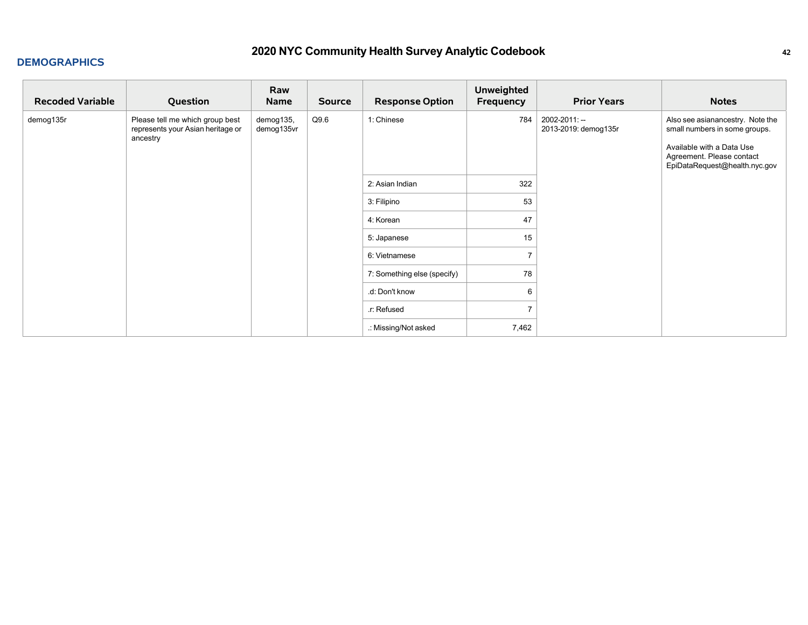| <b>Recoded Variable</b> | Question                                                                         | Raw<br><b>Name</b>      | <b>Source</b> | <b>Response Option</b>      | <b>Unweighted</b><br>Frequency | <b>Prior Years</b>                    | <b>Notes</b>                                                                                                                                                 |
|-------------------------|----------------------------------------------------------------------------------|-------------------------|---------------|-----------------------------|--------------------------------|---------------------------------------|--------------------------------------------------------------------------------------------------------------------------------------------------------------|
| demog135r               | Please tell me which group best<br>represents your Asian heritage or<br>ancestry | demog135,<br>demog135vr | Q9.6          | 1: Chinese                  | 784                            | 2002-2011: --<br>2013-2019: demog135r | Also see asianancestry. Note the<br>small numbers in some groups.<br>Available with a Data Use<br>Agreement. Please contact<br>EpiDataRequest@health.nyc.gov |
|                         |                                                                                  |                         |               | 2: Asian Indian             | 322                            |                                       |                                                                                                                                                              |
|                         |                                                                                  |                         |               | 3: Filipino                 | 53                             |                                       |                                                                                                                                                              |
|                         |                                                                                  |                         |               | 4: Korean                   | 47                             |                                       |                                                                                                                                                              |
|                         |                                                                                  |                         |               | 5: Japanese                 | 15                             |                                       |                                                                                                                                                              |
|                         |                                                                                  |                         |               | 6: Vietnamese               | $\overline{ }$                 |                                       |                                                                                                                                                              |
|                         |                                                                                  |                         |               | 7: Something else (specify) | 78                             |                                       |                                                                                                                                                              |
|                         |                                                                                  |                         |               | .d: Don't know              | 6                              |                                       |                                                                                                                                                              |
|                         |                                                                                  |                         |               | .r: Refused                 |                                |                                       |                                                                                                                                                              |
|                         |                                                                                  |                         |               | .: Missing/Not asked        | 7,462                          |                                       |                                                                                                                                                              |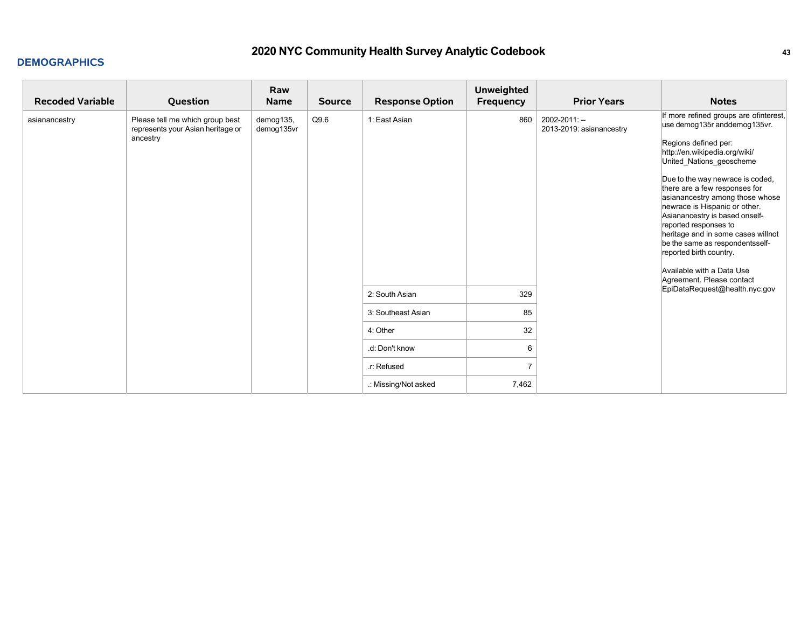| <b>Recoded Variable</b> | Question                                                                         | Raw<br>Name             | <b>Source</b> | <b>Response Option</b> | <b>Unweighted</b><br>Frequency | <b>Prior Years</b>                        | <b>Notes</b>                                                                                                                                                                                                                                                                                                                                                                                                                                                                                                                  |
|-------------------------|----------------------------------------------------------------------------------|-------------------------|---------------|------------------------|--------------------------------|-------------------------------------------|-------------------------------------------------------------------------------------------------------------------------------------------------------------------------------------------------------------------------------------------------------------------------------------------------------------------------------------------------------------------------------------------------------------------------------------------------------------------------------------------------------------------------------|
| asianancestry           | Please tell me which group best<br>represents your Asian heritage or<br>ancestry | demog135,<br>demog135vr | Q9.6          | 1: East Asian          | 860                            | 2002-2011: --<br>2013-2019: asianancestry | If more refined groups are ofinterest,<br>use demog135r anddemog135vr.<br>Regions defined per:<br>http://en.wikipedia.org/wiki/<br>United_Nations_geoscheme<br>Due to the way newrace is coded,<br>there are a few responses for<br>asianancestry among those whose<br>newrace is Hispanic or other.<br>Asianancestry is based onself-<br>reported responses to<br>heritage and in some cases willnot<br>be the same as respondentsself-<br>reported birth country.<br>Available with a Data Use<br>Agreement. Please contact |
|                         |                                                                                  |                         |               | 2: South Asian         | 329                            |                                           | EpiDataRequest@health.nyc.gov                                                                                                                                                                                                                                                                                                                                                                                                                                                                                                 |
|                         |                                                                                  |                         |               | 3: Southeast Asian     | 85                             |                                           |                                                                                                                                                                                                                                                                                                                                                                                                                                                                                                                               |
|                         |                                                                                  |                         |               | 4: Other               | 32                             |                                           |                                                                                                                                                                                                                                                                                                                                                                                                                                                                                                                               |
|                         |                                                                                  |                         |               | .d: Don't know         | 6                              |                                           |                                                                                                                                                                                                                                                                                                                                                                                                                                                                                                                               |
|                         |                                                                                  |                         |               | .r: Refused            | $\overline{7}$                 |                                           |                                                                                                                                                                                                                                                                                                                                                                                                                                                                                                                               |
|                         |                                                                                  |                         |               | .: Missing/Not asked   | 7,462                          |                                           |                                                                                                                                                                                                                                                                                                                                                                                                                                                                                                                               |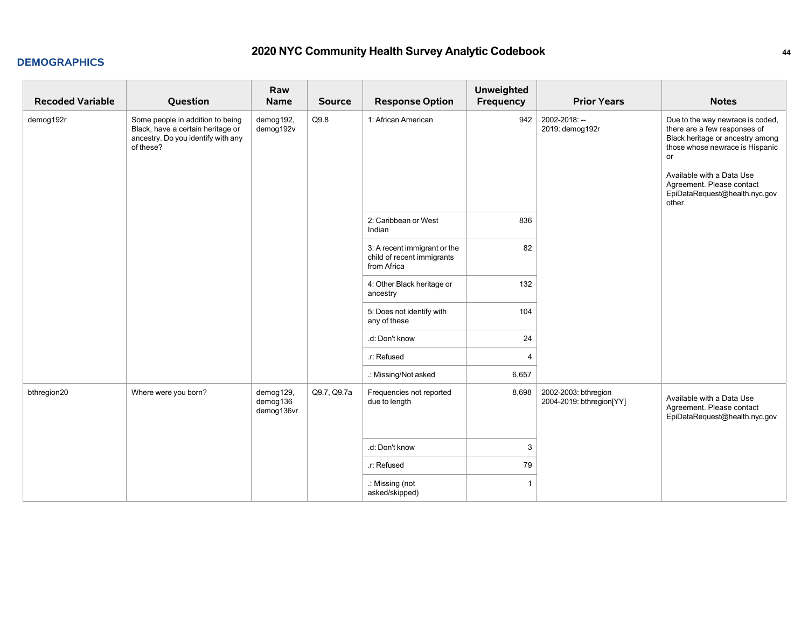| <b>Recoded Variable</b> | Question                                                                                                                 | Raw<br>Name                         | <b>Source</b> | <b>Response Option</b>                                                    | <b>Unweighted</b><br><b>Frequency</b> | <b>Prior Years</b>                               | <b>Notes</b>                                                                                                                                                                                                                                       |
|-------------------------|--------------------------------------------------------------------------------------------------------------------------|-------------------------------------|---------------|---------------------------------------------------------------------------|---------------------------------------|--------------------------------------------------|----------------------------------------------------------------------------------------------------------------------------------------------------------------------------------------------------------------------------------------------------|
| demog192r               | Some people in addition to being<br>Black, have a certain heritage or<br>ancestry. Do you identify with any<br>of these? | demog192,<br>demog192v              | Q9.8          | 1: African American                                                       | 942                                   | 2002-2018: --<br>2019: demog192r                 | Due to the way newrace is coded,<br>there are a few responses of<br>Black heritage or ancestry among<br>those whose newrace is Hispanic<br>or<br>Available with a Data Use<br>Agreement. Please contact<br>EpiDataRequest@health.nyc.gov<br>other. |
|                         |                                                                                                                          |                                     |               | 2: Caribbean or West<br>Indian                                            | 836                                   |                                                  |                                                                                                                                                                                                                                                    |
|                         |                                                                                                                          |                                     |               | 3: A recent immigrant or the<br>child of recent immigrants<br>from Africa | 82                                    |                                                  |                                                                                                                                                                                                                                                    |
|                         |                                                                                                                          |                                     |               | 4: Other Black heritage or<br>ancestry                                    | 132                                   |                                                  |                                                                                                                                                                                                                                                    |
|                         |                                                                                                                          |                                     |               | 5: Does not identify with<br>any of these                                 | 104                                   |                                                  |                                                                                                                                                                                                                                                    |
|                         |                                                                                                                          |                                     |               | .d: Don't know                                                            | 24                                    |                                                  |                                                                                                                                                                                                                                                    |
|                         |                                                                                                                          |                                     |               | .r: Refused                                                               | $\overline{4}$                        |                                                  |                                                                                                                                                                                                                                                    |
|                         |                                                                                                                          |                                     |               | .: Missing/Not asked                                                      | 6,657                                 |                                                  |                                                                                                                                                                                                                                                    |
| bthregion20             | Where were you born?                                                                                                     | demog129,<br>demog136<br>demog136vr | Q9.7, Q9.7a   | Frequencies not reported<br>due to length                                 | 8,698                                 | 2002-2003: bthregion<br>2004-2019: bthregion[YY] | Available with a Data Use<br>Agreement. Please contact<br>EpiDataRequest@health.nyc.gov                                                                                                                                                            |
|                         |                                                                                                                          |                                     |               | .d: Don't know                                                            | 3                                     |                                                  |                                                                                                                                                                                                                                                    |
|                         |                                                                                                                          |                                     |               | .r: Refused                                                               | 79                                    |                                                  |                                                                                                                                                                                                                                                    |
|                         |                                                                                                                          |                                     |               | .: Missing (not<br>asked/skipped)                                         | $\overline{1}$                        |                                                  |                                                                                                                                                                                                                                                    |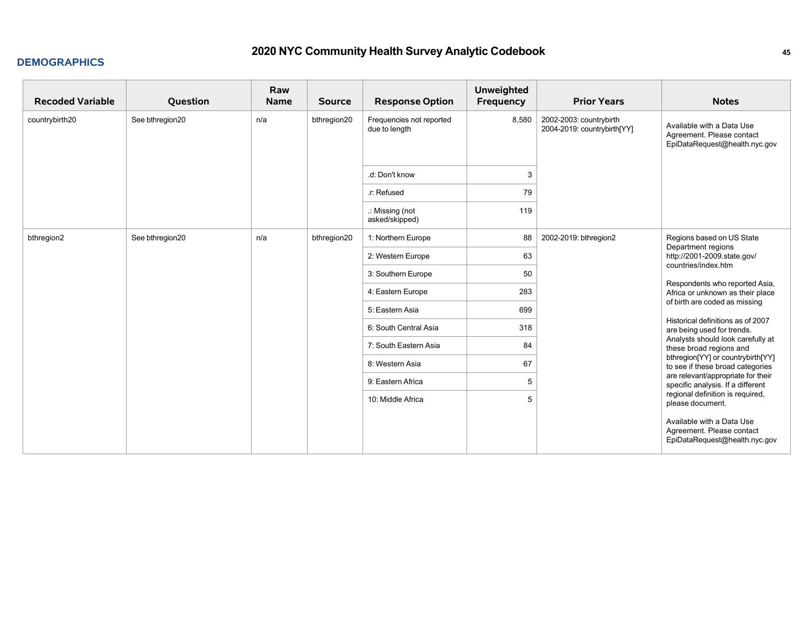| <b>Recoded Variable</b> | Question        | Raw<br><b>Name</b> | <b>Source</b> | <b>Response Option</b>                    | <b>Unweighted</b><br>Frequency | <b>Prior Years</b>                                     | <b>Notes</b>                                                                                        |
|-------------------------|-----------------|--------------------|---------------|-------------------------------------------|--------------------------------|--------------------------------------------------------|-----------------------------------------------------------------------------------------------------|
| countrybirth20          | See bthregion20 | n/a                | bthregion20   | Frequencies not reported<br>due to length | 8,580                          | 2002-2003: countrybirth<br>2004-2019: countrybirth[YY] | Available with a Data Use<br>Agreement. Please contact<br>EpiDataRequest@health.nyc.gov             |
|                         |                 |                    |               | .d: Don't know                            | 3                              |                                                        |                                                                                                     |
|                         |                 |                    |               | .r: Refused                               | 79                             |                                                        |                                                                                                     |
|                         |                 |                    |               | .: Missing (not<br>asked/skipped)         | 119                            |                                                        |                                                                                                     |
| bthregion2              | See bthregion20 | n/a                | bthregion20   | 1: Northern Europe                        | 88                             | 2002-2019: bthregion2                                  | Regions based on US State<br>Department regions                                                     |
|                         |                 |                    |               | 2: Western Europe                         | 63                             |                                                        | http://2001-2009.state.gov/<br>countries/index.htm                                                  |
|                         |                 |                    |               | 3: Southern Europe                        | 50                             |                                                        | Respondents who reported Asia,<br>Africa or unknown as their place<br>of birth are coded as missing |
|                         |                 |                    |               | 4: Eastern Europe                         | 283                            |                                                        |                                                                                                     |
|                         |                 |                    |               | 5: Eastern Asia                           | 699                            |                                                        |                                                                                                     |
|                         |                 |                    |               | 6: South Central Asia                     | 318                            |                                                        | Historical definitions as of 2007<br>are being used for trends.                                     |
|                         |                 |                    |               | 7: South Eastern Asia                     | 84                             |                                                        | Analysts should look carefully at<br>these broad regions and                                        |
|                         |                 |                    |               | 8: Western Asia                           | 67                             |                                                        | bthregion[YY] or countrybirth[YY]<br>to see if these broad categories                               |
|                         |                 |                    |               | 9: Eastern Africa                         | 5                              |                                                        | are relevant/appropriate for their<br>specific analysis. If a different                             |
|                         |                 |                    |               | 10: Middle Africa                         | 5                              |                                                        | regional definition is required,<br>please document.                                                |
|                         |                 |                    |               |                                           |                                |                                                        | Available with a Data Use<br>Agreement. Please contact<br>EpiDataRequest@health.nyc.gov             |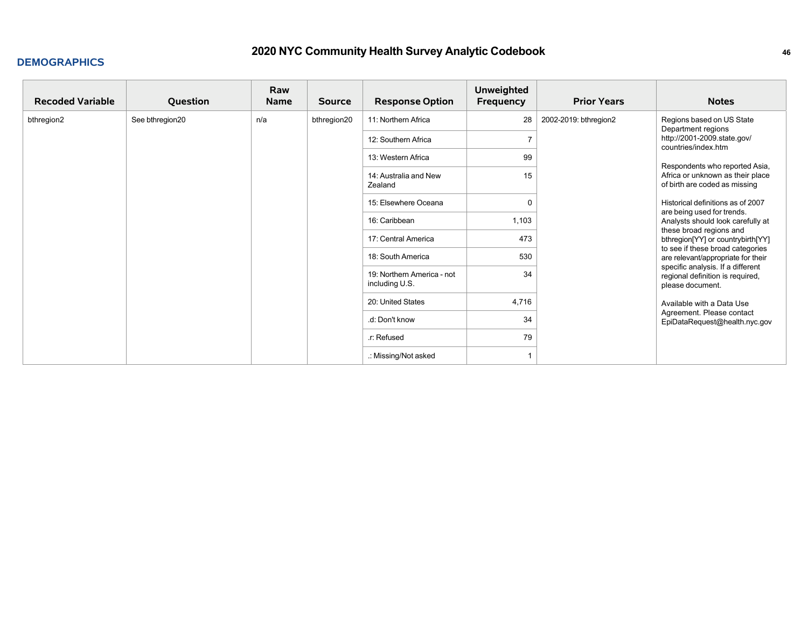## **2020 NYC Community Health Survey Analytic Codebook <sup>46</sup>**

#### **DEMOGRAPHICS**

| <b>Recoded Variable</b> | Question        | Raw<br><b>Name</b> | <b>Source</b>                                | <b>Response Option</b>           | <b>Unweighted</b><br>Frequency | <b>Prior Years</b>                                                                        | <b>Notes</b>                                                                                                                                                           |
|-------------------------|-----------------|--------------------|----------------------------------------------|----------------------------------|--------------------------------|-------------------------------------------------------------------------------------------|------------------------------------------------------------------------------------------------------------------------------------------------------------------------|
| bthregion2              | See bthregion20 | n/a                | bthregion20                                  | 11: Northern Africa              | 28                             | 2002-2019: bthregion2                                                                     | Regions based on US State<br>Department regions                                                                                                                        |
|                         |                 |                    |                                              | 12: Southern Africa              | 7                              |                                                                                           | http://2001-2009.state.gov/<br>countries/index.htm                                                                                                                     |
|                         |                 |                    |                                              | 13: Western Africa               | 99                             |                                                                                           | Respondents who reported Asia,<br>Africa or unknown as their place<br>of birth are coded as missing<br>Historical definitions as of 2007<br>are being used for trends. |
|                         |                 |                    |                                              | 14: Australia and New<br>Zealand | 15                             |                                                                                           |                                                                                                                                                                        |
|                         |                 |                    |                                              | 15: Elsewhere Oceana             | 0                              |                                                                                           |                                                                                                                                                                        |
|                         |                 |                    |                                              | 16: Caribbean                    | 1,103                          |                                                                                           | Analysts should look carefully at<br>these broad regions and                                                                                                           |
|                         |                 |                    |                                              | 17: Central America              | 473                            |                                                                                           | bthregion[YY] or countrybirth[YY]                                                                                                                                      |
|                         |                 |                    |                                              | 18: South America                | 530                            |                                                                                           | to see if these broad categories<br>are relevant/appropriate for their                                                                                                 |
|                         |                 |                    | 19: Northern America - not<br>including U.S. | 34                               |                                | specific analysis. If a different<br>regional definition is required,<br>please document. |                                                                                                                                                                        |
|                         |                 |                    |                                              | 20: United States                | 4,716                          |                                                                                           | Available with a Data Use                                                                                                                                              |
|                         |                 |                    | .d: Don't know                               | 34                               |                                | Agreement. Please contact<br>EpiDataRequest@health.nyc.gov                                |                                                                                                                                                                        |
|                         |                 |                    |                                              | .r: Refused                      | 79                             |                                                                                           |                                                                                                                                                                        |
|                         |                 |                    |                                              | .: Missing/Not asked             |                                |                                                                                           |                                                                                                                                                                        |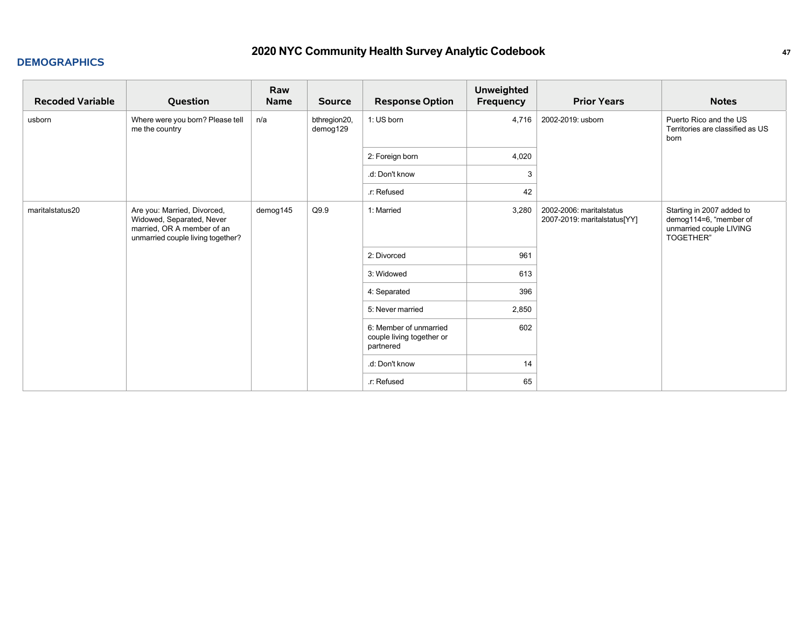| <b>Recoded Variable</b> | Question                                                                                                                    | Raw<br><b>Name</b> | <b>Source</b>            | <b>Response Option</b>                                           | <b>Unweighted</b><br>Frequency | <b>Prior Years</b>                                       | <b>Notes</b>                                                                                       |
|-------------------------|-----------------------------------------------------------------------------------------------------------------------------|--------------------|--------------------------|------------------------------------------------------------------|--------------------------------|----------------------------------------------------------|----------------------------------------------------------------------------------------------------|
| usborn                  | Where were you born? Please tell<br>me the country                                                                          | n/a                | bthregion20,<br>demog129 | 1: US born                                                       | 4,716                          | 2002-2019: usborn                                        | Puerto Rico and the US<br>Territories are classified as US<br>born                                 |
|                         |                                                                                                                             |                    |                          | 2: Foreign born                                                  | 4,020                          |                                                          |                                                                                                    |
|                         |                                                                                                                             |                    |                          | .d: Don't know                                                   | 3                              |                                                          |                                                                                                    |
|                         |                                                                                                                             |                    |                          | .r: Refused                                                      | 42                             |                                                          |                                                                                                    |
| maritalstatus20         | Are you: Married, Divorced,<br>Widowed, Separated, Never<br>married, OR A member of an<br>unmarried couple living together? | demog145           | Q9.9                     | 1: Married                                                       | 3,280                          | 2002-2006: maritalstatus<br>2007-2019: maritalstatus[YY] | Starting in 2007 added to<br>demog114=6, "member of<br>unmarried couple LIVING<br><b>TOGETHER"</b> |
|                         |                                                                                                                             |                    |                          | 2: Divorced                                                      | 961                            |                                                          |                                                                                                    |
|                         |                                                                                                                             |                    |                          | 3: Widowed                                                       | 613                            |                                                          |                                                                                                    |
|                         |                                                                                                                             |                    |                          | 4: Separated                                                     | 396                            |                                                          |                                                                                                    |
|                         |                                                                                                                             |                    |                          | 5: Never married                                                 | 2,850                          |                                                          |                                                                                                    |
|                         |                                                                                                                             |                    |                          | 6: Member of unmarried<br>couple living together or<br>partnered | 602                            |                                                          |                                                                                                    |
|                         |                                                                                                                             |                    |                          | .d: Don't know                                                   | 14                             |                                                          |                                                                                                    |
|                         |                                                                                                                             |                    |                          | .r: Refused                                                      | 65                             |                                                          |                                                                                                    |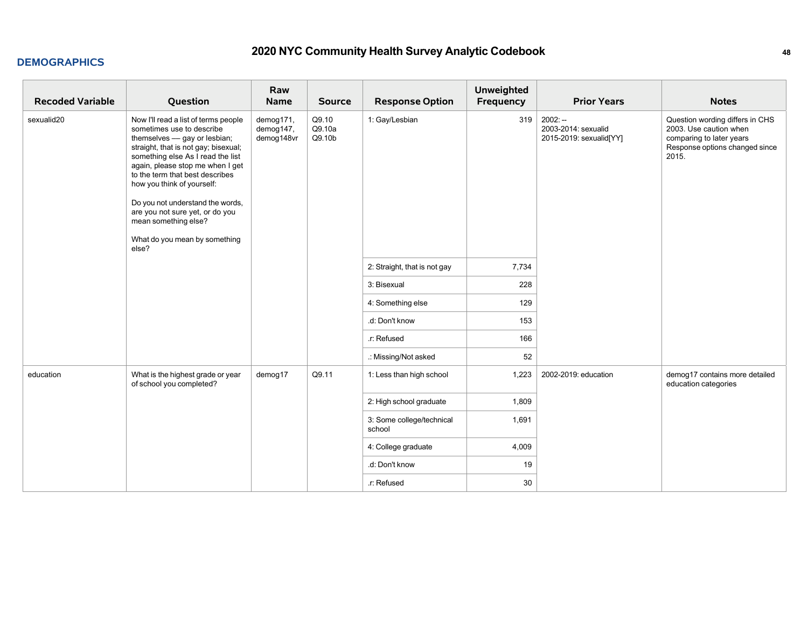| <b>Recoded Variable</b> | Question                                                                                                                                                                                                                                                                                                                                                                                                                     | Raw<br>Name                          | <b>Source</b>             | <b>Response Option</b>              | <b>Unweighted</b><br>Frequency | <b>Prior Years</b>                                          | <b>Notes</b>                                                                                                                     |
|-------------------------|------------------------------------------------------------------------------------------------------------------------------------------------------------------------------------------------------------------------------------------------------------------------------------------------------------------------------------------------------------------------------------------------------------------------------|--------------------------------------|---------------------------|-------------------------------------|--------------------------------|-------------------------------------------------------------|----------------------------------------------------------------------------------------------------------------------------------|
| sexualid20              | Now I'll read a list of terms people<br>sometimes use to describe<br>themselves - gay or lesbian;<br>straight, that is not gay; bisexual;<br>something else As I read the list<br>again, please stop me when I get<br>to the term that best describes<br>how you think of yourself:<br>Do you not understand the words,<br>are you not sure yet, or do you<br>mean something else?<br>What do you mean by something<br>else? | demog171,<br>demog147,<br>demog148vr | Q9.10<br>Q9.10a<br>Q9.10b | 1: Gay/Lesbian                      | 319                            | $2002: -$<br>2003-2014: sexualid<br>2015-2019: sexualid[YY] | Question wording differs in CHS<br>2003. Use caution when<br>comparing to later years<br>Response options changed since<br>2015. |
|                         |                                                                                                                                                                                                                                                                                                                                                                                                                              |                                      |                           | 2: Straight, that is not gay        | 7,734                          |                                                             |                                                                                                                                  |
|                         |                                                                                                                                                                                                                                                                                                                                                                                                                              |                                      |                           | 3: Bisexual                         | 228                            |                                                             |                                                                                                                                  |
|                         |                                                                                                                                                                                                                                                                                                                                                                                                                              |                                      |                           | 4: Something else                   | 129                            |                                                             |                                                                                                                                  |
|                         |                                                                                                                                                                                                                                                                                                                                                                                                                              |                                      |                           | .d: Don't know                      | 153                            |                                                             |                                                                                                                                  |
|                         |                                                                                                                                                                                                                                                                                                                                                                                                                              |                                      |                           | .r: Refused                         | 166                            |                                                             |                                                                                                                                  |
|                         |                                                                                                                                                                                                                                                                                                                                                                                                                              |                                      |                           | .: Missing/Not asked                | 52                             |                                                             |                                                                                                                                  |
| education               | What is the highest grade or year<br>of school you completed?                                                                                                                                                                                                                                                                                                                                                                | demog17                              | Q9.11                     | 1: Less than high school            | 1,223                          | 2002-2019: education                                        | demog17 contains more detailed<br>education categories                                                                           |
|                         |                                                                                                                                                                                                                                                                                                                                                                                                                              |                                      |                           | 2: High school graduate             | 1,809                          |                                                             |                                                                                                                                  |
|                         |                                                                                                                                                                                                                                                                                                                                                                                                                              |                                      |                           | 3: Some college/technical<br>school | 1,691                          |                                                             |                                                                                                                                  |
|                         |                                                                                                                                                                                                                                                                                                                                                                                                                              |                                      |                           | 4: College graduate                 | 4,009                          |                                                             |                                                                                                                                  |
|                         |                                                                                                                                                                                                                                                                                                                                                                                                                              |                                      |                           | .d: Don't know                      | 19                             |                                                             |                                                                                                                                  |
|                         |                                                                                                                                                                                                                                                                                                                                                                                                                              |                                      |                           | .r: Refused                         | 30                             |                                                             |                                                                                                                                  |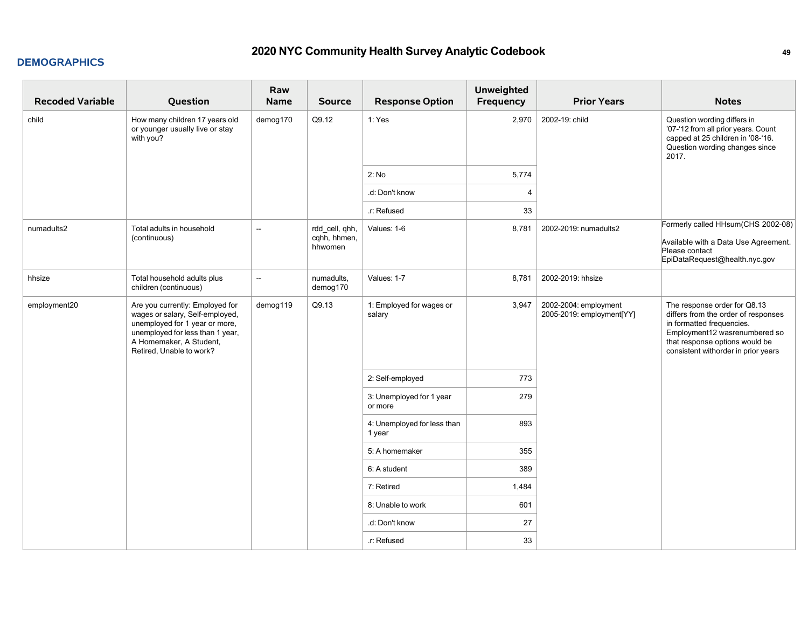| <b>Recoded Variable</b> | Question                                                                                                                                                                                        | Raw<br><b>Name</b> | <b>Source</b>                             | <b>Response Option</b>                | <b>Unweighted</b><br><b>Frequency</b> | <b>Prior Years</b>                                 | <b>Notes</b>                                                                                                                                                                                               |
|-------------------------|-------------------------------------------------------------------------------------------------------------------------------------------------------------------------------------------------|--------------------|-------------------------------------------|---------------------------------------|---------------------------------------|----------------------------------------------------|------------------------------------------------------------------------------------------------------------------------------------------------------------------------------------------------------------|
| child                   | How many children 17 years old<br>or younger usually live or stay<br>with you?                                                                                                                  | demog170           | Q9.12                                     | 1: Yes                                | 2,970                                 | 2002-19: child                                     | Question wording differs in<br>'07-'12 from all prior years. Count<br>capped at 25 children in '08-'16.<br>Question wording changes since<br>2017.                                                         |
|                         |                                                                                                                                                                                                 |                    |                                           | 2: No                                 | 5,774                                 |                                                    |                                                                                                                                                                                                            |
|                         |                                                                                                                                                                                                 |                    |                                           | .d: Don't know                        | $\overline{4}$                        |                                                    |                                                                                                                                                                                                            |
|                         |                                                                                                                                                                                                 |                    |                                           | .r: Refused                           | 33                                    |                                                    |                                                                                                                                                                                                            |
| numadults2              | Total adults in household<br>(continuous)                                                                                                                                                       | ш.                 | rdd_cell, qhh,<br>cqhh, hhmen,<br>hhwomen | Values: 1-6                           | 8,781                                 | 2002-2019: numadults2                              | Formerly called HHsum(CHS 2002-08)<br>Available with a Data Use Agreement.<br>Please contact<br>EpiDataRequest@health.nyc.gov                                                                              |
| hhsize                  | Total household adults plus<br>children (continuous)                                                                                                                                            | --                 | numadults,<br>demog170                    | Values: 1-7                           | 8,781                                 | 2002-2019: hhsize                                  |                                                                                                                                                                                                            |
| employment20            | Are you currently: Employed for<br>wages or salary, Self-employed,<br>unemployed for 1 year or more,<br>unemployed for less than 1 year,<br>A Homemaker, A Student,<br>Retired, Unable to work? | demog119           | Q9.13                                     | 1: Employed for wages or<br>salary    | 3,947                                 | 2002-2004: employment<br>2005-2019: employment[YY] | The response order for Q8.13<br>differs from the order of responses<br>in formatted frequencies.<br>Employment12 wasrenumbered so<br>that response options would be<br>consistent withorder in prior years |
|                         |                                                                                                                                                                                                 |                    |                                           | 2: Self-employed                      | 773                                   |                                                    |                                                                                                                                                                                                            |
|                         |                                                                                                                                                                                                 |                    |                                           | 3: Unemployed for 1 year<br>or more   | 279                                   |                                                    |                                                                                                                                                                                                            |
|                         |                                                                                                                                                                                                 |                    |                                           | 4: Unemployed for less than<br>1 year | 893                                   |                                                    |                                                                                                                                                                                                            |
|                         |                                                                                                                                                                                                 |                    |                                           | 5: A homemaker                        | 355                                   |                                                    |                                                                                                                                                                                                            |
|                         |                                                                                                                                                                                                 |                    |                                           | 6: A student                          | 389                                   |                                                    |                                                                                                                                                                                                            |
|                         |                                                                                                                                                                                                 |                    |                                           | 7: Retired                            | 1,484                                 |                                                    |                                                                                                                                                                                                            |
|                         |                                                                                                                                                                                                 |                    |                                           | 8: Unable to work                     | 601                                   |                                                    |                                                                                                                                                                                                            |
|                         |                                                                                                                                                                                                 |                    |                                           | .d: Don't know                        | 27                                    |                                                    |                                                                                                                                                                                                            |
|                         |                                                                                                                                                                                                 |                    |                                           | .r: Refused                           | 33                                    |                                                    |                                                                                                                                                                                                            |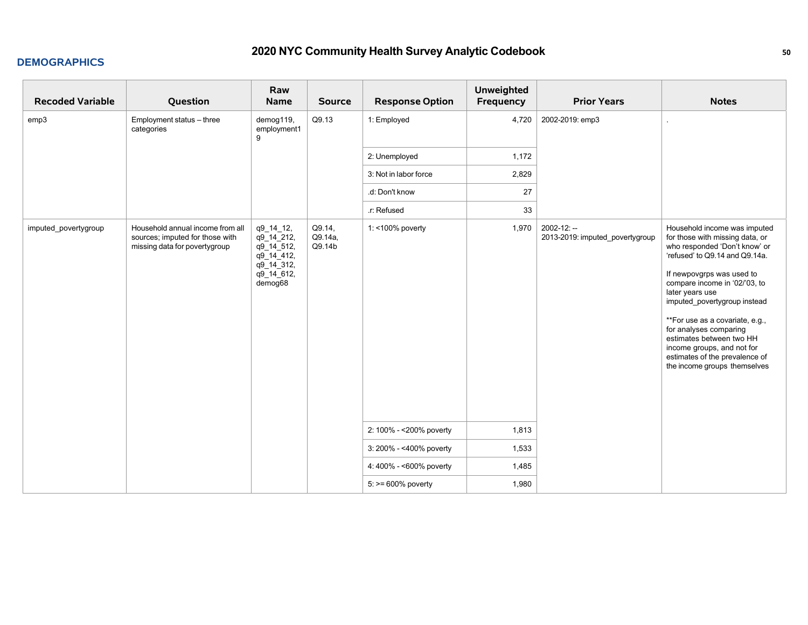| <b>Recoded Variable</b> | Question                                                                                             | Raw<br><b>Name</b>                                                                         | <b>Source</b>               | <b>Response Option</b>   | <b>Unweighted</b><br>Frequency | <b>Prior Years</b>                                | <b>Notes</b>                                                                                                                                                                                                                                                                                                                                                                                                                                 |
|-------------------------|------------------------------------------------------------------------------------------------------|--------------------------------------------------------------------------------------------|-----------------------------|--------------------------|--------------------------------|---------------------------------------------------|----------------------------------------------------------------------------------------------------------------------------------------------------------------------------------------------------------------------------------------------------------------------------------------------------------------------------------------------------------------------------------------------------------------------------------------------|
| emp3                    | Employment status - three<br>categories                                                              | demog119,<br>employment1<br>9                                                              | Q9.13                       | 1: Employed              | 4,720                          | 2002-2019: emp3                                   | $\epsilon$                                                                                                                                                                                                                                                                                                                                                                                                                                   |
|                         |                                                                                                      |                                                                                            |                             | 2: Unemployed            | 1,172                          |                                                   |                                                                                                                                                                                                                                                                                                                                                                                                                                              |
|                         |                                                                                                      |                                                                                            |                             | 3: Not in labor force    | 2,829                          |                                                   |                                                                                                                                                                                                                                                                                                                                                                                                                                              |
|                         |                                                                                                      |                                                                                            |                             | .d: Don't know           | 27                             |                                                   |                                                                                                                                                                                                                                                                                                                                                                                                                                              |
|                         |                                                                                                      |                                                                                            |                             | .r: Refused              | 33                             |                                                   |                                                                                                                                                                                                                                                                                                                                                                                                                                              |
| imputed_povertygroup    | Household annual income from all<br>sources; imputed for those with<br>missing data for povertygroup | q9_14_12,<br>q9_14_212,<br>q9_14_512,<br>q9_14_412,<br>q9_14_312,<br>q9_14_612,<br>demog68 | Q9.14,<br>Q9.14a,<br>Q9.14b | 1: <100% poverty         | 1,970                          | $2002 - 12: -$<br>2013-2019: imputed povertygroup | Household income was imputed<br>for those with missing data, or<br>who responded 'Don't know' or<br>'refused' to Q9.14 and Q9.14a.<br>If newpovgrps was used to<br>compare income in '02/'03, to<br>later years use<br>imputed_povertygroup instead<br>**For use as a covariate, e.g.,<br>for analyses comparing<br>estimates between two HH<br>income groups, and not for<br>estimates of the prevalence of<br>the income groups themselves |
|                         |                                                                                                      |                                                                                            |                             | 2: 100% - < 200% poverty | 1,813                          |                                                   |                                                                                                                                                                                                                                                                                                                                                                                                                                              |
|                         |                                                                                                      |                                                                                            |                             | 3: 200% - <400% poverty  | 1,533                          |                                                   |                                                                                                                                                                                                                                                                                                                                                                                                                                              |
|                         |                                                                                                      |                                                                                            |                             | 4: 400% - <600% poverty  | 1,485                          |                                                   |                                                                                                                                                                                                                                                                                                                                                                                                                                              |
|                         |                                                                                                      |                                                                                            |                             | $5:>= 600\%$ poverty     | 1,980                          |                                                   |                                                                                                                                                                                                                                                                                                                                                                                                                                              |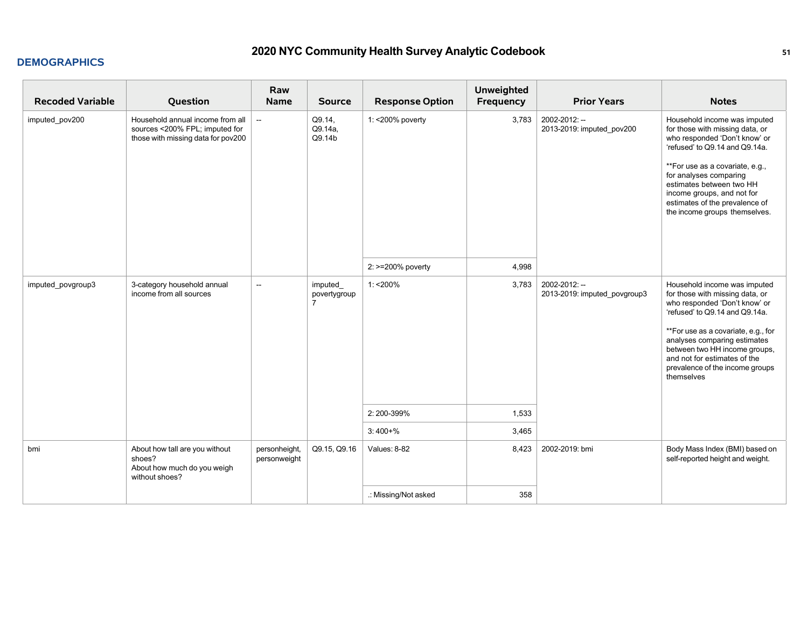| <b>Recoded Variable</b> | Question                                                                                                 | Raw<br><b>Name</b>            | <b>Source</b>                             | <b>Response Option</b> | Unweighted<br><b>Frequency</b> | <b>Prior Years</b>                            | <b>Notes</b>                                                                                                                                                                                                                                                                                                                 |
|-------------------------|----------------------------------------------------------------------------------------------------------|-------------------------------|-------------------------------------------|------------------------|--------------------------------|-----------------------------------------------|------------------------------------------------------------------------------------------------------------------------------------------------------------------------------------------------------------------------------------------------------------------------------------------------------------------------------|
| imputed_pov200          | Household annual income from all<br>sources <200% FPL; imputed for<br>those with missing data for pov200 | $\overline{\phantom{a}}$      | Q9.14.<br>Q9.14a,<br>Q9.14b               | 1: < 200% poverty      | 3,783                          | 2002-2012: --<br>2013-2019: imputed pov200    | Household income was imputed<br>for those with missing data, or<br>who responded 'Don't know' or<br>'refused' to Q9.14 and Q9.14a.<br>**For use as a covariate, e.g.,<br>for analyses comparing<br>estimates between two HH<br>income groups, and not for<br>estimates of the prevalence of<br>the income groups themselves. |
|                         |                                                                                                          |                               |                                           | 2: >=200% poverty      | 4,998                          |                                               |                                                                                                                                                                                                                                                                                                                              |
| imputed povgroup3       | 3-category household annual<br>income from all sources                                                   | $\overline{\phantom{a}}$      | imputed<br>povertygroup<br>$\overline{7}$ | $1:200\%$              | 3,783                          | 2002-2012: --<br>2013-2019: imputed_povgroup3 | Household income was imputed<br>for those with missing data, or<br>who responded 'Don't know' or<br>'refused' to Q9.14 and Q9.14a.<br>**For use as a covariate, e.g., for<br>analyses comparing estimates<br>between two HH income groups,<br>and not for estimates of the<br>prevalence of the income groups<br>themselves  |
|                         |                                                                                                          |                               |                                           | 2:200-399%             | 1,533                          |                                               |                                                                                                                                                                                                                                                                                                                              |
|                         |                                                                                                          |                               |                                           | $3:400+%$              | 3,465                          |                                               |                                                                                                                                                                                                                                                                                                                              |
| bmi                     | About how tall are you without<br>shoes?<br>About how much do you weigh<br>without shoes?                | personheight,<br>personweight | Q9.15, Q9.16                              | Values: 8-82           | 8,423                          | 2002-2019: bmi                                | Body Mass Index (BMI) based on<br>self-reported height and weight.                                                                                                                                                                                                                                                           |
|                         |                                                                                                          |                               |                                           | .: Missing/Not asked   | 358                            |                                               |                                                                                                                                                                                                                                                                                                                              |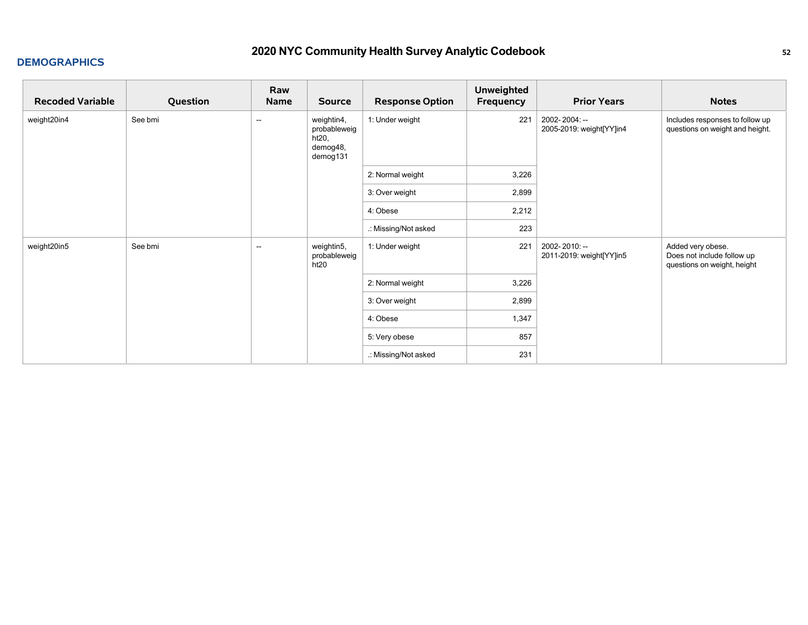| <b>Recoded Variable</b> | Question | Raw<br>Name              | <b>Source</b>                                               | <b>Response Option</b> | <b>Unweighted</b><br>Frequency | <b>Prior Years</b>                        | <b>Notes</b>                                                                   |
|-------------------------|----------|--------------------------|-------------------------------------------------------------|------------------------|--------------------------------|-------------------------------------------|--------------------------------------------------------------------------------|
| weight20in4             | See bmi  | $\overline{\phantom{a}}$ | weightin4,<br>probableweig<br>ht20,<br>demog48,<br>demog131 | 1: Under weight        | 221                            | 2002-2004: --<br>2005-2019: weight[YY]in4 | Includes responses to follow up<br>questions on weight and height.             |
|                         |          |                          |                                                             | 2: Normal weight       | 3,226                          |                                           |                                                                                |
|                         |          |                          |                                                             | 3: Over weight         | 2,899                          |                                           |                                                                                |
|                         |          |                          |                                                             | 4: Obese               | 2,212                          |                                           |                                                                                |
|                         |          |                          |                                                             | .: Missing/Not asked   | 223                            |                                           |                                                                                |
| weight20in5             | See bmi  | $\overline{\phantom{a}}$ | weightin5,<br>probableweig<br>ht20                          | 1: Under weight        | 221                            | 2002-2010: --<br>2011-2019: weight[YY]in5 | Added very obese.<br>Does not include follow up<br>questions on weight, height |
|                         |          |                          |                                                             | 2: Normal weight       | 3,226                          |                                           |                                                                                |
|                         |          |                          |                                                             | 3: Over weight         | 2,899                          |                                           |                                                                                |
|                         |          |                          |                                                             | 4: Obese               | 1,347                          |                                           |                                                                                |
|                         |          |                          |                                                             | 5: Very obese          | 857                            |                                           |                                                                                |
|                         |          |                          |                                                             | .: Missing/Not asked   | 231                            |                                           |                                                                                |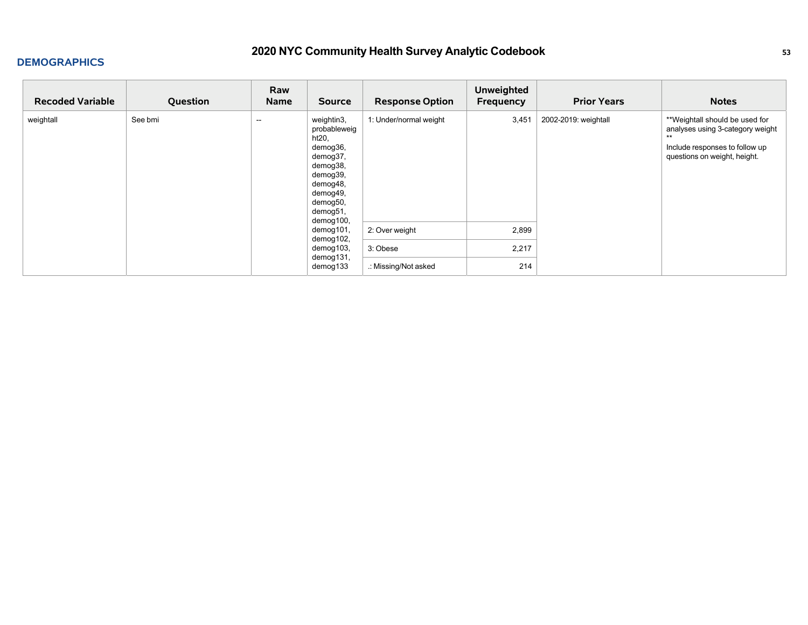| <b>Recoded Variable</b> | Question | Raw<br>Name              | <b>Source</b>                                                                                                                                    | <b>Response Option</b> | <b>Unweighted</b><br>Frequency | <b>Prior Years</b>   | <b>Notes</b>                                                                                                                                 |
|-------------------------|----------|--------------------------|--------------------------------------------------------------------------------------------------------------------------------------------------|------------------------|--------------------------------|----------------------|----------------------------------------------------------------------------------------------------------------------------------------------|
| weightall               | See bmi  | $\overline{\phantom{a}}$ | weightin3,<br>probableweig<br>ht20,<br>demog36,<br>demog37,<br>demog38,<br>demog39,<br>demog48,<br>demog49,<br>demog50,<br>demog51,<br>demog100, | 1: Under/normal weight | 3,451                          | 2002-2019: weightall | **Weightall should be used for<br>analyses using 3-category weight<br>$**$<br>Include responses to follow up<br>questions on weight, height. |
|                         |          |                          | demog101,<br>demog102,                                                                                                                           | 2: Over weight         | 2,899                          |                      |                                                                                                                                              |
|                         |          |                          | demog103,<br>demog131,                                                                                                                           | 3: Obese               | 2,217                          |                      |                                                                                                                                              |
|                         |          |                          | demog133                                                                                                                                         | .: Missing/Not asked   | 214                            |                      |                                                                                                                                              |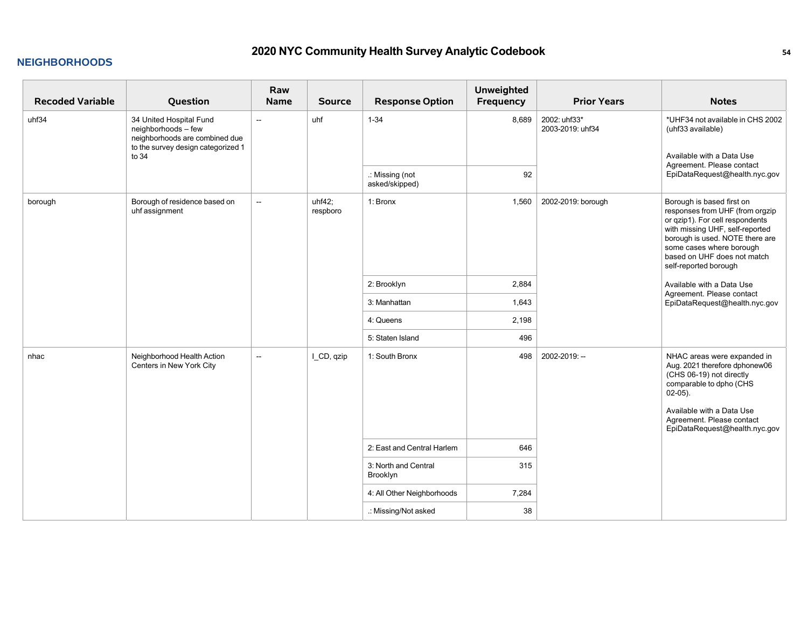#### **NEIGHBORHOODS**

| <b>Recoded Variable</b> | Question                                                                                                                        | Raw<br><b>Name</b>       | <b>Source</b>      | <b>Response Option</b>            | <b>Unweighted</b><br>Frequency | <b>Prior Years</b>               | <b>Notes</b>                                                                                                                                                                                                                                              |
|-------------------------|---------------------------------------------------------------------------------------------------------------------------------|--------------------------|--------------------|-----------------------------------|--------------------------------|----------------------------------|-----------------------------------------------------------------------------------------------------------------------------------------------------------------------------------------------------------------------------------------------------------|
| uhf34                   | 34 United Hospital Fund<br>neighborhoods - few<br>neighborhoods are combined due<br>to the survey design categorized 1<br>to 34 | $\overline{\phantom{a}}$ | uhf                | $1 - 34$                          | 8,689                          | 2002: uhf33*<br>2003-2019: uhf34 | *UHF34 not available in CHS 2002<br>(uhf33 available)<br>Available with a Data Use<br>Agreement. Please contact<br>EpiDataRequest@health.nyc.gov                                                                                                          |
|                         |                                                                                                                                 |                          |                    | .: Missing (not<br>asked/skipped) | 92                             |                                  |                                                                                                                                                                                                                                                           |
| borough                 | Borough of residence based on<br>uhf assignment                                                                                 | $\overline{\phantom{a}}$ | uhf42:<br>respboro | 1: Bronx                          | 1,560                          | 2002-2019: borough               | Borough is based first on<br>responses from UHF (from orgzip<br>or qzip1). For cell respondents<br>with missing UHF, self-reported<br>borough is used. NOTE there are<br>some cases where borough<br>based on UHF does not match<br>self-reported borough |
|                         |                                                                                                                                 |                          |                    | 2: Brooklyn                       | 2,884                          |                                  | Available with a Data Use                                                                                                                                                                                                                                 |
|                         |                                                                                                                                 |                          |                    | 3: Manhattan                      | 1,643                          |                                  | Agreement. Please contact<br>EpiDataRequest@health.nyc.gov                                                                                                                                                                                                |
|                         |                                                                                                                                 |                          |                    | 4: Queens                         | 2,198                          |                                  |                                                                                                                                                                                                                                                           |
|                         |                                                                                                                                 |                          |                    | 5: Staten Island                  | 496                            |                                  |                                                                                                                                                                                                                                                           |
| nhac                    | Neighborhood Health Action<br>Centers in New York City                                                                          | $\overline{\phantom{a}}$ | I_CD, qzip         | 1: South Bronx                    | 498                            | 2002-2019: --                    | NHAC areas were expanded in<br>Aug. 2021 therefore dphonew06<br>(CHS 06-19) not directly<br>comparable to dpho (CHS<br>$02-05$ ).<br>Available with a Data Use<br>Agreement. Please contact<br>EpiDataRequest@health.nyc.gov                              |
|                         |                                                                                                                                 |                          |                    | 2: East and Central Harlem        | 646                            |                                  |                                                                                                                                                                                                                                                           |
|                         |                                                                                                                                 |                          |                    | 3: North and Central<br>Brooklyn  | 315                            |                                  |                                                                                                                                                                                                                                                           |
|                         |                                                                                                                                 |                          |                    | 4: All Other Neighborhoods        | 7,284                          |                                  |                                                                                                                                                                                                                                                           |
|                         |                                                                                                                                 |                          |                    | .: Missing/Not asked              | 38                             |                                  |                                                                                                                                                                                                                                                           |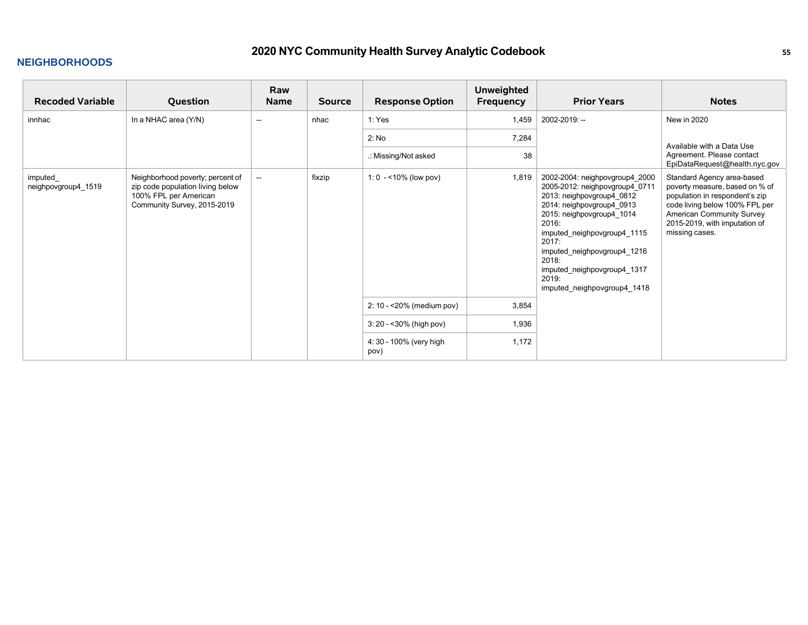### **NEIGHBORHOODS**

| <b>Recoded Variable</b>        | Question                                                                                                                     | Raw<br><b>Name</b>       | <b>Source</b> | <b>Response Option</b>          | <b>Unweighted</b><br>Frequency | <b>Prior Years</b>                                                                                                                                                                                                                                                                                                      | <b>Notes</b>                                                                                                                                                                                                     |
|--------------------------------|------------------------------------------------------------------------------------------------------------------------------|--------------------------|---------------|---------------------------------|--------------------------------|-------------------------------------------------------------------------------------------------------------------------------------------------------------------------------------------------------------------------------------------------------------------------------------------------------------------------|------------------------------------------------------------------------------------------------------------------------------------------------------------------------------------------------------------------|
| innhac                         | In a NHAC area (Y/N)                                                                                                         | --                       | nhac          | 1: Yes                          | 1,459                          | 2002-2019: --                                                                                                                                                                                                                                                                                                           | New in 2020                                                                                                                                                                                                      |
|                                |                                                                                                                              |                          |               | 2: No                           | 7,284                          |                                                                                                                                                                                                                                                                                                                         | Available with a Data Use                                                                                                                                                                                        |
|                                |                                                                                                                              |                          |               | .: Missing/Not asked            | 38                             |                                                                                                                                                                                                                                                                                                                         | Agreement. Please contact<br>EpiDataRequest@health.nyc.gov                                                                                                                                                       |
| imputed<br>neighpovgroup4_1519 | Neighborhood poverty; percent of<br>zip code population living below<br>100% FPL per American<br>Community Survey, 2015-2019 | $\overline{\phantom{a}}$ | fixzip        | 1: 0 $-$ < 10% (low pov)        | 1,819                          | 2002-2004: neighpovgroup4_2000<br>2005-2012: neighpovgroup4_0711<br>2013: neighpovgroup4_0812<br>2014: neighpovgroup4_0913<br>2015: neighpovgroup4_1014<br>2016:<br>imputed neighpovgroup4_1115<br>2017:<br>imputed neighpovgroup4 1216<br>2018:<br>imputed neighpovgroup4_1317<br>2019:<br>imputed neighpovgroup4_1418 | Standard Agency area-based<br>poverty measure, based on % of<br>population in respondent's zip<br>code living below 100% FPL per<br>American Community Survey<br>2015-2019, with imputation of<br>missing cases. |
|                                |                                                                                                                              |                          |               | 2: 10 - < 20% (medium pov)      | 3,854                          |                                                                                                                                                                                                                                                                                                                         |                                                                                                                                                                                                                  |
|                                |                                                                                                                              |                          |               | 3: 20 - < 30% (high pov)        | 1,936                          |                                                                                                                                                                                                                                                                                                                         |                                                                                                                                                                                                                  |
|                                |                                                                                                                              |                          |               | 4: 30 - 100% (very high<br>pov) | 1,172                          |                                                                                                                                                                                                                                                                                                                         |                                                                                                                                                                                                                  |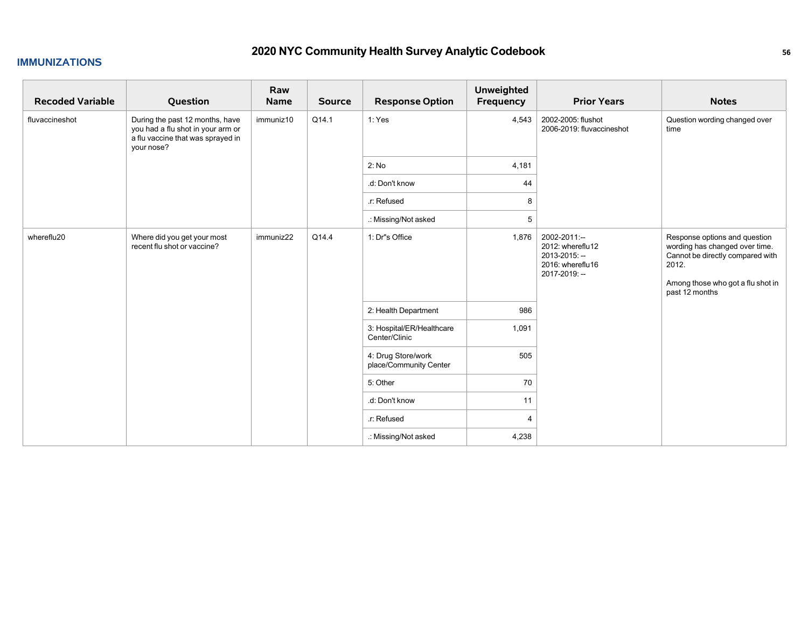#### **IMMUNIZATIONS**

| <b>Recoded Variable</b> | Question                                                                                                                | Raw<br><b>Name</b> | <b>Source</b> | <b>Response Option</b>                       | <b>Unweighted</b><br>Frequency | <b>Prior Years</b>                                                                     | <b>Notes</b>                                                                                                                                                        |
|-------------------------|-------------------------------------------------------------------------------------------------------------------------|--------------------|---------------|----------------------------------------------|--------------------------------|----------------------------------------------------------------------------------------|---------------------------------------------------------------------------------------------------------------------------------------------------------------------|
| fluvaccineshot          | During the past 12 months, have<br>you had a flu shot in your arm or<br>a flu vaccine that was sprayed in<br>your nose? | immuniz10          | Q14.1         | 1: Yes                                       | 4,543                          | 2002-2005: flushot<br>2006-2019: fluvaccineshot                                        | Question wording changed over<br>time                                                                                                                               |
|                         |                                                                                                                         |                    |               | 2: No                                        | 4,181                          |                                                                                        |                                                                                                                                                                     |
|                         |                                                                                                                         |                    |               | .d: Don't know                               | 44                             |                                                                                        |                                                                                                                                                                     |
|                         |                                                                                                                         |                    |               | .r: Refused                                  | 8                              |                                                                                        |                                                                                                                                                                     |
|                         |                                                                                                                         |                    |               | .: Missing/Not asked                         | 5                              |                                                                                        |                                                                                                                                                                     |
| whereflu20              | Where did you get your most<br>recent flu shot or vaccine?                                                              | immuniz22          | Q14.4         | 1: Dr"s Office                               | 1,876                          | 2002-2011:--<br>2012: whereflu12<br>2013-2015: --<br>2016: whereflu16<br>2017-2019: -- | Response options and question<br>wording has changed over time.<br>Cannot be directly compared with<br>2012.<br>Among those who got a flu shot in<br>past 12 months |
|                         |                                                                                                                         |                    |               | 2: Health Department                         | 986                            |                                                                                        |                                                                                                                                                                     |
|                         |                                                                                                                         |                    |               | 3: Hospital/ER/Healthcare<br>Center/Clinic   | 1,091                          |                                                                                        |                                                                                                                                                                     |
|                         |                                                                                                                         |                    |               | 4: Drug Store/work<br>place/Community Center | 505                            |                                                                                        |                                                                                                                                                                     |
|                         |                                                                                                                         |                    |               | 5: Other                                     | 70                             |                                                                                        |                                                                                                                                                                     |
|                         |                                                                                                                         |                    |               | .d: Don't know                               | 11                             |                                                                                        |                                                                                                                                                                     |
|                         |                                                                                                                         |                    |               | .r: Refused                                  | 4                              |                                                                                        |                                                                                                                                                                     |
|                         |                                                                                                                         |                    |               | .: Missing/Not asked                         | 4,238                          |                                                                                        |                                                                                                                                                                     |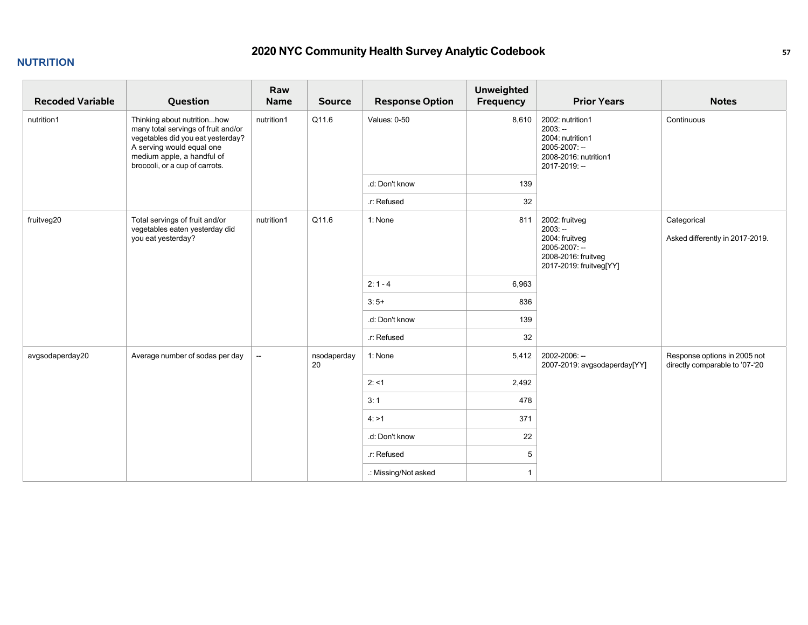### **NUTRITION**

| <b>Recoded Variable</b> | Question                                                                                                                                                                                             | Raw<br>Name | <b>Source</b>     | <b>Response Option</b> | <b>Unweighted</b><br>Frequency | <b>Prior Years</b>                                                                                               | <b>Notes</b>                                                   |
|-------------------------|------------------------------------------------------------------------------------------------------------------------------------------------------------------------------------------------------|-------------|-------------------|------------------------|--------------------------------|------------------------------------------------------------------------------------------------------------------|----------------------------------------------------------------|
| nutrition1              | Thinking about nutritionhow<br>many total servings of fruit and/or<br>vegetables did you eat yesterday?<br>A serving would equal one<br>medium apple, a handful of<br>broccoli, or a cup of carrots. | nutrition1  | Q11.6             | Values: 0-50           | 8,610                          | 2002: nutrition1<br>$2003: -$<br>2004: nutrition1<br>2005-2007: --<br>2008-2016: nutrition1<br>2017-2019: --     | Continuous                                                     |
|                         |                                                                                                                                                                                                      |             |                   | .d: Don't know         | 139                            |                                                                                                                  |                                                                |
|                         |                                                                                                                                                                                                      |             |                   | r: Refused             | 32                             |                                                                                                                  |                                                                |
| fruitveg20              | Total servings of fruit and/or<br>vegetables eaten yesterday did<br>you eat yesterday?                                                                                                               | nutrition1  | Q11.6             | 1: None                | 811                            | 2002: fruitveg<br>$2003: -$<br>2004: fruitveg<br>2005-2007: --<br>2008-2016: fruitveg<br>2017-2019: fruitveg[YY] | Categorical<br>Asked differently in 2017-2019.                 |
|                         |                                                                                                                                                                                                      |             |                   | $2:1 - 4$              | 6,963                          |                                                                                                                  |                                                                |
|                         |                                                                                                                                                                                                      |             |                   | $3:5+$                 | 836                            |                                                                                                                  |                                                                |
|                         |                                                                                                                                                                                                      |             |                   | .d: Don't know         | 139                            |                                                                                                                  |                                                                |
|                         |                                                                                                                                                                                                      |             |                   | .r: Refused            | 32                             |                                                                                                                  |                                                                |
| avgsodaperday20         | Average number of sodas per day                                                                                                                                                                      | $\sim$      | nsodaperday<br>20 | 1: None                | 5,412                          | 2002-2006: --<br>2007-2019: avgsodaperday[YY]                                                                    | Response options in 2005 not<br>directly comparable to '07-'20 |
|                         |                                                                                                                                                                                                      |             |                   | 2: 11                  | 2,492                          |                                                                                                                  |                                                                |
|                         |                                                                                                                                                                                                      |             |                   | 3:1                    | 478                            |                                                                                                                  |                                                                |
|                         |                                                                                                                                                                                                      |             |                   | 4: >1                  | 371                            |                                                                                                                  |                                                                |
|                         |                                                                                                                                                                                                      |             |                   | .d: Don't know         | 22                             |                                                                                                                  |                                                                |
|                         |                                                                                                                                                                                                      |             |                   | r: Refused             | 5                              |                                                                                                                  |                                                                |
|                         |                                                                                                                                                                                                      |             |                   | .: Missing/Not asked   |                                |                                                                                                                  |                                                                |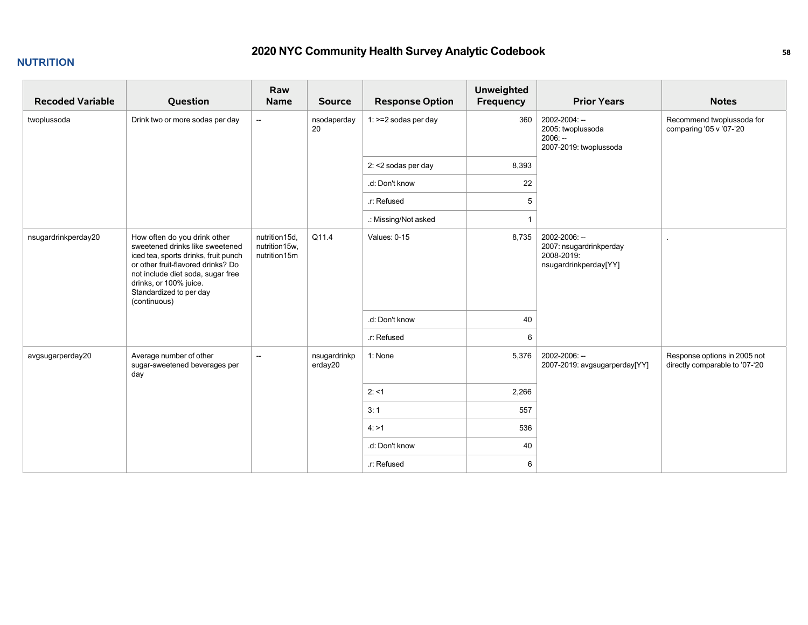### **NUTRITION**

| <b>Recoded Variable</b> | Question                                                                                                                                                                                                                                                | Raw<br>Name                                    | <b>Source</b>           | <b>Response Option</b> | <b>Unweighted</b><br>Frequency | <b>Prior Years</b>                                                              | <b>Notes</b>                                                   |
|-------------------------|---------------------------------------------------------------------------------------------------------------------------------------------------------------------------------------------------------------------------------------------------------|------------------------------------------------|-------------------------|------------------------|--------------------------------|---------------------------------------------------------------------------------|----------------------------------------------------------------|
| twoplussoda             | Drink two or more sodas per day                                                                                                                                                                                                                         | $\sim$                                         | nsodaperday<br>20       | 1: >=2 sodas per day   | 360                            | 2002-2004: --<br>2005: twoplussoda<br>$2006: -$<br>2007-2019: twoplussoda       | Recommend twoplussoda for<br>comparing '05 v '07-'20           |
|                         |                                                                                                                                                                                                                                                         |                                                |                         | 2: <2 sodas per day    | 8,393                          |                                                                                 |                                                                |
|                         |                                                                                                                                                                                                                                                         |                                                |                         | .d: Don't know         | 22                             |                                                                                 |                                                                |
|                         |                                                                                                                                                                                                                                                         |                                                |                         | .r: Refused            | 5                              |                                                                                 |                                                                |
|                         |                                                                                                                                                                                                                                                         |                                                |                         | .: Missing/Not asked   | $\overline{1}$                 |                                                                                 |                                                                |
| nsugardrinkperday20     | How often do you drink other<br>sweetened drinks like sweetened<br>iced tea, sports drinks, fruit punch<br>or other fruit-flavored drinks? Do<br>not include diet soda, sugar free<br>drinks, or 100% juice.<br>Standardized to per day<br>(continuous) | nutrition15d,<br>nutrition15w,<br>nutrition15m | Q11.4                   | Values: $0-15$         | 8,735                          | 2002-2006: --<br>2007: nsugardrinkperday<br>2008-2019:<br>nsugardrinkperday[YY] |                                                                |
|                         |                                                                                                                                                                                                                                                         |                                                |                         | .d: Don't know         | 40                             |                                                                                 |                                                                |
|                         |                                                                                                                                                                                                                                                         |                                                |                         | .r: Refused            | 6                              |                                                                                 |                                                                |
| avgsugarperday20        | Average number of other<br>sugar-sweetened beverages per<br>day                                                                                                                                                                                         | $\overline{\phantom{a}}$                       | nsugardrinkp<br>erday20 | 1: None                | 5,376                          | 2002-2006: --<br>2007-2019: avgsugarperday[YY]                                  | Response options in 2005 not<br>directly comparable to '07-'20 |
|                         |                                                                                                                                                                                                                                                         |                                                |                         | 2: 1                   | 2,266                          |                                                                                 |                                                                |
|                         |                                                                                                                                                                                                                                                         |                                                |                         | 3:1                    | 557                            |                                                                                 |                                                                |
|                         |                                                                                                                                                                                                                                                         |                                                |                         | 4: >1                  | 536                            |                                                                                 |                                                                |
|                         |                                                                                                                                                                                                                                                         |                                                |                         | .d: Don't know         | 40                             |                                                                                 |                                                                |
|                         |                                                                                                                                                                                                                                                         |                                                |                         | .r: Refused            | 6                              |                                                                                 |                                                                |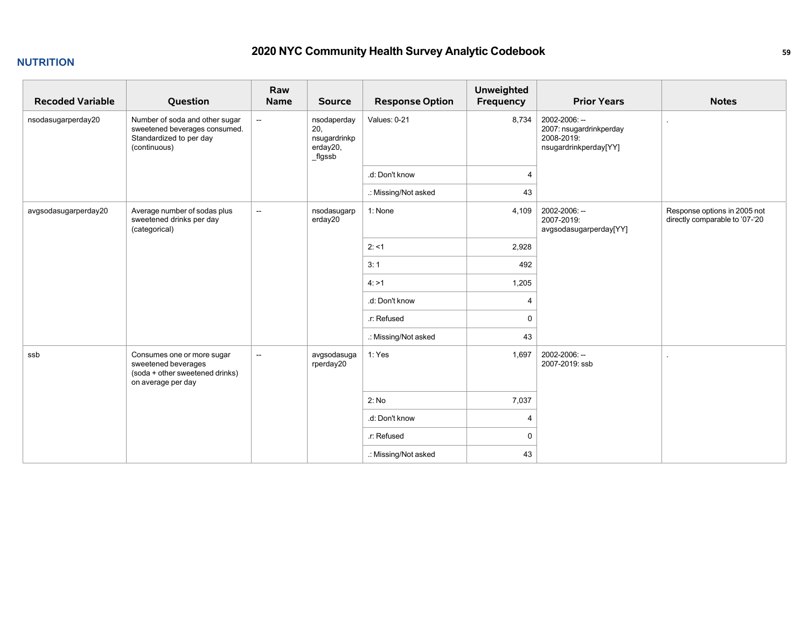### **NUTRITION**

| <b>Recoded Variable</b> | Question                                                                                                   | Raw<br>Name              | <b>Source</b>                                             | <b>Response Option</b> | <b>Unweighted</b><br>Frequency | <b>Prior Years</b>                                                              | <b>Notes</b>                                                   |
|-------------------------|------------------------------------------------------------------------------------------------------------|--------------------------|-----------------------------------------------------------|------------------------|--------------------------------|---------------------------------------------------------------------------------|----------------------------------------------------------------|
| nsodasugarperday20      | Number of soda and other sugar<br>sweetened beverages consumed.<br>Standardized to per day<br>(continuous) | $\sim$                   | nsodaperday<br>20,<br>nsugardrinkp<br>erday20,<br>_flgssb | Values: 0-21           | 8,734                          | 2002-2006: --<br>2007: nsugardrinkperday<br>2008-2019:<br>nsugardrinkperday[YY] |                                                                |
|                         |                                                                                                            |                          |                                                           | .d: Don't know         | $\overline{4}$                 |                                                                                 |                                                                |
|                         |                                                                                                            |                          |                                                           | .: Missing/Not asked   | 43                             |                                                                                 |                                                                |
| avgsodasugarperday20    | Average number of sodas plus<br>sweetened drinks per day<br>(categorical)                                  | $\sim$                   | nsodasugarp<br>erday20                                    | 1: None                | 4,109                          | 2002-2006: --<br>2007-2019:<br>avgsodasugarperday[YY]                           | Response options in 2005 not<br>directly comparable to '07-'20 |
|                         |                                                                                                            |                          |                                                           | 2: 1                   | 2,928                          |                                                                                 |                                                                |
|                         |                                                                                                            |                          |                                                           | 3:1                    | 492                            |                                                                                 |                                                                |
|                         |                                                                                                            |                          |                                                           | 4: >1                  | 1,205                          |                                                                                 |                                                                |
|                         |                                                                                                            |                          |                                                           | .d: Don't know         | $\boldsymbol{\varDelta}$       |                                                                                 |                                                                |
|                         |                                                                                                            |                          |                                                           | .r: Refused            | $\mathbf 0$                    |                                                                                 |                                                                |
|                         |                                                                                                            |                          |                                                           | .: Missing/Not asked   | 43                             |                                                                                 |                                                                |
| ssb                     | Consumes one or more sugar<br>sweetened beverages<br>(soda + other sweetened drinks)<br>on average per day | $\overline{\phantom{a}}$ | avgsodasuga<br>rperday20                                  | 1: Yes                 | 1,697                          | 2002-2006: --<br>2007-2019: ssb                                                 |                                                                |
|                         |                                                                                                            |                          |                                                           | 2: No                  | 7,037                          |                                                                                 |                                                                |
|                         |                                                                                                            |                          |                                                           | .d: Don't know         | 4                              |                                                                                 |                                                                |
|                         |                                                                                                            |                          |                                                           | .r: Refused            | $\mathbf 0$                    |                                                                                 |                                                                |
|                         |                                                                                                            |                          |                                                           | .: Missing/Not asked   | 43                             |                                                                                 |                                                                |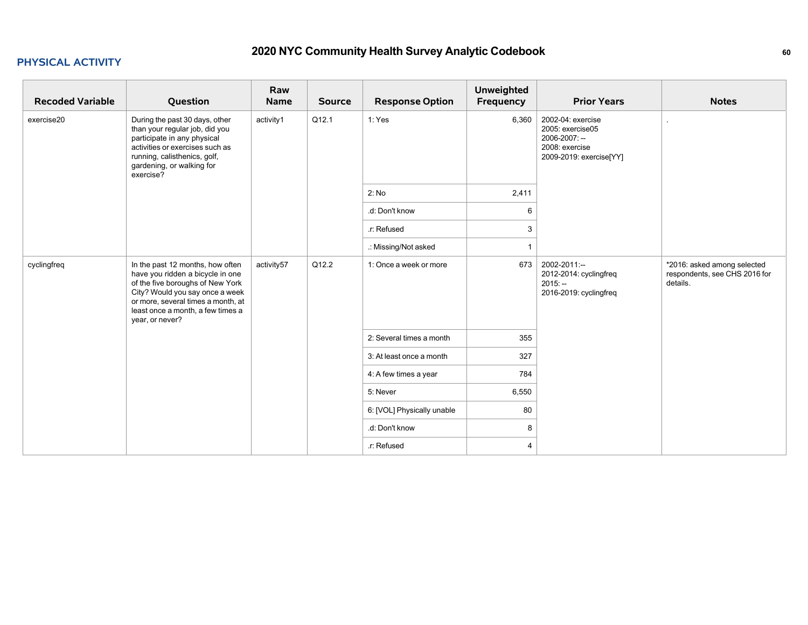#### **PHYSICAL ACTIVITY**

| <b>Recoded Variable</b> | Question                                                                                                                                                                                                                                  | Raw<br>Name | <b>Source</b> | <b>Response Option</b>     | <b>Unweighted</b><br>Frequency | <b>Prior Years</b>                                                                                  | <b>Notes</b>                                                             |
|-------------------------|-------------------------------------------------------------------------------------------------------------------------------------------------------------------------------------------------------------------------------------------|-------------|---------------|----------------------------|--------------------------------|-----------------------------------------------------------------------------------------------------|--------------------------------------------------------------------------|
| exercise20              | During the past 30 days, other<br>than your regular job, did you<br>participate in any physical<br>activities or exercises such as<br>running, calisthenics, golf,<br>gardening, or walking for<br>exercise?                              | activity1   | Q12.1         | 1: Yes                     | 6,360                          | 2002-04: exercise<br>2005: exercise05<br>2006-2007: --<br>2008: exercise<br>2009-2019: exercise[YY] |                                                                          |
|                         |                                                                                                                                                                                                                                           |             |               | 2: No                      | 2,411                          |                                                                                                     |                                                                          |
|                         |                                                                                                                                                                                                                                           |             |               | .d: Don't know             | 6                              |                                                                                                     |                                                                          |
|                         |                                                                                                                                                                                                                                           |             |               | .r: Refused                | 3                              |                                                                                                     |                                                                          |
|                         |                                                                                                                                                                                                                                           |             |               | .: Missing/Not asked       |                                |                                                                                                     |                                                                          |
| cyclingfreq             | In the past 12 months, how often<br>have you ridden a bicycle in one<br>of the five boroughs of New York<br>City? Would you say once a week<br>or more, several times a month, at<br>least once a month, a few times a<br>year, or never? | activity57  | Q12.2         | 1: Once a week or more     | 673                            | 2002-2011:--<br>2012-2014: cyclingfreq<br>$2015: -$<br>2016-2019: cyclingfreq                       | *2016: asked among selected<br>respondents, see CHS 2016 for<br>details. |
|                         |                                                                                                                                                                                                                                           |             |               | 2: Several times a month   | 355                            |                                                                                                     |                                                                          |
|                         |                                                                                                                                                                                                                                           |             |               | 3: At least once a month   | 327                            |                                                                                                     |                                                                          |
|                         |                                                                                                                                                                                                                                           |             |               | 4: A few times a year      | 784                            |                                                                                                     |                                                                          |
|                         |                                                                                                                                                                                                                                           |             |               | 5: Never                   | 6,550                          |                                                                                                     |                                                                          |
|                         |                                                                                                                                                                                                                                           |             |               | 6: [VOL] Physically unable | 80                             |                                                                                                     |                                                                          |
|                         |                                                                                                                                                                                                                                           |             |               | .d: Don't know             | 8                              |                                                                                                     |                                                                          |
|                         |                                                                                                                                                                                                                                           |             |               | .r: Refused                | 4                              |                                                                                                     |                                                                          |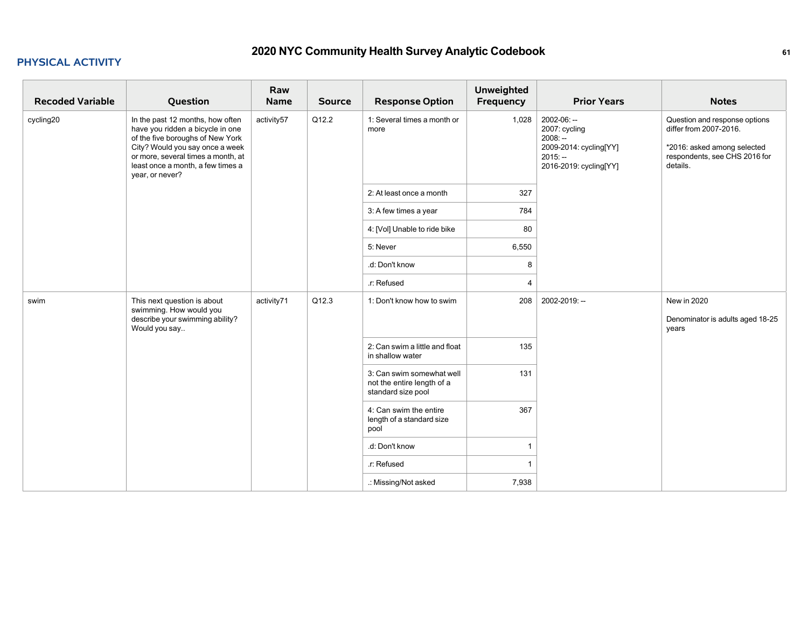#### **PHYSICAL ACTIVITY**

| <b>Recoded Variable</b> | Question                                                                                                                                                                                                                                  | Raw<br><b>Name</b> | <b>Source</b> | <b>Response Option</b>                                                        | <b>Unweighted</b><br>Frequency | <b>Prior Years</b>                                                                                         | <b>Notes</b>                                                                                                                        |
|-------------------------|-------------------------------------------------------------------------------------------------------------------------------------------------------------------------------------------------------------------------------------------|--------------------|---------------|-------------------------------------------------------------------------------|--------------------------------|------------------------------------------------------------------------------------------------------------|-------------------------------------------------------------------------------------------------------------------------------------|
| cycling20               | In the past 12 months, how often<br>have you ridden a bicycle in one<br>of the five boroughs of New York<br>City? Would you say once a week<br>or more, several times a month, at<br>least once a month, a few times a<br>year, or never? | activity57         | Q12.2         | 1: Several times a month or<br>more                                           | 1,028                          | 2002-06: --<br>2007: cycling<br>$2008: -$<br>2009-2014: cycling[YY]<br>$2015: -$<br>2016-2019: cycling[YY] | Question and response options<br>differ from 2007-2016.<br>*2016: asked among selected<br>respondents, see CHS 2016 for<br>details. |
|                         |                                                                                                                                                                                                                                           |                    |               | 2: At least once a month                                                      | 327                            |                                                                                                            |                                                                                                                                     |
|                         |                                                                                                                                                                                                                                           |                    |               | 3: A few times a year                                                         | 784                            |                                                                                                            |                                                                                                                                     |
|                         |                                                                                                                                                                                                                                           |                    |               | 4: [Vol] Unable to ride bike                                                  | 80                             |                                                                                                            |                                                                                                                                     |
|                         |                                                                                                                                                                                                                                           |                    |               | 5: Never                                                                      | 6,550                          |                                                                                                            |                                                                                                                                     |
|                         |                                                                                                                                                                                                                                           |                    |               | .d: Don't know                                                                | 8                              |                                                                                                            |                                                                                                                                     |
|                         |                                                                                                                                                                                                                                           |                    |               | r: Refused                                                                    | 4                              |                                                                                                            |                                                                                                                                     |
| swim                    | This next question is about<br>swimming. How would you<br>describe your swimming ability?<br>Would you say                                                                                                                                | activity71         | Q12.3         | 1: Don't know how to swim                                                     | 208                            | 2002-2019: --                                                                                              | <b>New in 2020</b><br>Denominator is adults aged 18-25<br>years                                                                     |
|                         |                                                                                                                                                                                                                                           |                    |               | 2: Can swim a little and float<br>in shallow water                            | 135                            |                                                                                                            |                                                                                                                                     |
|                         |                                                                                                                                                                                                                                           |                    |               | 3: Can swim somewhat well<br>not the entire length of a<br>standard size pool | 131                            |                                                                                                            |                                                                                                                                     |
|                         |                                                                                                                                                                                                                                           |                    |               | 4: Can swim the entire<br>length of a standard size<br>pool                   | 367                            |                                                                                                            |                                                                                                                                     |
|                         |                                                                                                                                                                                                                                           |                    |               | .d: Don't know                                                                | 1                              |                                                                                                            |                                                                                                                                     |
|                         |                                                                                                                                                                                                                                           |                    |               | .r: Refused                                                                   | 1                              |                                                                                                            |                                                                                                                                     |
|                         |                                                                                                                                                                                                                                           |                    |               | .: Missing/Not asked                                                          | 7,938                          |                                                                                                            |                                                                                                                                     |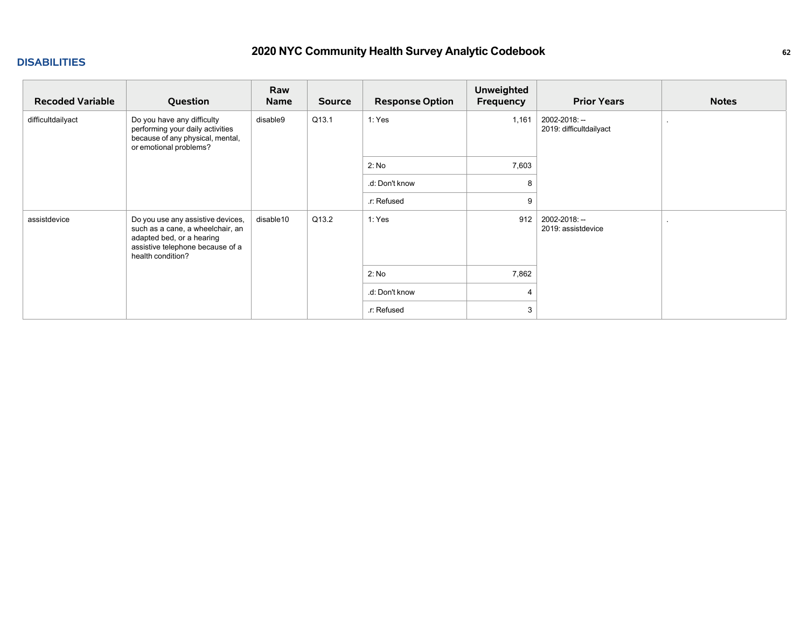#### **DISABILITIES**

| <b>Recoded Variable</b> | Question                                                                                                                                                    | Raw<br><b>Name</b> | <b>Source</b> | <b>Response Option</b> | <b>Unweighted</b><br>Frequency | <b>Prior Years</b>                       | <b>Notes</b> |
|-------------------------|-------------------------------------------------------------------------------------------------------------------------------------------------------------|--------------------|---------------|------------------------|--------------------------------|------------------------------------------|--------------|
| difficultdailyact       | Do you have any difficulty<br>performing your daily activities<br>because of any physical, mental,<br>or emotional problems?                                | disable9           | Q13.1         | 1: Yes                 | 1,161                          | 2002-2018: --<br>2019: difficultdailyact |              |
|                         |                                                                                                                                                             |                    |               | 2: No                  | 7,603                          |                                          |              |
|                         |                                                                                                                                                             |                    |               | .d: Don't know         | 8                              |                                          |              |
|                         |                                                                                                                                                             |                    |               | .r: Refused            | 9                              |                                          |              |
| assistdevice            | Do you use any assistive devices,<br>such as a cane, a wheelchair, an<br>adapted bed, or a hearing<br>assistive telephone because of a<br>health condition? | disable10          | Q13.2         | 1: Yes                 | 912                            | 2002-2018: --<br>2019: assistdevice      |              |
|                         |                                                                                                                                                             |                    |               | 2: No                  | 7,862                          |                                          |              |
|                         |                                                                                                                                                             |                    |               | .d: Don't know         | 4                              |                                          |              |
|                         |                                                                                                                                                             |                    |               | .r: Refused            | 3                              |                                          |              |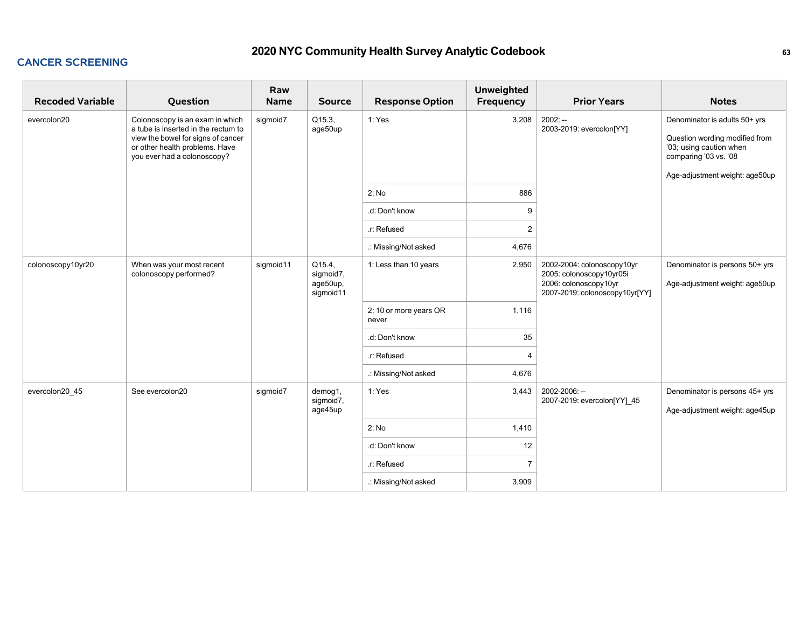### **CANCER SCREENING**

| <b>Recoded Variable</b> | Question                                                                                                                                                                      | Raw<br><b>Name</b> | <b>Source</b>                                | <b>Response Option</b>          | <b>Unweighted</b><br>Frequency | <b>Prior Years</b>                                                                                                | <b>Notes</b>                                                                                                                                          |
|-------------------------|-------------------------------------------------------------------------------------------------------------------------------------------------------------------------------|--------------------|----------------------------------------------|---------------------------------|--------------------------------|-------------------------------------------------------------------------------------------------------------------|-------------------------------------------------------------------------------------------------------------------------------------------------------|
| evercolon20             | Colonoscopy is an exam in which<br>a tube is inserted in the rectum to<br>view the bowel for signs of cancer<br>or other health problems. Have<br>you ever had a colonoscopy? | sigmoid7           | Q15.3,<br>age50up                            | 1: Yes                          | 3,208                          | $2002: -$<br>2003-2019: evercolon[YY]                                                                             | Denominator is adults 50+ yrs<br>Question wording modified from<br>'03; using caution when<br>comparing '03 vs. '08<br>Age-adjustment weight: age50up |
|                         |                                                                                                                                                                               |                    |                                              | 2: No                           | 886                            |                                                                                                                   |                                                                                                                                                       |
|                         |                                                                                                                                                                               |                    |                                              | .d: Don't know                  | 9                              |                                                                                                                   |                                                                                                                                                       |
|                         |                                                                                                                                                                               |                    |                                              | r: Refused                      | $\overline{2}$                 |                                                                                                                   |                                                                                                                                                       |
|                         |                                                                                                                                                                               |                    |                                              | .: Missing/Not asked            | 4,676                          |                                                                                                                   |                                                                                                                                                       |
| colonoscopy10yr20       | When was your most recent<br>colonoscopy performed?                                                                                                                           | sigmoid11          | Q15.4,<br>sigmoid7,<br>age50up,<br>sigmoid11 | 1: Less than 10 years           | 2,950                          | 2002-2004: colonoscopy10yr<br>2005: colonoscopy10yr05i<br>2006: colonoscopy10yr<br>2007-2019: colonoscopy10yr[YY] | Denominator is persons 50+ yrs<br>Age-adjustment weight: age50up                                                                                      |
|                         |                                                                                                                                                                               |                    |                                              | 2: 10 or more years OR<br>never | 1,116                          |                                                                                                                   |                                                                                                                                                       |
|                         |                                                                                                                                                                               |                    |                                              | .d: Don't know                  | 35                             |                                                                                                                   |                                                                                                                                                       |
|                         |                                                                                                                                                                               |                    |                                              | r: Refused                      | $\overline{4}$                 |                                                                                                                   |                                                                                                                                                       |
|                         |                                                                                                                                                                               |                    |                                              | .: Missing/Not asked            | 4,676                          |                                                                                                                   |                                                                                                                                                       |
| evercolon20 45          | See evercolon20                                                                                                                                                               | sigmoid7           | demog1,<br>sigmoid7,<br>age45up              | 1: Yes                          | 3,443                          | 2002-2006: --<br>2007-2019: evercolon[YY] 45                                                                      | Denominator is persons 45+ yrs<br>Age-adjustment weight: age45up                                                                                      |
|                         |                                                                                                                                                                               |                    |                                              | 2: No                           | 1,410                          |                                                                                                                   |                                                                                                                                                       |
|                         |                                                                                                                                                                               |                    |                                              | .d: Don't know                  | 12                             |                                                                                                                   |                                                                                                                                                       |
|                         |                                                                                                                                                                               |                    |                                              | r: Refused                      | $\overline{7}$                 |                                                                                                                   |                                                                                                                                                       |
|                         |                                                                                                                                                                               |                    |                                              | .: Missing/Not asked            | 3,909                          |                                                                                                                   |                                                                                                                                                       |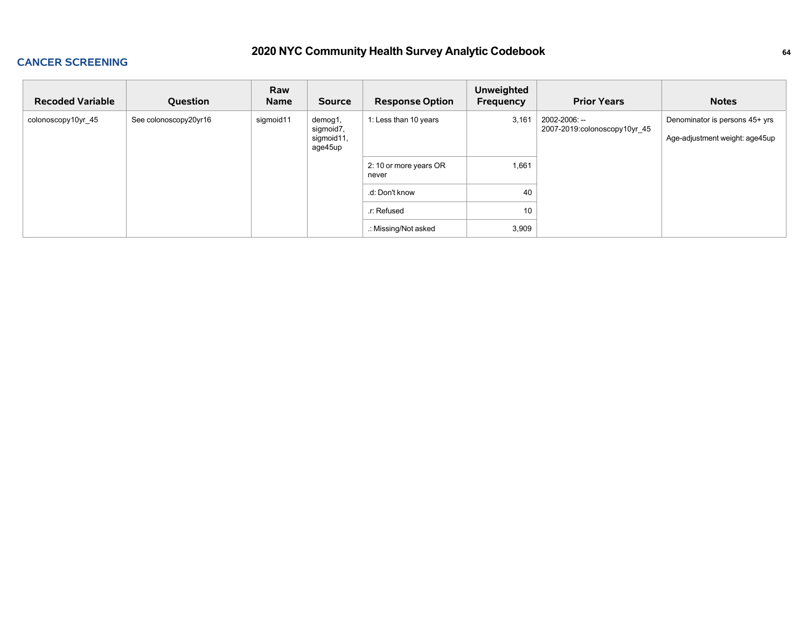### **CANCER SCREENING**

| <b>Recoded Variable</b> | Question              | Raw<br>Name | <b>Source</b>                                 | <b>Response Option</b>          | <b>Unweighted</b><br><b>Frequency</b> | <b>Prior Years</b>                            | <b>Notes</b>                                                     |
|-------------------------|-----------------------|-------------|-----------------------------------------------|---------------------------------|---------------------------------------|-----------------------------------------------|------------------------------------------------------------------|
| colonoscopy10yr_45      | See colonoscopy20yr16 | sigmoid11   | demog1,<br>sigmoid7,<br>sigmoid11,<br>age45up | 1: Less than 10 years           | 3,161                                 | 2002-2006: --<br>2007-2019:colonoscopy10yr_45 | Denominator is persons 45+ yrs<br>Age-adjustment weight: age45up |
|                         |                       |             |                                               | 2: 10 or more years OR<br>never | 1,661                                 |                                               |                                                                  |
|                         |                       |             |                                               | .d: Don't know                  | 40                                    |                                               |                                                                  |
|                         |                       |             |                                               | r: Refused.                     | 10                                    |                                               |                                                                  |
|                         |                       |             |                                               | .: Missing/Not asked            | 3,909                                 |                                               |                                                                  |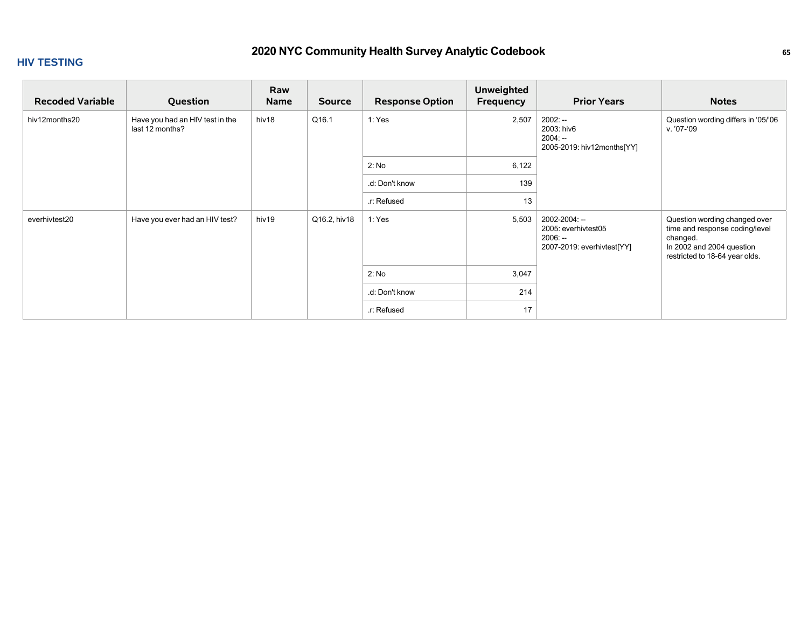### **HIV TESTING**

| <b>Recoded Variable</b> | Question                                           | Raw<br>Name | <b>Source</b> | <b>Response Option</b> | <b>Unweighted</b><br>Frequency | <b>Prior Years</b>                                                              | <b>Notes</b>                                                                                                                               |
|-------------------------|----------------------------------------------------|-------------|---------------|------------------------|--------------------------------|---------------------------------------------------------------------------------|--------------------------------------------------------------------------------------------------------------------------------------------|
| hiv12months20           | Have you had an HIV test in the<br>last 12 months? | hiv18       | Q16.1         | 1: Yes                 | 2,507                          | $2002: -$<br>2003: hiv6<br>$2004: -$<br>2005-2019: hiv12months[YY]              | Question wording differs in '05/'06<br>v. '07-'09                                                                                          |
|                         |                                                    |             |               | 2: No                  | 6,122                          |                                                                                 |                                                                                                                                            |
|                         |                                                    |             |               | .d: Don't know         | 139                            |                                                                                 |                                                                                                                                            |
|                         |                                                    |             |               | r: Refused             | 13                             |                                                                                 |                                                                                                                                            |
| everhivtest20           | Have you ever had an HIV test?                     | hiv19       | Q16.2, hiv18  | 1: Yes                 | 5,503                          | 2002-2004: --<br>2005: everhivtest05<br>$2006: -$<br>2007-2019: everhivtest[YY] | Question wording changed over<br>time and response coding/level<br>changed.<br>In 2002 and 2004 question<br>restricted to 18-64 year olds. |
|                         |                                                    |             |               | 2: No                  | 3,047                          |                                                                                 |                                                                                                                                            |
|                         |                                                    |             |               | .d: Don't know         | 214                            |                                                                                 |                                                                                                                                            |
|                         |                                                    |             |               | .r: Refused            | 17                             |                                                                                 |                                                                                                                                            |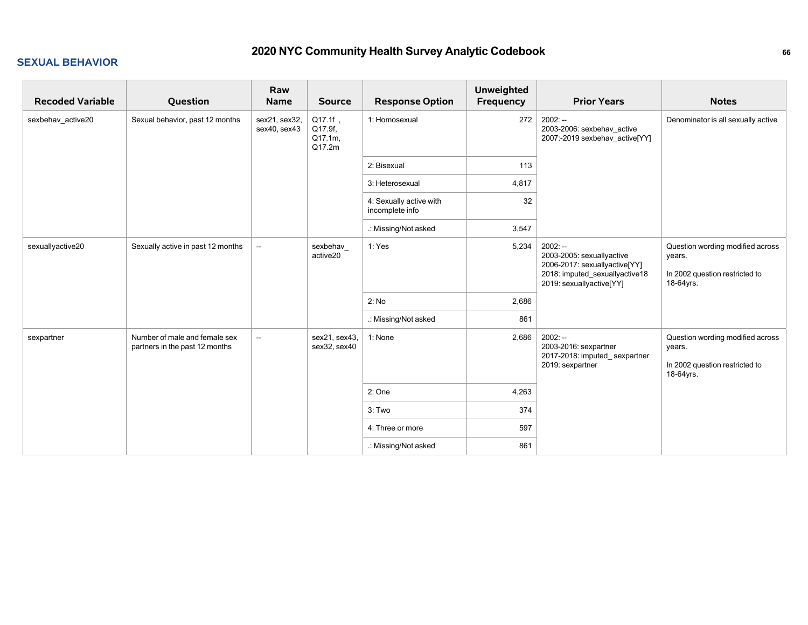| <b>Recoded Variable</b> | Question                                                        | Raw<br><b>Name</b>            | <b>Source</b>                           | <b>Response Option</b>                     | <b>Unweighted</b><br>Frequency | <b>Prior Years</b>                                                                                                                    | <b>Notes</b>                                                                              |
|-------------------------|-----------------------------------------------------------------|-------------------------------|-----------------------------------------|--------------------------------------------|--------------------------------|---------------------------------------------------------------------------------------------------------------------------------------|-------------------------------------------------------------------------------------------|
| sexbehav_active20       | Sexual behavior, past 12 months                                 | sex21, sex32,<br>sex40, sex43 | Q17.1f,<br>Q17.9f,<br>Q17.1m.<br>Q17.2m | 1: Homosexual                              | 272                            | $2002: -$<br>2003-2006: sexbehav_active<br>2007:-2019 sexbehav_active[YY]                                                             | Denominator is all sexually active                                                        |
|                         |                                                                 |                               |                                         | 2: Bisexual                                | 113                            |                                                                                                                                       |                                                                                           |
|                         |                                                                 |                               |                                         | 3: Heterosexual                            | 4,817                          |                                                                                                                                       |                                                                                           |
|                         |                                                                 |                               |                                         | 4: Sexually active with<br>incomplete info | 32                             |                                                                                                                                       |                                                                                           |
|                         |                                                                 |                               |                                         | .: Missing/Not asked                       | 3,547                          |                                                                                                                                       |                                                                                           |
| sexuallyactive20        | Sexually active in past 12 months                               | $\sim$                        | sexbehav<br>active20                    | 1: Yes                                     | 5,234                          | $2002: -$<br>2003-2005: sexuallyactive<br>2006-2017: sexuallyactive[YY]<br>2018: imputed_sexuallyactive18<br>2019: sexuallyactive[YY] | Question wording modified across<br>years.<br>In 2002 question restricted to<br>18-64yrs. |
|                         |                                                                 |                               |                                         | 2: No                                      | 2,686                          |                                                                                                                                       |                                                                                           |
|                         |                                                                 |                               |                                         | .: Missing/Not asked                       | 861                            |                                                                                                                                       |                                                                                           |
| sexpartner              | Number of male and female sex<br>partners in the past 12 months | $\overline{\phantom{a}}$      | sex21, sex43,<br>sex32, sex40           | 1: None                                    | 2,686                          | $2002: -$<br>2003-2016: sexpartner<br>2017-2018: imputed_sexpartner<br>2019: sexpartner                                               | Question wording modified across<br>years.<br>In 2002 question restricted to<br>18-64yrs. |
|                         |                                                                 |                               |                                         | 2: One                                     | 4,263                          |                                                                                                                                       |                                                                                           |
|                         |                                                                 |                               |                                         | 3: Two                                     | 374                            |                                                                                                                                       |                                                                                           |
|                         |                                                                 |                               |                                         | 4: Three or more                           | 597                            |                                                                                                                                       |                                                                                           |
|                         |                                                                 |                               |                                         | .: Missing/Not asked                       | 861                            |                                                                                                                                       |                                                                                           |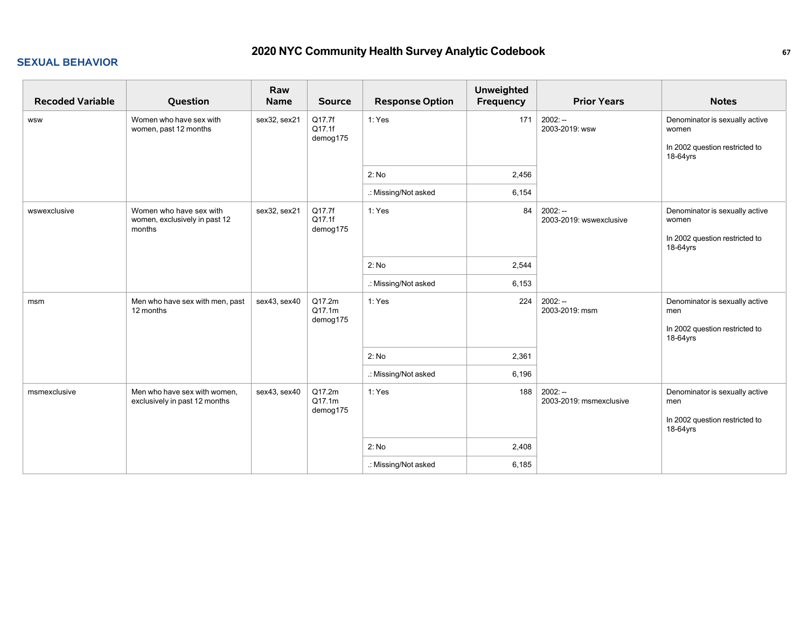| <b>Recoded Variable</b> | Question                                                           | Raw<br>Name  | <b>Source</b>                | <b>Response Option</b> | <b>Unweighted</b><br><b>Frequency</b> | <b>Prior Years</b>                   | <b>Notes</b>                                                                          |
|-------------------------|--------------------------------------------------------------------|--------------|------------------------------|------------------------|---------------------------------------|--------------------------------------|---------------------------------------------------------------------------------------|
| <b>WSW</b>              | Women who have sex with<br>women, past 12 months                   | sex32, sex21 | Q17.7f<br>Q17.1f<br>demog175 | 1: Yes                 | 171                                   | $2002: -$<br>2003-2019: wsw          | Denominator is sexually active<br>women<br>In 2002 question restricted to<br>18-64yrs |
|                         |                                                                    |              |                              | 2: No                  | 2,456                                 |                                      |                                                                                       |
|                         |                                                                    |              |                              | .: Missing/Not asked   | 6,154                                 |                                      |                                                                                       |
| wswexclusive            | Women who have sex with<br>women, exclusively in past 12<br>months | sex32, sex21 | Q17.7f<br>Q17.1f<br>demog175 | 1:Yes                  | 84                                    | $2002: -$<br>2003-2019: wswexclusive | Denominator is sexually active<br>women<br>In 2002 question restricted to<br>18-64yrs |
|                         |                                                                    |              |                              | 2: No                  | 2,544                                 |                                      |                                                                                       |
|                         |                                                                    |              |                              | .: Missing/Not asked   | 6,153                                 |                                      |                                                                                       |
| msm                     | Men who have sex with men, past<br>12 months                       | sex43, sex40 | Q17.2m<br>Q17.1m<br>demog175 | 1: Yes                 | 224                                   | $2002: -$<br>2003-2019: msm          | Denominator is sexually active<br>men<br>In 2002 question restricted to<br>18-64yrs   |
|                         |                                                                    |              |                              | 2: No                  | 2,361                                 |                                      |                                                                                       |
|                         |                                                                    |              |                              | .: Missing/Not asked   | 6,196                                 |                                      |                                                                                       |
| msmexclusive            | Men who have sex with women,<br>exclusively in past 12 months      | sex43, sex40 | Q17.2m<br>Q17.1m<br>demog175 | 1: Yes                 | 188                                   | $2002: -$<br>2003-2019: msmexclusive | Denominator is sexually active<br>men<br>In 2002 question restricted to<br>18-64yrs   |
|                         |                                                                    |              |                              | 2: No                  | 2,408                                 |                                      |                                                                                       |
|                         |                                                                    |              |                              | .: Missing/Not asked   | 6,185                                 |                                      |                                                                                       |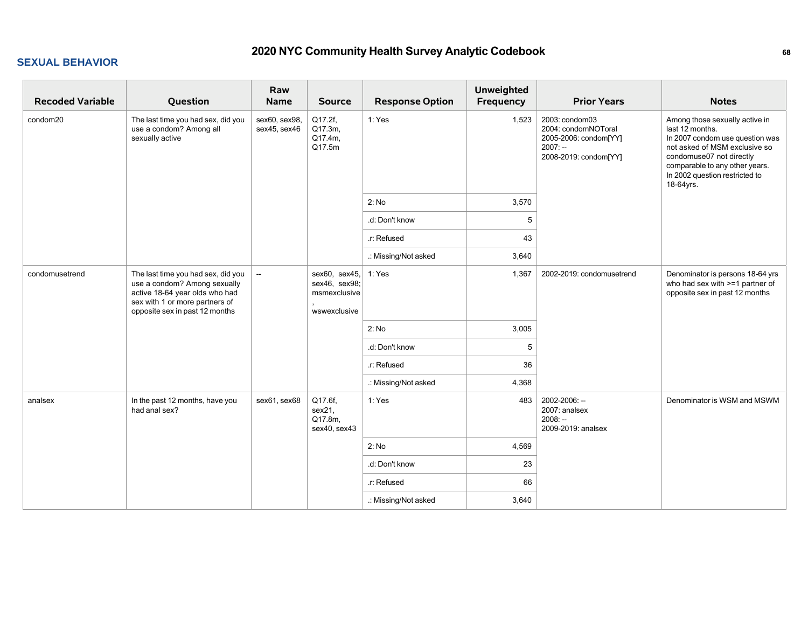| <b>Recoded Variable</b> | Question                                                                                                                                                                 | Raw<br>Name                   | <b>Source</b>                                                  | <b>Response Option</b> | <b>Unweighted</b><br>Frequency | <b>Prior Years</b>                                                                                   | <b>Notes</b>                                                                                                                                                                                                                       |
|-------------------------|--------------------------------------------------------------------------------------------------------------------------------------------------------------------------|-------------------------------|----------------------------------------------------------------|------------------------|--------------------------------|------------------------------------------------------------------------------------------------------|------------------------------------------------------------------------------------------------------------------------------------------------------------------------------------------------------------------------------------|
| condom20                | The last time you had sex, did you<br>use a condom? Among all<br>sexually active                                                                                         | sex60, sex98,<br>sex45, sex46 | Q17.2f,<br>Q17.3m,<br>Q17.4m,<br>Q17.5m                        | 1: Yes                 | 1,523                          | 2003: condom03<br>2004: condomNOToral<br>2005-2006: condom[YY]<br>$2007: -$<br>2008-2019: condom[YY] | Among those sexually active in<br>last 12 months.<br>In 2007 condom use question was<br>not asked of MSM exclusive so<br>condomuse07 not directly<br>comparable to any other years.<br>In 2002 question restricted to<br>18-64yrs. |
|                         |                                                                                                                                                                          |                               |                                                                | 2: No                  | 3,570                          |                                                                                                      |                                                                                                                                                                                                                                    |
|                         |                                                                                                                                                                          |                               |                                                                | .d: Don't know         | 5                              |                                                                                                      |                                                                                                                                                                                                                                    |
|                         |                                                                                                                                                                          |                               |                                                                | .r: Refused            | 43                             |                                                                                                      |                                                                                                                                                                                                                                    |
|                         |                                                                                                                                                                          |                               |                                                                | .: Missing/Not asked   | 3,640                          |                                                                                                      |                                                                                                                                                                                                                                    |
| condomusetrend          | The last time you had sex, did you<br>use a condom? Among sexually<br>active 18-64 year olds who had<br>sex with 1 or more partners of<br>opposite sex in past 12 months | $\sim$                        | sex60, sex45,<br>sex46, sex98;<br>msmexclusive<br>wswexclusive | 1: Yes                 | 1,367                          | 2002-2019: condomusetrend                                                                            | Denominator is persons 18-64 yrs<br>who had sex with >=1 partner of<br>opposite sex in past 12 months                                                                                                                              |
|                         |                                                                                                                                                                          |                               |                                                                | 2: No                  | 3,005                          |                                                                                                      |                                                                                                                                                                                                                                    |
|                         |                                                                                                                                                                          |                               |                                                                | .d: Don't know         | 5                              |                                                                                                      |                                                                                                                                                                                                                                    |
|                         |                                                                                                                                                                          |                               |                                                                | .r: Refused            | 36                             |                                                                                                      |                                                                                                                                                                                                                                    |
|                         |                                                                                                                                                                          |                               |                                                                | .: Missing/Not asked   | 4,368                          |                                                                                                      |                                                                                                                                                                                                                                    |
| analsex                 | In the past 12 months, have you<br>had anal sex?                                                                                                                         | sex61, sex68                  | Q17.6f,<br>sex21,<br>Q17.8m,<br>sex40, sex43                   | 1: Yes                 | 483                            | 2002-2006: --<br>2007: analsex<br>$2008: -$<br>2009-2019: analsex                                    | Denominator is WSM and MSWM                                                                                                                                                                                                        |
|                         |                                                                                                                                                                          |                               |                                                                | 2: No                  | 4,569                          |                                                                                                      |                                                                                                                                                                                                                                    |
|                         |                                                                                                                                                                          |                               |                                                                | .d: Don't know         | 23                             |                                                                                                      |                                                                                                                                                                                                                                    |
|                         |                                                                                                                                                                          |                               |                                                                | .r: Refused            | 66                             |                                                                                                      |                                                                                                                                                                                                                                    |
|                         |                                                                                                                                                                          |                               |                                                                | .: Missing/Not asked   | 3,640                          |                                                                                                      |                                                                                                                                                                                                                                    |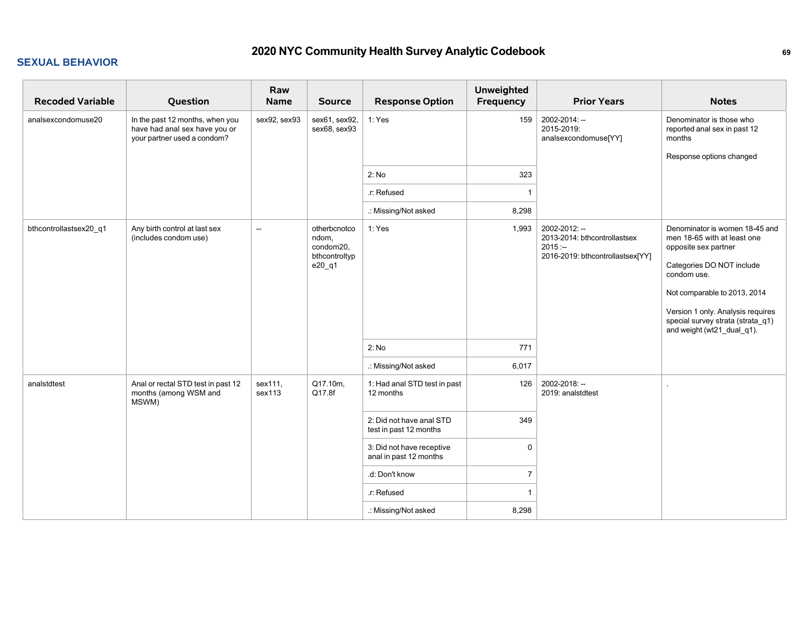| <b>Recoded Variable</b> | Question                                                                                        | Raw<br>Name              | <b>Source</b>                                                 | <b>Response Option</b>                              | <b>Unweighted</b><br>Frequency | <b>Prior Years</b>                                                                             | <b>Notes</b>                                                                                                                                                                                                                                                              |
|-------------------------|-------------------------------------------------------------------------------------------------|--------------------------|---------------------------------------------------------------|-----------------------------------------------------|--------------------------------|------------------------------------------------------------------------------------------------|---------------------------------------------------------------------------------------------------------------------------------------------------------------------------------------------------------------------------------------------------------------------------|
| analsexcondomuse20      | In the past 12 months, when you<br>have had anal sex have you or<br>your partner used a condom? | sex92, sex93             | sex61, sex92,<br>sex68, sex93                                 | 1: Yes                                              | 159                            | 2002-2014: --<br>2015-2019:<br>analsexcondomuse[YY]                                            | Denominator is those who<br>reported anal sex in past 12<br>months<br>Response options changed                                                                                                                                                                            |
|                         |                                                                                                 |                          |                                                               | 2: No                                               | 323                            |                                                                                                |                                                                                                                                                                                                                                                                           |
|                         |                                                                                                 |                          |                                                               | .r: Refused                                         | -1                             |                                                                                                |                                                                                                                                                                                                                                                                           |
|                         |                                                                                                 |                          |                                                               | .: Missing/Not asked                                | 8,298                          |                                                                                                |                                                                                                                                                                                                                                                                           |
| bthcontrollastsex20_q1  | Any birth control at last sex<br>(includes condom use)                                          | $\overline{\phantom{a}}$ | otherbcnotco<br>ndom,<br>condom20,<br>bthcontroltyp<br>e20_q1 | 1: Yes<br>2: No                                     | 1,993<br>771                   | 2002-2012: --<br>2013-2014: bthcontrollastsex<br>$2015: -$<br>2016-2019: bthcontrollastsex[YY] | Denominator is women 18-45 and<br>men 18-65 with at least one<br>opposite sex partner<br>Categories DO NOT include<br>condom use.<br>Not comparable to 2013, 2014<br>Version 1 only. Analysis requires<br>special survey strata (strata_q1)<br>and weight (wt21_dual_q1). |
|                         |                                                                                                 |                          |                                                               | .: Missing/Not asked                                | 6,017                          |                                                                                                |                                                                                                                                                                                                                                                                           |
| analstdtest             | Anal or rectal STD test in past 12<br>months (among WSM and<br>MSWM)                            | sex111,<br>sex113        | Q17.10m,<br>Q17.8f                                            | 1: Had anal STD test in past<br>12 months           | 126                            | 2002-2018: --<br>2019: analstdtest                                                             |                                                                                                                                                                                                                                                                           |
|                         |                                                                                                 |                          |                                                               | 2: Did not have anal STD<br>test in past 12 months  | 349                            |                                                                                                |                                                                                                                                                                                                                                                                           |
|                         |                                                                                                 |                          |                                                               | 3: Did not have receptive<br>anal in past 12 months | $\mathbf 0$                    |                                                                                                |                                                                                                                                                                                                                                                                           |
|                         |                                                                                                 |                          |                                                               | .d: Don't know                                      | $\overline{7}$                 |                                                                                                |                                                                                                                                                                                                                                                                           |
|                         |                                                                                                 |                          |                                                               | .r: Refused                                         | $\overline{1}$                 |                                                                                                |                                                                                                                                                                                                                                                                           |
|                         |                                                                                                 |                          |                                                               | .: Missing/Not asked                                | 8,298                          |                                                                                                |                                                                                                                                                                                                                                                                           |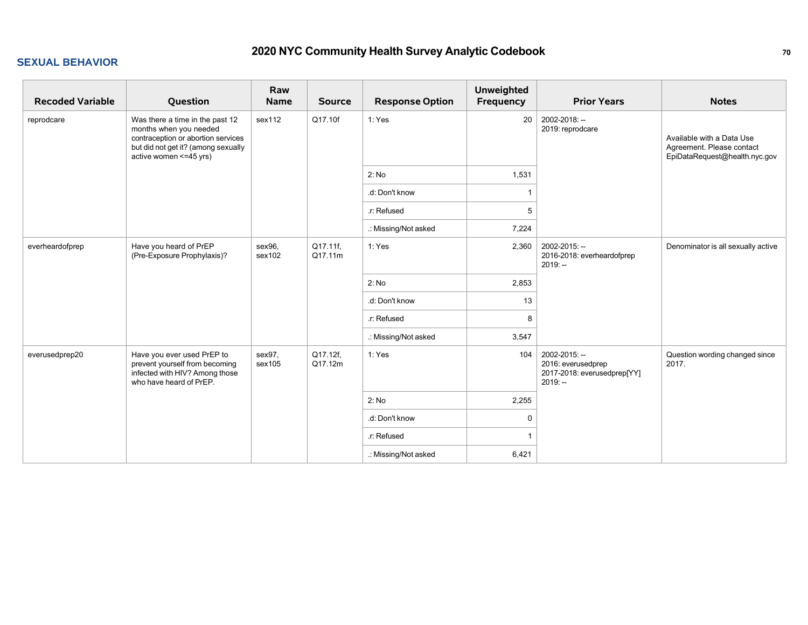| <b>Recoded Variable</b> | Question                                                                                                                                                          | Raw<br>Name      | <b>Source</b>       | <b>Response Option</b> | <b>Unweighted</b><br>Frequency | <b>Prior Years</b>                                                              | <b>Notes</b>                                                                            |
|-------------------------|-------------------------------------------------------------------------------------------------------------------------------------------------------------------|------------------|---------------------|------------------------|--------------------------------|---------------------------------------------------------------------------------|-----------------------------------------------------------------------------------------|
| reprodcare              | Was there a time in the past 12<br>months when you needed<br>contraception or abortion services<br>but did not get it? (among sexually<br>active women <= 45 yrs) | sex112           | Q17.10f             | 1: Yes                 | 20                             | 2002-2018: --<br>2019: reprodcare                                               | Available with a Data Use<br>Agreement. Please contact<br>EpiDataRequest@health.nyc.gov |
|                         |                                                                                                                                                                   |                  |                     | 2: No                  | 1,531                          |                                                                                 |                                                                                         |
|                         |                                                                                                                                                                   |                  |                     | .d: Don't know         |                                |                                                                                 |                                                                                         |
|                         |                                                                                                                                                                   |                  |                     | .r: Refused            | 5                              |                                                                                 |                                                                                         |
|                         |                                                                                                                                                                   |                  |                     | .: Missing/Not asked   | 7,224                          |                                                                                 |                                                                                         |
| everheardofprep         | Have you heard of PrEP<br>(Pre-Exposure Prophylaxis)?                                                                                                             | sex96,<br>sex102 | Q17.11f,<br>Q17.11m | 1: Yes                 | 2,360                          | 2002-2015: --<br>2016-2018: everheardofprep<br>$2019: -$                        | Denominator is all sexually active                                                      |
|                         |                                                                                                                                                                   |                  |                     | 2: No                  | 2,853                          |                                                                                 |                                                                                         |
|                         |                                                                                                                                                                   |                  |                     | .d: Don't know         | 13                             |                                                                                 |                                                                                         |
|                         |                                                                                                                                                                   |                  |                     | .r: Refused            | 8                              |                                                                                 |                                                                                         |
|                         |                                                                                                                                                                   |                  |                     | .: Missing/Not asked   | 3,547                          |                                                                                 |                                                                                         |
| everusedprep20          | Have you ever used PrEP to<br>prevent yourself from becoming<br>infected with HIV? Among those<br>who have heard of PrEP.                                         | sex97.<br>sex105 | Q17.12f,<br>Q17.12m | 1: Yes                 | 104                            | 2002-2015: --<br>2016: everusedprep<br>2017-2018: everusedprep[YY]<br>$2019: -$ | Question wording changed since<br>2017.                                                 |
|                         |                                                                                                                                                                   |                  |                     | 2: No                  | 2,255                          |                                                                                 |                                                                                         |
|                         |                                                                                                                                                                   |                  |                     | .d: Don't know         | 0                              |                                                                                 |                                                                                         |
|                         |                                                                                                                                                                   |                  |                     | .r: Refused            |                                |                                                                                 |                                                                                         |
|                         |                                                                                                                                                                   |                  |                     | .: Missing/Not asked   | 6,421                          |                                                                                 |                                                                                         |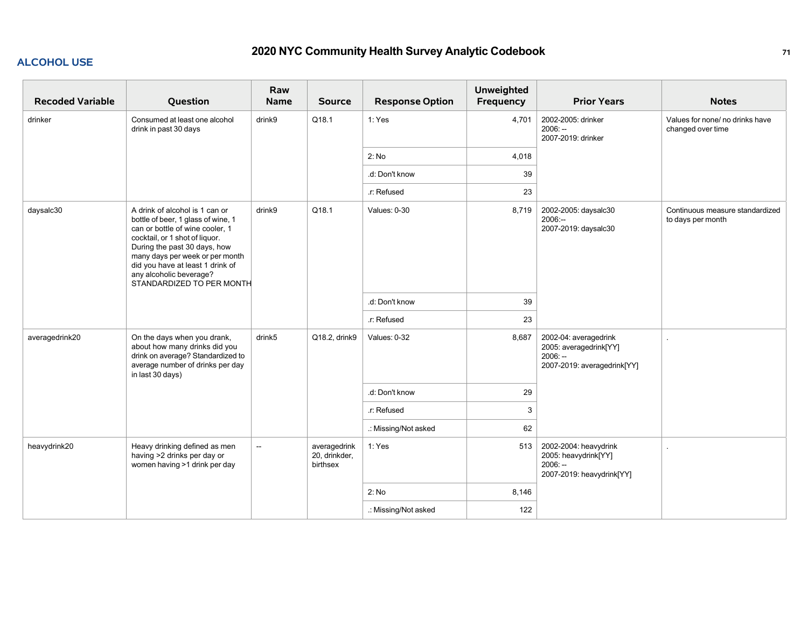### **ALCOHOL USE**

| <b>Recoded Variable</b> | Question                                                                                                                                                                                                                                                                                                 | Raw<br><b>Name</b>       | <b>Source</b>                             | <b>Response Option</b> | <b>Unweighted</b><br><b>Frequency</b> | <b>Prior Years</b>                                                                          | <b>Notes</b>                                         |
|-------------------------|----------------------------------------------------------------------------------------------------------------------------------------------------------------------------------------------------------------------------------------------------------------------------------------------------------|--------------------------|-------------------------------------------|------------------------|---------------------------------------|---------------------------------------------------------------------------------------------|------------------------------------------------------|
| drinker                 | Consumed at least one alcohol<br>drink in past 30 days                                                                                                                                                                                                                                                   | drink9                   | Q18.1                                     | 1: Yes                 | 4,701                                 | 2002-2005: drinker<br>$2006: -$<br>2007-2019: drinker                                       | Values for none/ no drinks have<br>changed over time |
|                         |                                                                                                                                                                                                                                                                                                          |                          |                                           | 2: No                  | 4,018                                 |                                                                                             |                                                      |
|                         |                                                                                                                                                                                                                                                                                                          |                          |                                           | .d: Don't know         | 39                                    |                                                                                             |                                                      |
|                         |                                                                                                                                                                                                                                                                                                          |                          |                                           | .r: Refused            | 23                                    |                                                                                             |                                                      |
| daysalc30               | A drink of alcohol is 1 can or<br>bottle of beer, 1 glass of wine, 1<br>can or bottle of wine cooler, 1<br>cocktail, or 1 shot of liquor.<br>During the past 30 days, how<br>many days per week or per month<br>did you have at least 1 drink of<br>any alcoholic beverage?<br>STANDARDIZED TO PER MONTH | drink9                   | Q18.1                                     | Values: 0-30           | 8,719                                 | 2002-2005: daysalc30<br>$2006: -$<br>2007-2019: daysalc30                                   | Continuous measure standardized<br>to days per month |
|                         |                                                                                                                                                                                                                                                                                                          |                          |                                           | .d: Don't know         | 39                                    |                                                                                             |                                                      |
|                         |                                                                                                                                                                                                                                                                                                          |                          |                                           | .r: Refused            | 23                                    |                                                                                             |                                                      |
| averagedrink20          | On the days when you drank,<br>about how many drinks did you<br>drink on average? Standardized to<br>average number of drinks per day<br>in last 30 days)                                                                                                                                                | drink5                   | Q18.2, drink9                             | Values: 0-32           | 8,687                                 | 2002-04: averagedrink<br>2005: averagedrink[YY]<br>$2006: -$<br>2007-2019: averagedrink[YY] |                                                      |
|                         |                                                                                                                                                                                                                                                                                                          |                          |                                           | .d: Don't know         | 29                                    |                                                                                             |                                                      |
|                         |                                                                                                                                                                                                                                                                                                          |                          |                                           | r: Refused             | 3                                     |                                                                                             |                                                      |
|                         |                                                                                                                                                                                                                                                                                                          |                          |                                           | .: Missing/Not asked   | 62                                    |                                                                                             |                                                      |
| heavydrink20            | Heavy drinking defined as men<br>having >2 drinks per day or<br>women having >1 drink per day                                                                                                                                                                                                            | $\overline{\phantom{a}}$ | averagedrink<br>20, drinkder,<br>birthsex | 1: Yes                 | 513                                   | 2002-2004: heavydrink<br>2005: heavydrink[YY]<br>$2006: -$<br>2007-2019: heavydrink[YY]     | $\sim$                                               |
|                         |                                                                                                                                                                                                                                                                                                          |                          |                                           | 2: No                  | 8,146                                 |                                                                                             |                                                      |
|                         |                                                                                                                                                                                                                                                                                                          |                          |                                           | .: Missing/Not asked   | 122                                   |                                                                                             |                                                      |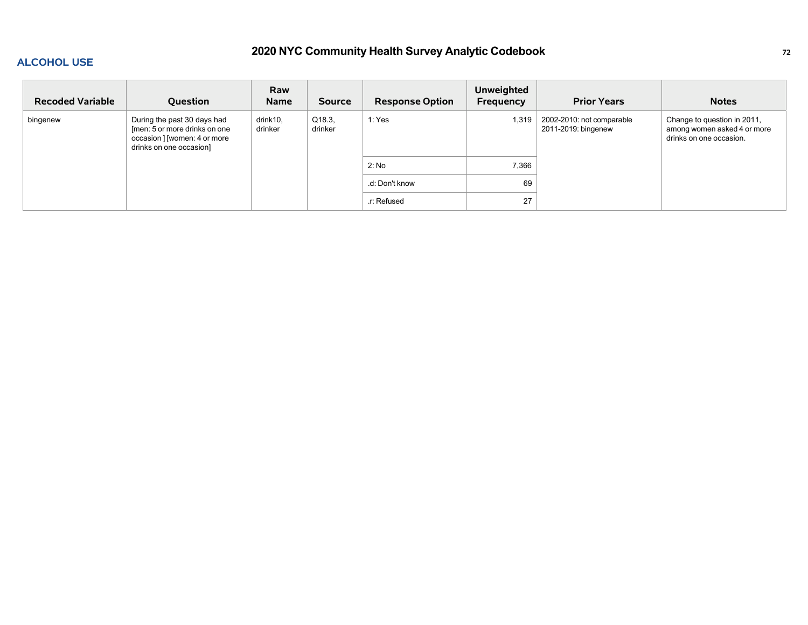#### **ALCOHOL USE**

# **2020 NYC Community Health Survey Analytic Codebook <sup>72</sup>**

| <b>Recoded Variable</b> | <b>Question</b>                                                                                                         | Raw<br><b>Name</b>  | <b>Source</b>     | <b>Response Option</b> | <b>Unweighted</b><br>Frequency | <b>Prior Years</b>                               | <b>Notes</b>                                                                          |
|-------------------------|-------------------------------------------------------------------------------------------------------------------------|---------------------|-------------------|------------------------|--------------------------------|--------------------------------------------------|---------------------------------------------------------------------------------------|
| bingenew                | During the past 30 days had<br>[men: 5 or more drinks on one<br>occasion ] [women: 4 or more<br>drinks on one occasion] | drink10,<br>drinker | Q18.3,<br>drinker | 1: Yes                 | 1,319                          | 2002-2010: not comparable<br>2011-2019: bingenew | Change to question in 2011,<br>among women asked 4 or more<br>drinks on one occasion. |
|                         |                                                                                                                         |                     |                   | 2: No                  | 7,366                          |                                                  |                                                                                       |
|                         |                                                                                                                         |                     |                   | .d: Don't know         | 69                             |                                                  |                                                                                       |
|                         |                                                                                                                         |                     |                   | .r: Refused            | 27                             |                                                  |                                                                                       |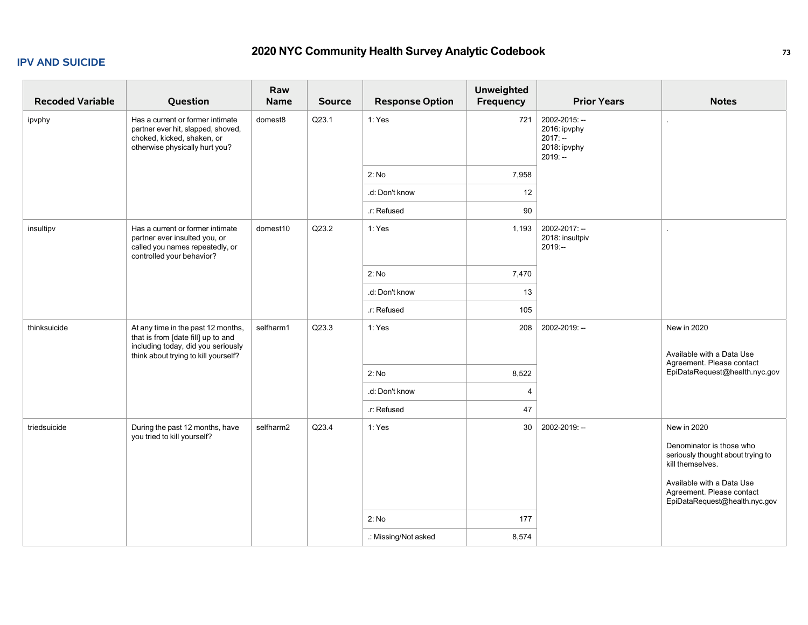#### **IPV AND SUICIDE**

# **2020 NYC Community Health Survey Analytic Codebook <sup>73</sup>**

| <b>Recoded Variable</b> | Question                                                                                                                                               | Raw<br>Name | <b>Source</b> | <b>Response Option</b> | <b>Unweighted</b><br>Frequency | <b>Prior Years</b>                                                      | <b>Notes</b>                                                                            |
|-------------------------|--------------------------------------------------------------------------------------------------------------------------------------------------------|-------------|---------------|------------------------|--------------------------------|-------------------------------------------------------------------------|-----------------------------------------------------------------------------------------|
| ipvphy                  | Has a current or former intimate<br>partner ever hit, slapped, shoved,<br>choked, kicked, shaken, or<br>otherwise physically hurt you?                 | domest8     | Q23.1         | 1: Yes                 | 721                            | 2002-2015: --<br>2016: ipvphy<br>$2017: -$<br>2018: ipvphy<br>$2019: -$ |                                                                                         |
|                         |                                                                                                                                                        |             |               | 2: No                  | 7,958                          |                                                                         |                                                                                         |
|                         |                                                                                                                                                        |             |               | .d: Don't know         | 12                             |                                                                         |                                                                                         |
|                         |                                                                                                                                                        |             |               | .r: Refused            | 90                             |                                                                         |                                                                                         |
| insultipv               | Has a current or former intimate<br>partner ever insulted you, or<br>called you names repeatedly, or<br>controlled your behavior?                      | domest10    | Q23.2         | 1: Yes                 | 1,193                          | 2002-2017: --<br>2018: insultpiv<br>2019:--                             |                                                                                         |
|                         |                                                                                                                                                        |             |               | 2: No                  | 7,470                          |                                                                         |                                                                                         |
|                         |                                                                                                                                                        |             |               | .d: Don't know         | 13                             |                                                                         |                                                                                         |
|                         |                                                                                                                                                        |             |               | .r: Refused            | 105                            |                                                                         |                                                                                         |
| thinksuicide            | At any time in the past 12 months,<br>that is from [date fill] up to and<br>including today, did you seriously<br>think about trying to kill yourself? | selfharm1   | Q23.3         | 1: Yes                 | 208                            | 2002-2019: --                                                           | New in 2020<br>Available with a Data Use<br>Agreement. Please contact                   |
|                         |                                                                                                                                                        |             |               | 2: No                  | 8,522                          |                                                                         | EpiDataRequest@health.nyc.gov                                                           |
|                         |                                                                                                                                                        |             |               | .d: Don't know         | 4                              |                                                                         |                                                                                         |
|                         |                                                                                                                                                        |             |               | .r: Refused            | 47                             |                                                                         |                                                                                         |
| triedsuicide            | During the past 12 months, have<br>you tried to kill yourself?                                                                                         | selfharm2   | Q23.4         | 1: Yes                 | 30                             | 2002-2019: --                                                           | New in 2020                                                                             |
|                         |                                                                                                                                                        |             |               |                        |                                |                                                                         | Denominator is those who<br>seriously thought about trying to<br>kill themselves.       |
|                         |                                                                                                                                                        |             |               |                        |                                |                                                                         | Available with a Data Use<br>Agreement. Please contact<br>EpiDataRequest@health.nyc.gov |
|                         |                                                                                                                                                        |             |               | 2: No                  | 177                            |                                                                         |                                                                                         |
|                         |                                                                                                                                                        |             |               | .: Missing/Not asked   | 8,574                          |                                                                         |                                                                                         |